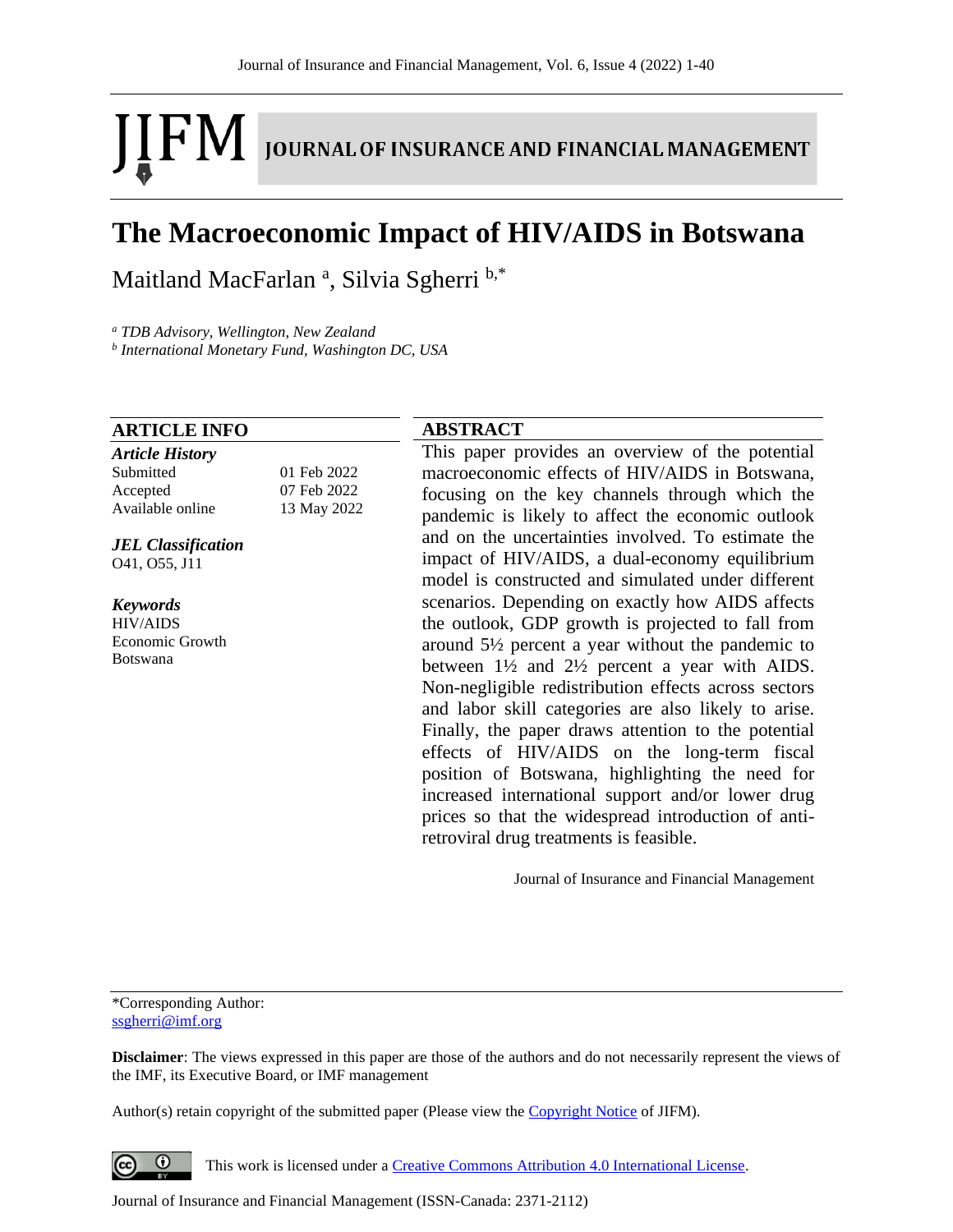# IFM. **JOURNAL OF INSURANCE AND FINANCIAL MANAGEMENT**

# **The Macroeconomic Impact of HIV/AIDS in Botswana**

Maitland MacFarlan<sup>a</sup>, Silvia Sgherri b,\*

*<sup>a</sup> TDB Advisory, Wellington, New Zealand*

*b International Monetary Fund, Washington DC, USA*

#### **ARTICLE INFO**

*Article History* Submitted 01 Feb 2022 Accepted 07 Feb 2022 Available online 13 May 2022

*JEL Classification* O41, O55, J11

*Keywords* HIV/AIDS Economic Growth

Botswana

# **ABSTRACT**

This paper provides an overview of the potential macroeconomic effects of HIV/AIDS in Botswana, focusing on the key channels through which the pandemic is likely to affect the economic outlook and on the uncertainties involved. To estimate the impact of HIV/AIDS, a dual-economy equilibrium model is constructed and simulated under different scenarios. Depending on exactly how AIDS affects the outlook, GDP growth is projected to fall from around 5½ percent a year without the pandemic to between  $1\frac{1}{2}$  and  $2\frac{1}{2}$  percent a year with AIDS. Non-negligible redistribution effects across sectors and labor skill categories are also likely to arise. Finally, the paper draws attention to the potential effects of HIV/AIDS on the long-term fiscal position of Botswana, highlighting the need for increased international support and/or lower drug prices so that the widespread introduction of antiretroviral drug treatments is feasible.

Journal of Insurance and Financial Management

\*Corresponding Author: [ssgherri@imf.org](mailto:ssgherri@imf.org)

**Disclaimer**: The views expressed in this paper are those of the authors and do not necessarily represent the views of the IMF, its Executive Board, or IMF management

Author(s) retain copyright of the submitted paper (Please view th[e Copyright Notice](http://www.journal-of-insurance-and-financial-management.com/index.php/JIFM/about/submissions#copyrightNotice) of JIFM).

 $\odot$ This work is licensed under a [Creative Commons Attribution 4.0 International License.](http://creativecommons.org/licenses/by/4.0/)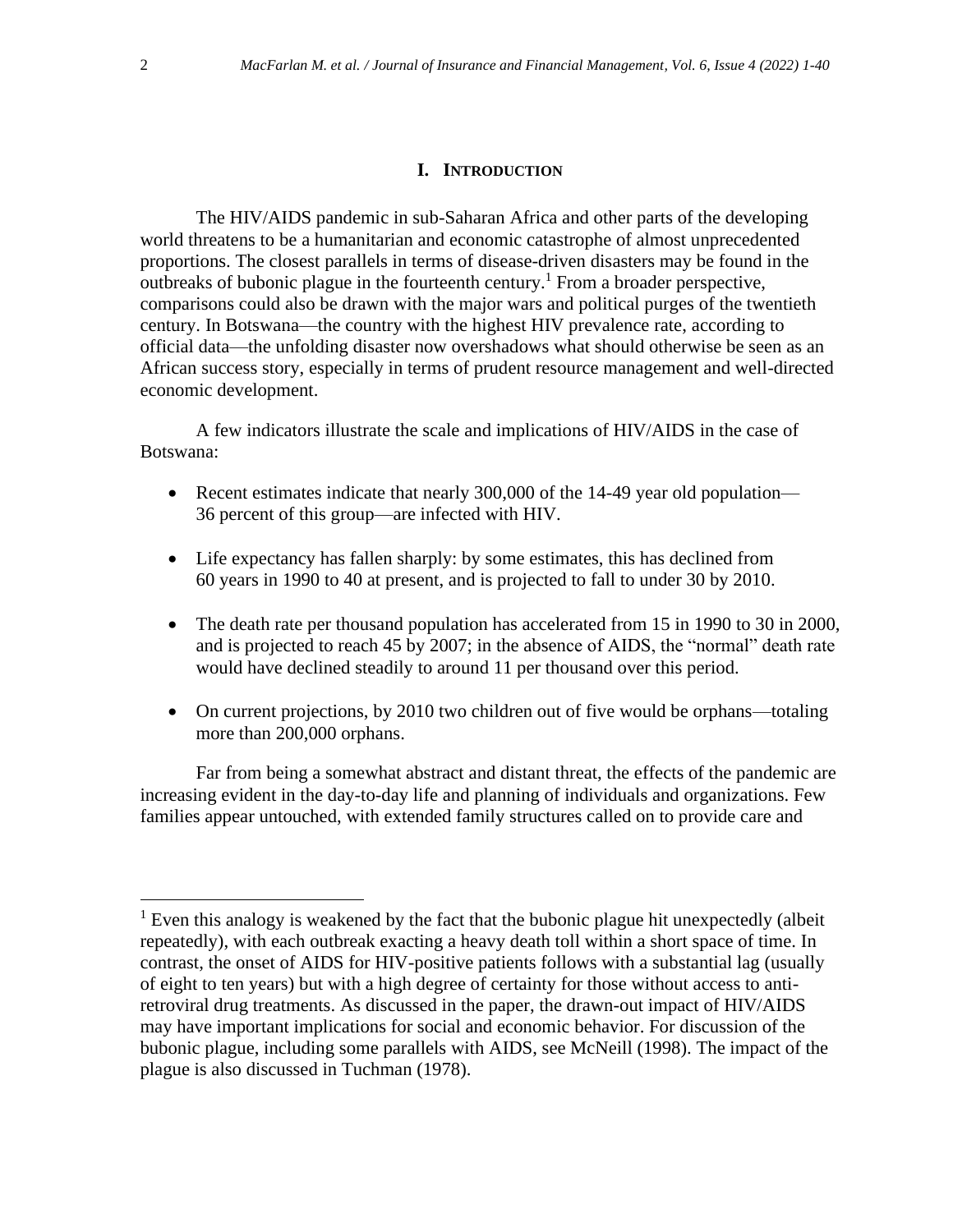# **I. INTRODUCTION**

The HIV/AIDS pandemic in sub-Saharan Africa and other parts of the developing world threatens to be a humanitarian and economic catastrophe of almost unprecedented proportions. The closest parallels in terms of disease-driven disasters may be found in the outbreaks of bubonic plague in the fourteenth century.<sup>1</sup> From a broader perspective, comparisons could also be drawn with the major wars and political purges of the twentieth century. In Botswana—the country with the highest HIV prevalence rate, according to official data—the unfolding disaster now overshadows what should otherwise be seen as an African success story, especially in terms of prudent resource management and well-directed economic development.

A few indicators illustrate the scale and implications of HIV/AIDS in the case of Botswana:

- Recent estimates indicate that nearly 300,000 of the 14-49 year old population— 36 percent of this group—are infected with HIV.
- Life expectancy has fallen sharply: by some estimates, this has declined from 60 years in 1990 to 40 at present, and is projected to fall to under 30 by 2010.
- The death rate per thousand population has accelerated from 15 in 1990 to 30 in 2000, and is projected to reach 45 by 2007; in the absence of AIDS, the "normal" death rate would have declined steadily to around 11 per thousand over this period.
- On current projections, by 2010 two children out of five would be orphans—totaling more than 200,000 orphans.

Far from being a somewhat abstract and distant threat, the effects of the pandemic are increasing evident in the day-to-day life and planning of individuals and organizations. Few families appear untouched, with extended family structures called on to provide care and

 $<sup>1</sup>$  Even this analogy is weakened by the fact that the bubonic plague hit unexpectedly (albeit</sup> repeatedly), with each outbreak exacting a heavy death toll within a short space of time. In contrast, the onset of AIDS for HIV-positive patients follows with a substantial lag (usually of eight to ten years) but with a high degree of certainty for those without access to antiretroviral drug treatments. As discussed in the paper, the drawn-out impact of HIV/AIDS may have important implications for social and economic behavior. For discussion of the bubonic plague, including some parallels with AIDS, see McNeill (1998). The impact of the plague is also discussed in Tuchman (1978).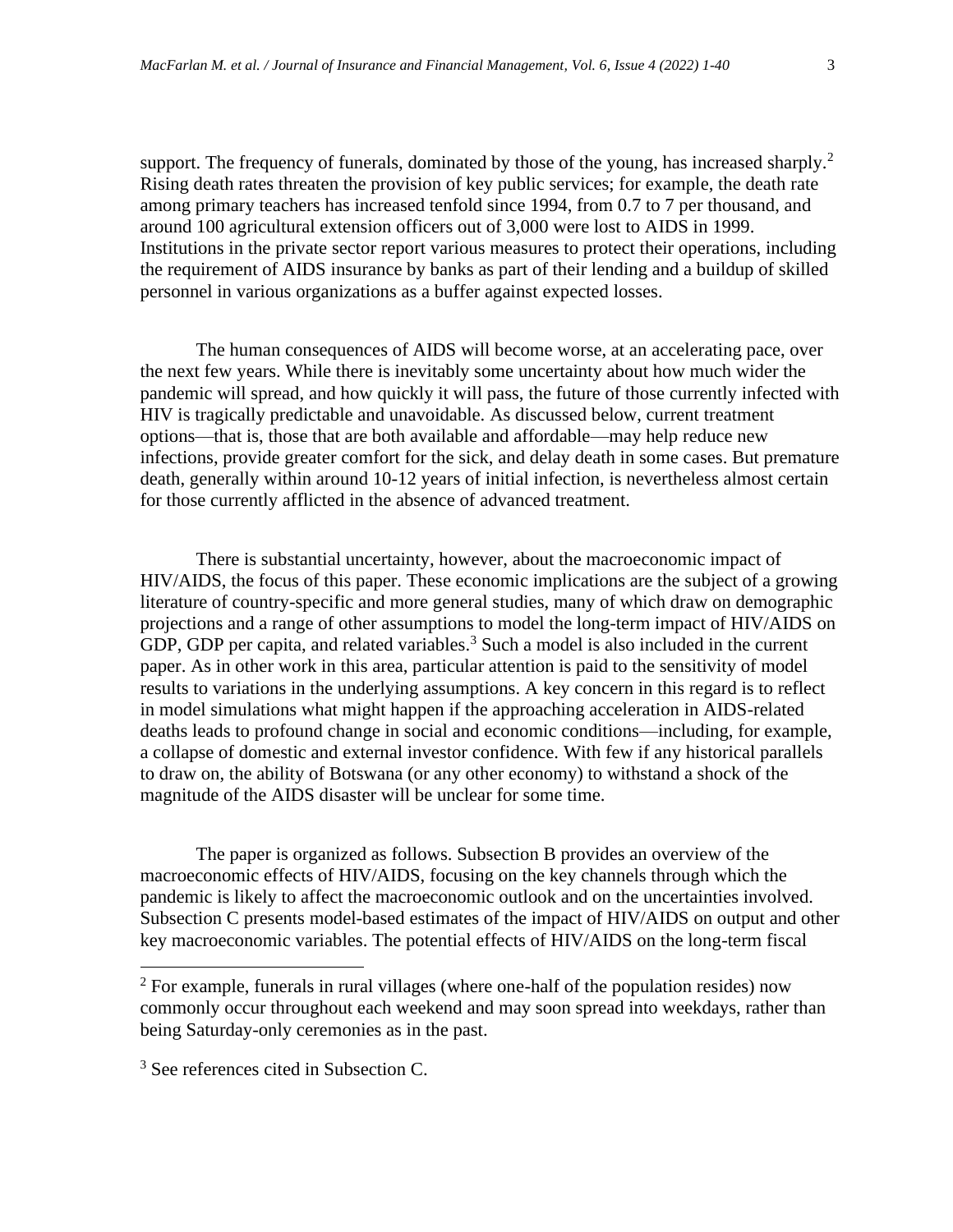support. The frequency of funerals, dominated by those of the young, has increased sharply.<sup>2</sup> Rising death rates threaten the provision of key public services; for example, the death rate among primary teachers has increased tenfold since 1994, from 0.7 to 7 per thousand, and around 100 agricultural extension officers out of 3,000 were lost to AIDS in 1999. Institutions in the private sector report various measures to protect their operations, including the requirement of AIDS insurance by banks as part of their lending and a buildup of skilled personnel in various organizations as a buffer against expected losses.

The human consequences of AIDS will become worse, at an accelerating pace, over the next few years. While there is inevitably some uncertainty about how much wider the pandemic will spread, and how quickly it will pass, the future of those currently infected with HIV is tragically predictable and unavoidable. As discussed below, current treatment options—that is, those that are both available and affordable—may help reduce new infections, provide greater comfort for the sick, and delay death in some cases. But premature death, generally within around 10-12 years of initial infection, is nevertheless almost certain for those currently afflicted in the absence of advanced treatment.

There is substantial uncertainty, however, about the macroeconomic impact of HIV/AIDS, the focus of this paper. These economic implications are the subject of a growing literature of country-specific and more general studies, many of which draw on demographic projections and a range of other assumptions to model the long-term impact of HIV/AIDS on GDP, GDP per capita, and related variables.<sup>3</sup> Such a model is also included in the current paper. As in other work in this area, particular attention is paid to the sensitivity of model results to variations in the underlying assumptions. A key concern in this regard is to reflect in model simulations what might happen if the approaching acceleration in AIDS-related deaths leads to profound change in social and economic conditions—including, for example, a collapse of domestic and external investor confidence. With few if any historical parallels to draw on, the ability of Botswana (or any other economy) to withstand a shock of the magnitude of the AIDS disaster will be unclear for some time.

The paper is organized as follows. Subsection B provides an overview of the macroeconomic effects of HIV/AIDS, focusing on the key channels through which the pandemic is likely to affect the macroeconomic outlook and on the uncertainties involved. Subsection C presents model-based estimates of the impact of HIV/AIDS on output and other key macroeconomic variables. The potential effects of HIV/AIDS on the long-term fiscal

 $2$  For example, funerals in rural villages (where one-half of the population resides) now commonly occur throughout each weekend and may soon spread into weekdays, rather than being Saturday-only ceremonies as in the past.

<sup>&</sup>lt;sup>3</sup> See references cited in Subsection C.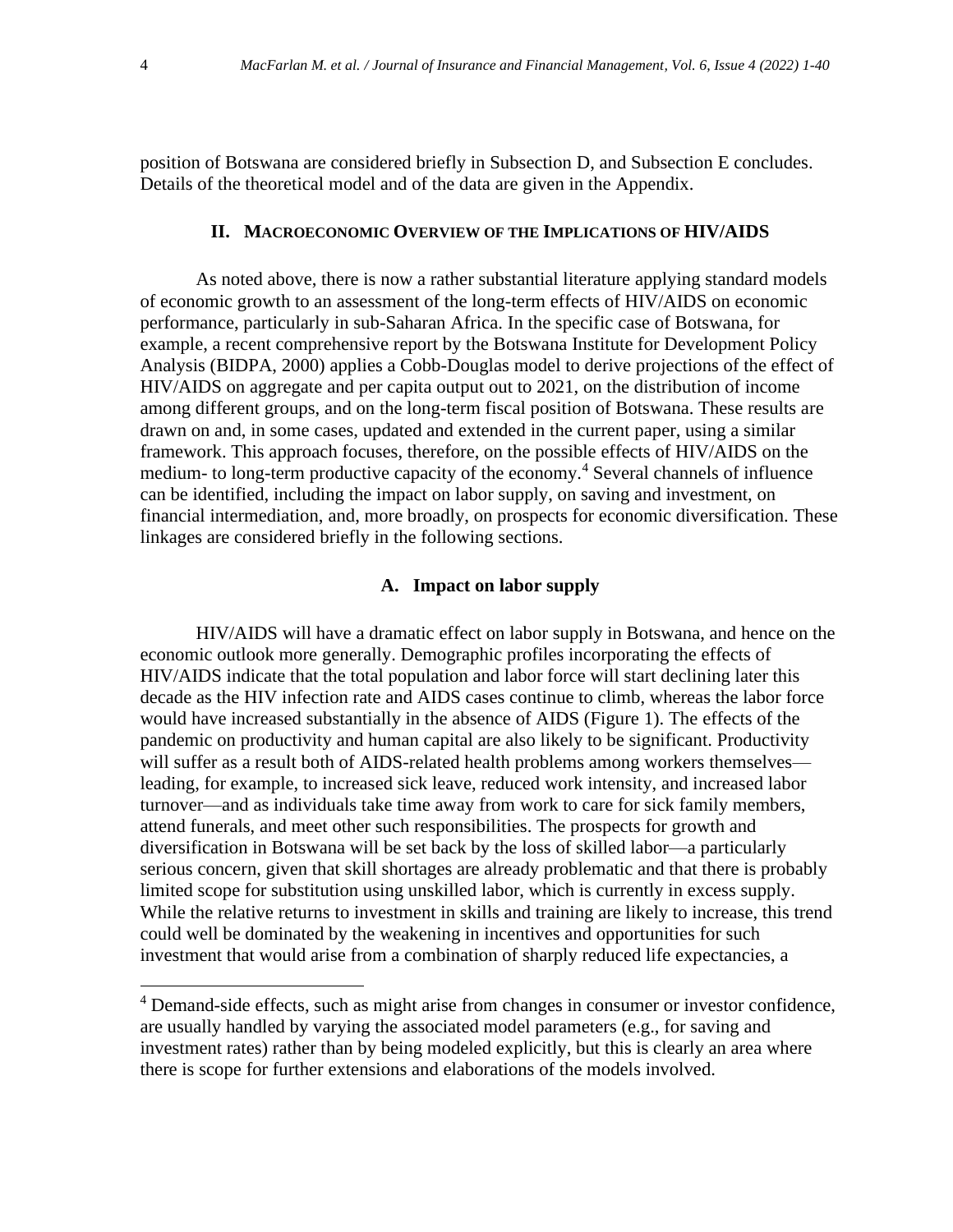position of Botswana are considered briefly in Subsection D, and Subsection E concludes. Details of the theoretical model and of the data are given in the Appendix.

### **II. MACROECONOMIC OVERVIEW OF THE IMPLICATIONS OF HIV/AIDS**

As noted above, there is now a rather substantial literature applying standard models of economic growth to an assessment of the long-term effects of HIV/AIDS on economic performance, particularly in sub-Saharan Africa. In the specific case of Botswana, for example, a recent comprehensive report by the Botswana Institute for Development Policy Analysis (BIDPA, 2000) applies a Cobb-Douglas model to derive projections of the effect of HIV/AIDS on aggregate and per capita output out to 2021, on the distribution of income among different groups, and on the long-term fiscal position of Botswana. These results are drawn on and, in some cases, updated and extended in the current paper, using a similar framework. This approach focuses, therefore, on the possible effects of HIV/AIDS on the medium- to long-term productive capacity of the economy.<sup>4</sup> Several channels of influence can be identified, including the impact on labor supply, on saving and investment, on financial intermediation, and, more broadly, on prospects for economic diversification. These linkages are considered briefly in the following sections.

# **A. Impact on labor supply**

HIV/AIDS will have a dramatic effect on labor supply in Botswana, and hence on the economic outlook more generally. Demographic profiles incorporating the effects of HIV/AIDS indicate that the total population and labor force will start declining later this decade as the HIV infection rate and AIDS cases continue to climb, whereas the labor force would have increased substantially in the absence of AIDS (Figure 1). The effects of the pandemic on productivity and human capital are also likely to be significant. Productivity will suffer as a result both of AIDS-related health problems among workers themselves leading, for example, to increased sick leave, reduced work intensity, and increased labor turnover—and as individuals take time away from work to care for sick family members, attend funerals, and meet other such responsibilities. The prospects for growth and diversification in Botswana will be set back by the loss of skilled labor—a particularly serious concern, given that skill shortages are already problematic and that there is probably limited scope for substitution using unskilled labor, which is currently in excess supply. While the relative returns to investment in skills and training are likely to increase, this trend could well be dominated by the weakening in incentives and opportunities for such investment that would arise from a combination of sharply reduced life expectancies, a

<sup>&</sup>lt;sup>4</sup> Demand-side effects, such as might arise from changes in consumer or investor confidence, are usually handled by varying the associated model parameters (e.g., for saving and investment rates) rather than by being modeled explicitly, but this is clearly an area where there is scope for further extensions and elaborations of the models involved.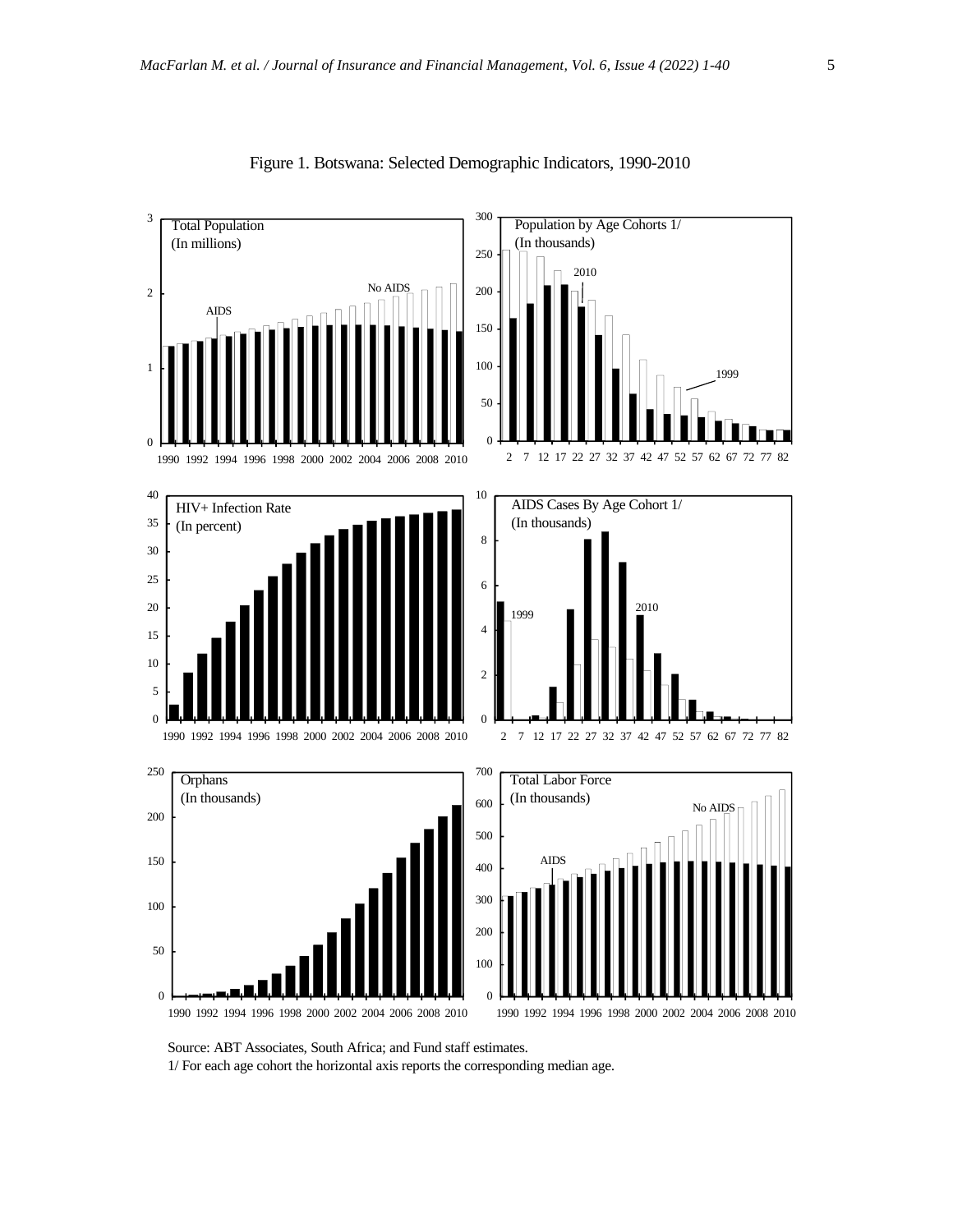

#### Figure 1. Botswana: Selected Demographic Indicators, 1990-2010

Source: ABT Associates, South Africa; and Fund staff estimates.

1/ For each age cohort the horizontal axis reports the corresponding median age.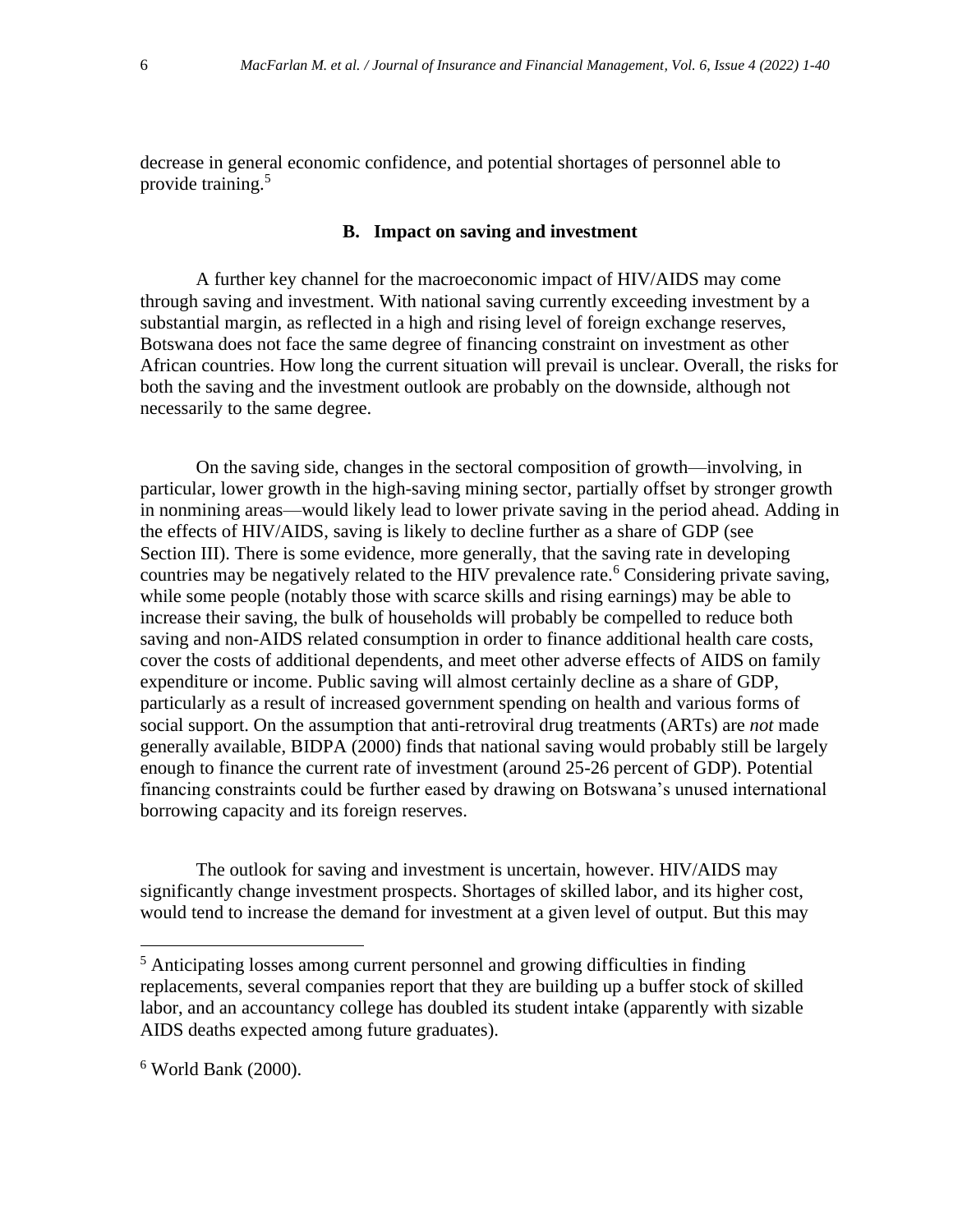decrease in general economic confidence, and potential shortages of personnel able to provide training.<sup>5</sup>

# **B. Impact on saving and investment**

A further key channel for the macroeconomic impact of HIV/AIDS may come through saving and investment. With national saving currently exceeding investment by a substantial margin, as reflected in a high and rising level of foreign exchange reserves, Botswana does not face the same degree of financing constraint on investment as other African countries. How long the current situation will prevail is unclear. Overall, the risks for both the saving and the investment outlook are probably on the downside, although not necessarily to the same degree.

On the saving side, changes in the sectoral composition of growth—involving, in particular, lower growth in the high-saving mining sector, partially offset by stronger growth in nonmining areas—would likely lead to lower private saving in the period ahead. Adding in the effects of HIV/AIDS, saving is likely to decline further as a share of GDP (see Section III). There is some evidence, more generally, that the saving rate in developing countries may be negatively related to the HIV prevalence rate.<sup>6</sup> Considering private saving, while some people (notably those with scarce skills and rising earnings) may be able to increase their saving, the bulk of households will probably be compelled to reduce both saving and non-AIDS related consumption in order to finance additional health care costs, cover the costs of additional dependents, and meet other adverse effects of AIDS on family expenditure or income. Public saving will almost certainly decline as a share of GDP, particularly as a result of increased government spending on health and various forms of social support. On the assumption that anti-retroviral drug treatments (ARTs) are *not* made generally available, BIDPA (2000) finds that national saving would probably still be largely enough to finance the current rate of investment (around 25-26 percent of GDP). Potential financing constraints could be further eased by drawing on Botswana's unused international borrowing capacity and its foreign reserves.

The outlook for saving and investment is uncertain, however. HIV/AIDS may significantly change investment prospects. Shortages of skilled labor, and its higher cost, would tend to increase the demand for investment at a given level of output. But this may

<sup>5</sup> Anticipating losses among current personnel and growing difficulties in finding replacements, several companies report that they are building up a buffer stock of skilled labor, and an accountancy college has doubled its student intake (apparently with sizable AIDS deaths expected among future graduates).

 $6$  World Bank (2000).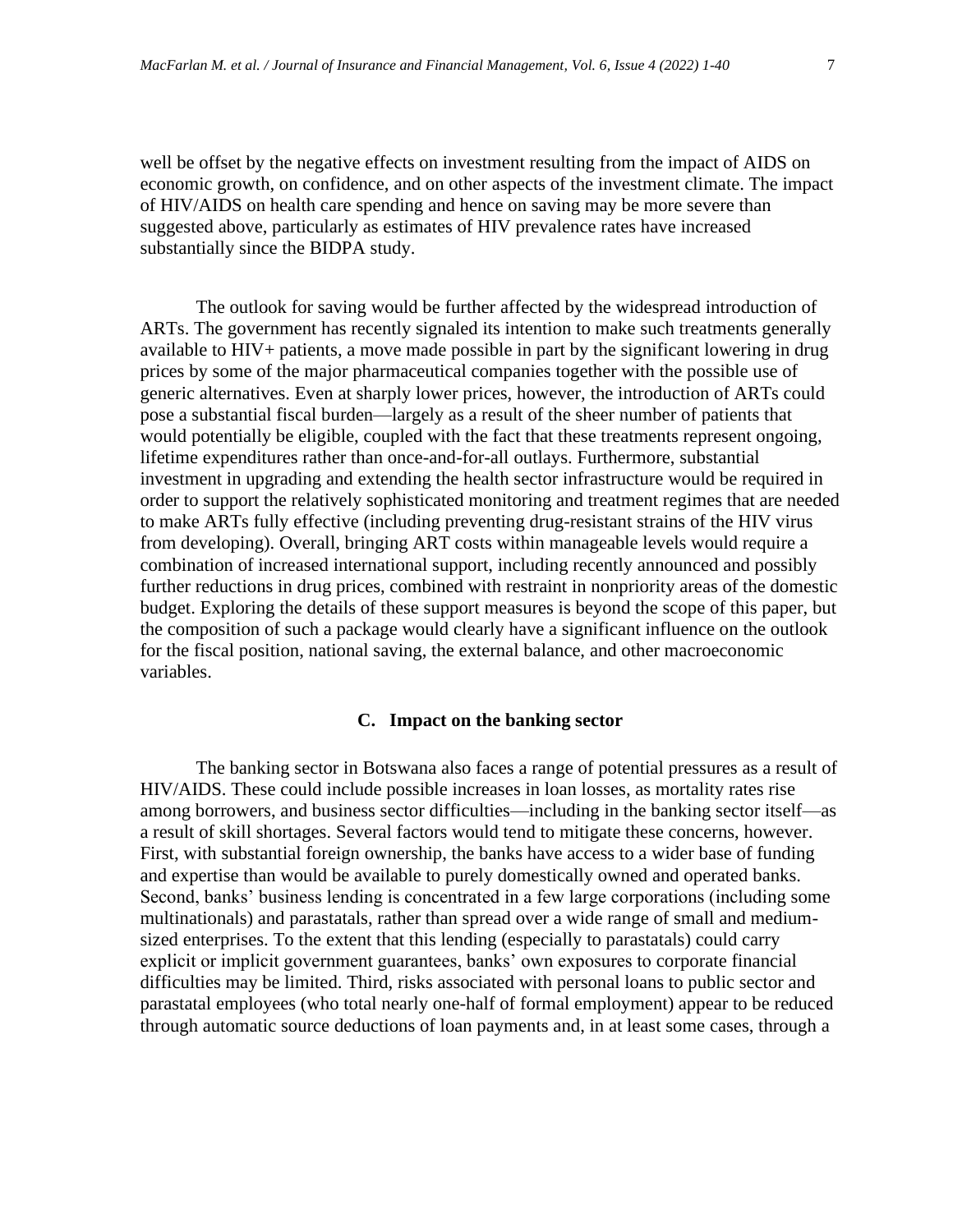well be offset by the negative effects on investment resulting from the impact of AIDS on economic growth, on confidence, and on other aspects of the investment climate. The impact of HIV/AIDS on health care spending and hence on saving may be more severe than suggested above, particularly as estimates of HIV prevalence rates have increased substantially since the BIDPA study.

The outlook for saving would be further affected by the widespread introduction of ARTs. The government has recently signaled its intention to make such treatments generally available to HIV+ patients, a move made possible in part by the significant lowering in drug prices by some of the major pharmaceutical companies together with the possible use of generic alternatives. Even at sharply lower prices, however, the introduction of ARTs could pose a substantial fiscal burden—largely as a result of the sheer number of patients that would potentially be eligible, coupled with the fact that these treatments represent ongoing, lifetime expenditures rather than once-and-for-all outlays. Furthermore, substantial investment in upgrading and extending the health sector infrastructure would be required in order to support the relatively sophisticated monitoring and treatment regimes that are needed to make ARTs fully effective (including preventing drug-resistant strains of the HIV virus from developing). Overall, bringing ART costs within manageable levels would require a combination of increased international support, including recently announced and possibly further reductions in drug prices, combined with restraint in nonpriority areas of the domestic budget. Exploring the details of these support measures is beyond the scope of this paper, but the composition of such a package would clearly have a significant influence on the outlook for the fiscal position, national saving, the external balance, and other macroeconomic variables.

# **C. Impact on the banking sector**

The banking sector in Botswana also faces a range of potential pressures as a result of HIV/AIDS. These could include possible increases in loan losses, as mortality rates rise among borrowers, and business sector difficulties—including in the banking sector itself—as a result of skill shortages. Several factors would tend to mitigate these concerns, however. First, with substantial foreign ownership, the banks have access to a wider base of funding and expertise than would be available to purely domestically owned and operated banks. Second, banks' business lending is concentrated in a few large corporations (including some multinationals) and parastatals, rather than spread over a wide range of small and mediumsized enterprises. To the extent that this lending (especially to parastatals) could carry explicit or implicit government guarantees, banks' own exposures to corporate financial difficulties may be limited. Third, risks associated with personal loans to public sector and parastatal employees (who total nearly one-half of formal employment) appear to be reduced through automatic source deductions of loan payments and, in at least some cases, through a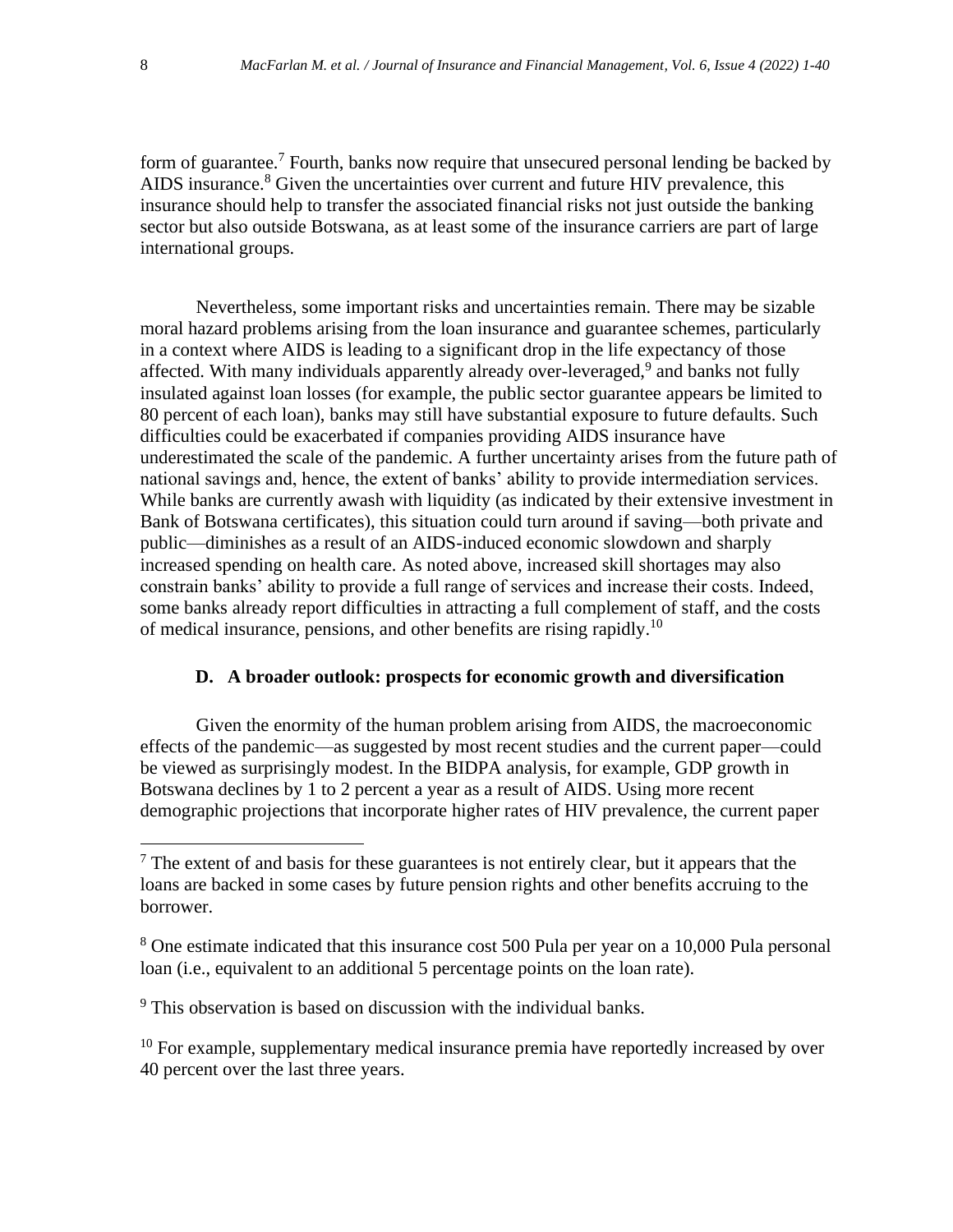form of guarantee.<sup>7</sup> Fourth, banks now require that unsecured personal lending be backed by AIDS insurance.<sup>8</sup> Given the uncertainties over current and future HIV prevalence, this insurance should help to transfer the associated financial risks not just outside the banking sector but also outside Botswana, as at least some of the insurance carriers are part of large international groups.

Nevertheless, some important risks and uncertainties remain. There may be sizable moral hazard problems arising from the loan insurance and guarantee schemes, particularly in a context where AIDS is leading to a significant drop in the life expectancy of those affected. With many individuals apparently already over-leveraged,<sup>9</sup> and banks not fully insulated against loan losses (for example, the public sector guarantee appears be limited to 80 percent of each loan), banks may still have substantial exposure to future defaults. Such difficulties could be exacerbated if companies providing AIDS insurance have underestimated the scale of the pandemic. A further uncertainty arises from the future path of national savings and, hence, the extent of banks' ability to provide intermediation services. While banks are currently awash with liquidity (as indicated by their extensive investment in Bank of Botswana certificates), this situation could turn around if saving—both private and public—diminishes as a result of an AIDS-induced economic slowdown and sharply increased spending on health care. As noted above, increased skill shortages may also constrain banks' ability to provide a full range of services and increase their costs. Indeed, some banks already report difficulties in attracting a full complement of staff, and the costs of medical insurance, pensions, and other benefits are rising rapidly.<sup>10</sup>

# **D. A broader outlook: prospects for economic growth and diversification**

Given the enormity of the human problem arising from AIDS, the macroeconomic effects of the pandemic—as suggested by most recent studies and the current paper—could be viewed as surprisingly modest. In the BIDPA analysis, for example, GDP growth in Botswana declines by 1 to 2 percent a year as a result of AIDS. Using more recent demographic projections that incorporate higher rates of HIV prevalence, the current paper

 $9$ <sup>9</sup> This observation is based on discussion with the individual banks.

 $10$  For example, supplementary medical insurance premia have reportedly increased by over 40 percent over the last three years.

 $<sup>7</sup>$  The extent of and basis for these guarantees is not entirely clear, but it appears that the</sup> loans are backed in some cases by future pension rights and other benefits accruing to the borrower.

<sup>&</sup>lt;sup>8</sup> One estimate indicated that this insurance cost 500 Pula per year on a 10,000 Pula personal loan (i.e., equivalent to an additional 5 percentage points on the loan rate).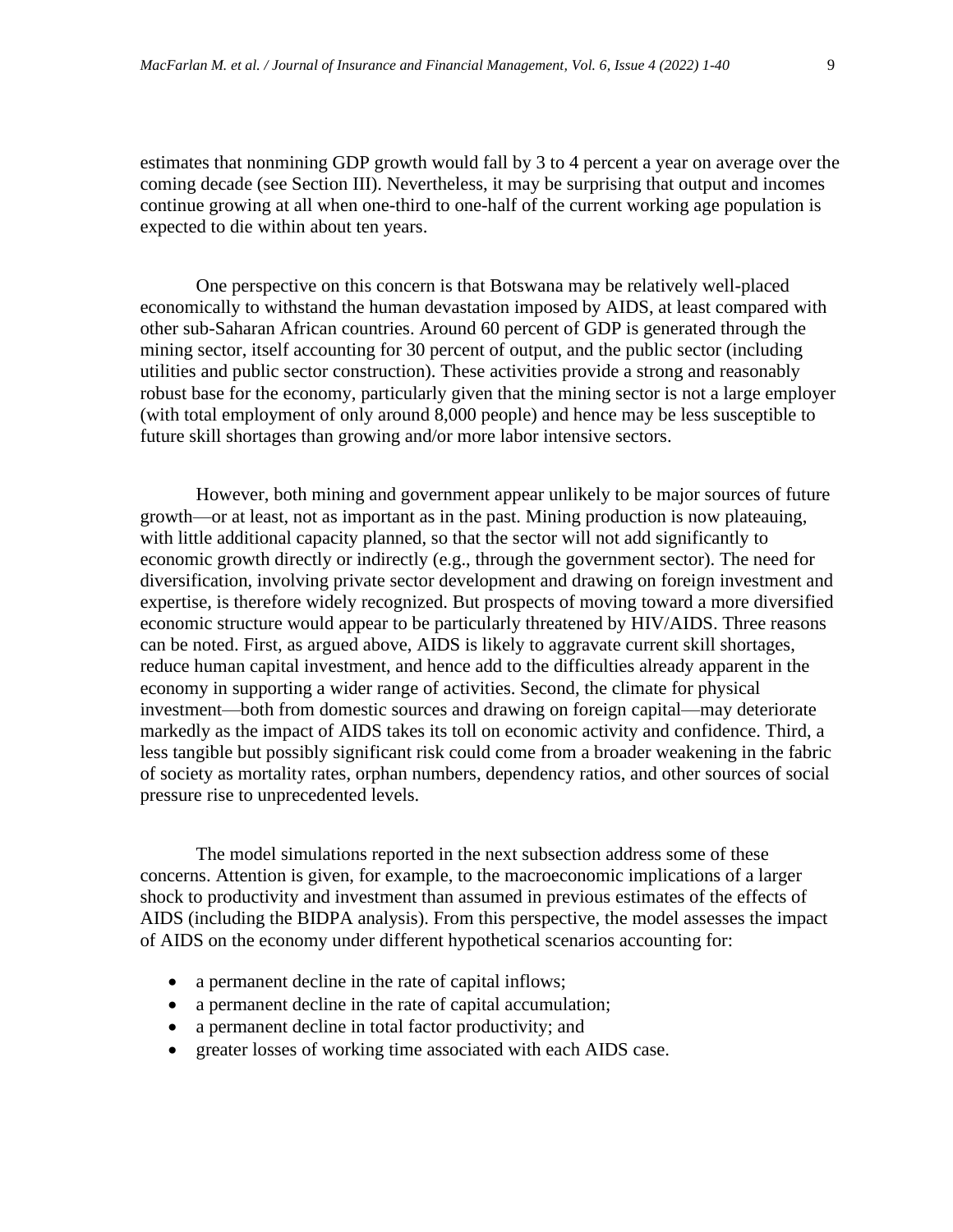estimates that nonmining GDP growth would fall by 3 to 4 percent a year on average over the coming decade (see Section III). Nevertheless, it may be surprising that output and incomes continue growing at all when one-third to one-half of the current working age population is expected to die within about ten years.

One perspective on this concern is that Botswana may be relatively well-placed economically to withstand the human devastation imposed by AIDS, at least compared with other sub-Saharan African countries. Around 60 percent of GDP is generated through the mining sector, itself accounting for 30 percent of output, and the public sector (including utilities and public sector construction). These activities provide a strong and reasonably robust base for the economy, particularly given that the mining sector is not a large employer (with total employment of only around 8,000 people) and hence may be less susceptible to future skill shortages than growing and/or more labor intensive sectors.

However, both mining and government appear unlikely to be major sources of future growth—or at least, not as important as in the past. Mining production is now plateauing, with little additional capacity planned, so that the sector will not add significantly to economic growth directly or indirectly (e.g., through the government sector). The need for diversification, involving private sector development and drawing on foreign investment and expertise, is therefore widely recognized. But prospects of moving toward a more diversified economic structure would appear to be particularly threatened by HIV/AIDS. Three reasons can be noted. First, as argued above, AIDS is likely to aggravate current skill shortages, reduce human capital investment, and hence add to the difficulties already apparent in the economy in supporting a wider range of activities. Second, the climate for physical investment—both from domestic sources and drawing on foreign capital—may deteriorate markedly as the impact of AIDS takes its toll on economic activity and confidence. Third, a less tangible but possibly significant risk could come from a broader weakening in the fabric of society as mortality rates, orphan numbers, dependency ratios, and other sources of social pressure rise to unprecedented levels.

The model simulations reported in the next subsection address some of these concerns. Attention is given, for example, to the macroeconomic implications of a larger shock to productivity and investment than assumed in previous estimates of the effects of AIDS (including the BIDPA analysis). From this perspective, the model assesses the impact of AIDS on the economy under different hypothetical scenarios accounting for:

- a permanent decline in the rate of capital inflows;
- a permanent decline in the rate of capital accumulation;
- a permanent decline in total factor productivity; and
- greater losses of working time associated with each AIDS case.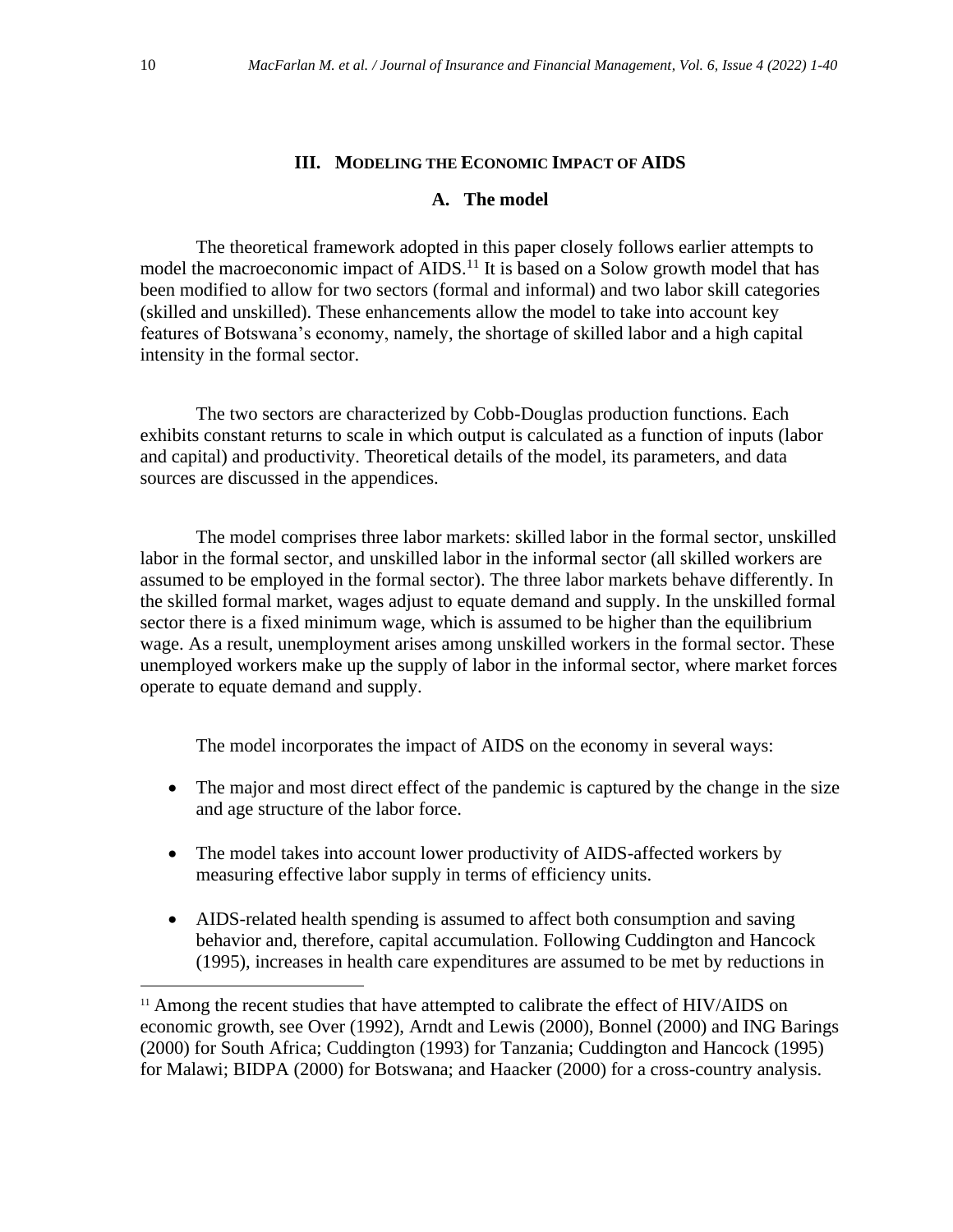# **III. MODELING THE ECONOMIC IMPACT OF AIDS**

# **A. The model**

The theoretical framework adopted in this paper closely follows earlier attempts to model the macroeconomic impact of AIDS.<sup>11</sup> It is based on a Solow growth model that has been modified to allow for two sectors (formal and informal) and two labor skill categories (skilled and unskilled). These enhancements allow the model to take into account key features of Botswana's economy, namely, the shortage of skilled labor and a high capital intensity in the formal sector.

The two sectors are characterized by Cobb-Douglas production functions. Each exhibits constant returns to scale in which output is calculated as a function of inputs (labor and capital) and productivity. Theoretical details of the model, its parameters, and data sources are discussed in the appendices.

The model comprises three labor markets: skilled labor in the formal sector, unskilled labor in the formal sector, and unskilled labor in the informal sector (all skilled workers are assumed to be employed in the formal sector). The three labor markets behave differently. In the skilled formal market, wages adjust to equate demand and supply. In the unskilled formal sector there is a fixed minimum wage, which is assumed to be higher than the equilibrium wage. As a result, unemployment arises among unskilled workers in the formal sector. These unemployed workers make up the supply of labor in the informal sector, where market forces operate to equate demand and supply.

The model incorporates the impact of AIDS on the economy in several ways:

- The major and most direct effect of the pandemic is captured by the change in the size and age structure of the labor force.
- The model takes into account lower productivity of AIDS-affected workers by measuring effective labor supply in terms of efficiency units.
- AIDS-related health spending is assumed to affect both consumption and saving behavior and, therefore, capital accumulation. Following Cuddington and Hancock (1995), increases in health care expenditures are assumed to be met by reductions in

<sup>&</sup>lt;sup>11</sup> Among the recent studies that have attempted to calibrate the effect of HIV/AIDS on economic growth, see Over (1992), Arndt and Lewis (2000), Bonnel (2000) and ING Barings (2000) for South Africa; Cuddington (1993) for Tanzania; Cuddington and Hancock (1995) for Malawi; BIDPA (2000) for Botswana; and Haacker (2000) for a cross-country analysis.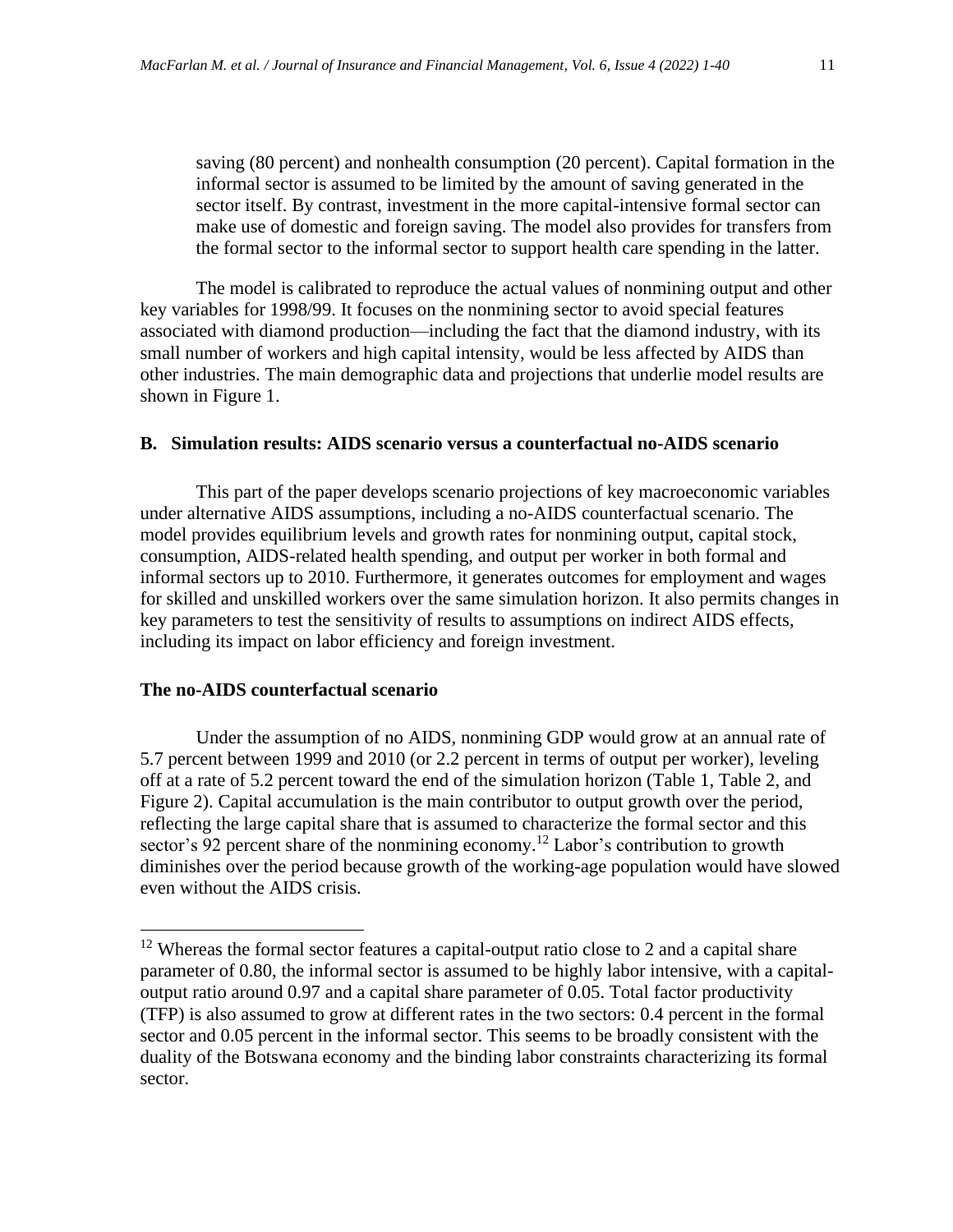saving (80 percent) and nonhealth consumption (20 percent). Capital formation in the informal sector is assumed to be limited by the amount of saving generated in the sector itself. By contrast, investment in the more capital-intensive formal sector can make use of domestic and foreign saving. The model also provides for transfers from the formal sector to the informal sector to support health care spending in the latter.

The model is calibrated to reproduce the actual values of nonmining output and other key variables for 1998/99. It focuses on the nonmining sector to avoid special features associated with diamond production—including the fact that the diamond industry, with its small number of workers and high capital intensity, would be less affected by AIDS than other industries. The main demographic data and projections that underlie model results are shown in Figure 1.

# **B. Simulation results: AIDS scenario versus a counterfactual no-AIDS scenario**

This part of the paper develops scenario projections of key macroeconomic variables under alternative AIDS assumptions, including a no-AIDS counterfactual scenario. The model provides equilibrium levels and growth rates for nonmining output, capital stock, consumption, AIDS-related health spending, and output per worker in both formal and informal sectors up to 2010. Furthermore, it generates outcomes for employment and wages for skilled and unskilled workers over the same simulation horizon. It also permits changes in key parameters to test the sensitivity of results to assumptions on indirect AIDS effects, including its impact on labor efficiency and foreign investment.

#### **The no-AIDS counterfactual scenario**

Under the assumption of no AIDS, nonmining GDP would grow at an annual rate of 5.7 percent between 1999 and 2010 (or 2.2 percent in terms of output per worker), leveling off at a rate of 5.2 percent toward the end of the simulation horizon (Table 1, Table 2, and Figure 2). Capital accumulation is the main contributor to output growth over the period, reflecting the large capital share that is assumed to characterize the formal sector and this sector's 92 percent share of the nonmining economy.<sup>12</sup> Labor's contribution to growth diminishes over the period because growth of the working-age population would have slowed even without the AIDS crisis.

<sup>&</sup>lt;sup>12</sup> Whereas the formal sector features a capital-output ratio close to 2 and a capital share parameter of 0.80, the informal sector is assumed to be highly labor intensive, with a capitaloutput ratio around 0.97 and a capital share parameter of 0.05. Total factor productivity (TFP) is also assumed to grow at different rates in the two sectors: 0.4 percent in the formal sector and 0.05 percent in the informal sector. This seems to be broadly consistent with the duality of the Botswana economy and the binding labor constraints characterizing its formal sector.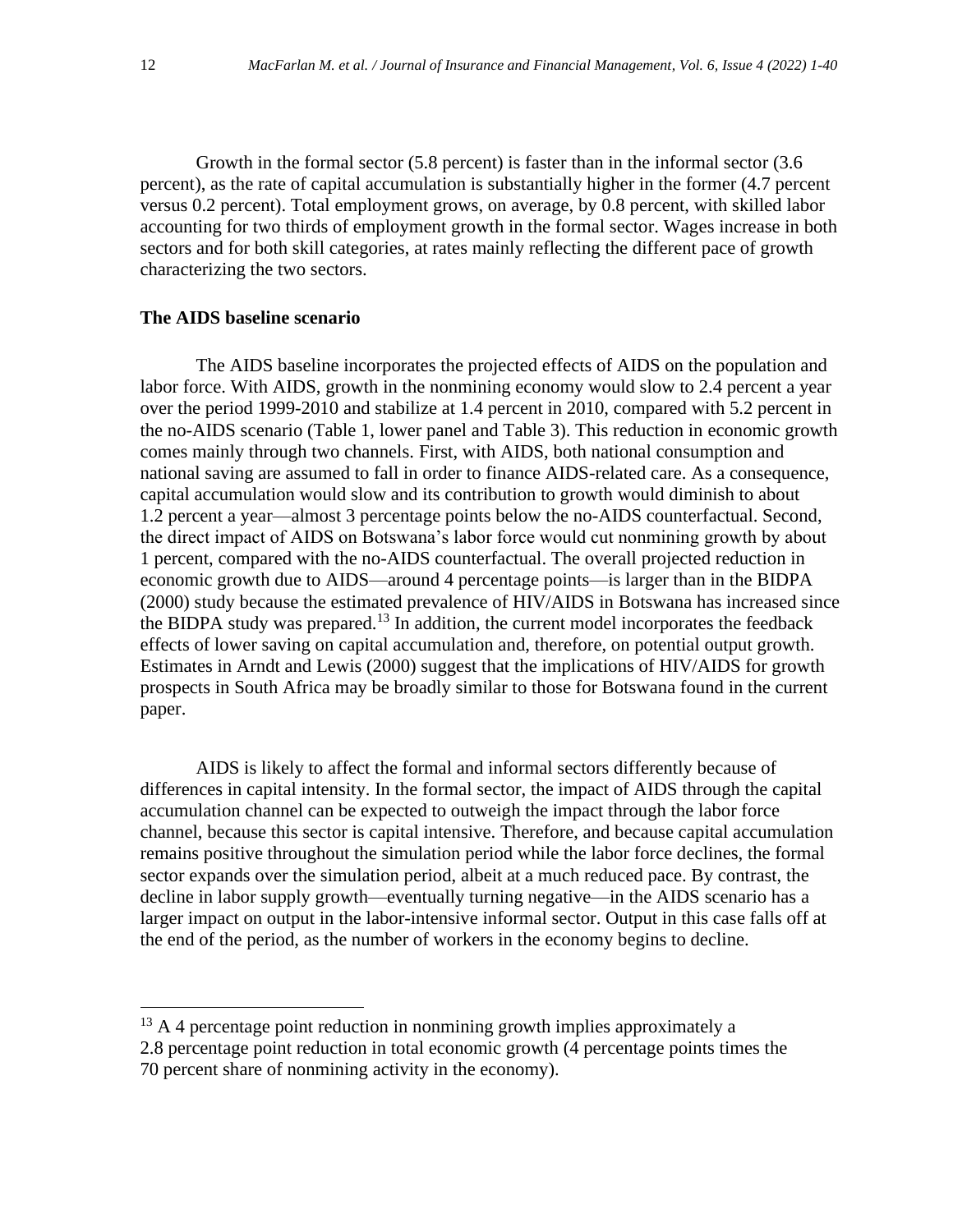Growth in the formal sector (5.8 percent) is faster than in the informal sector (3.6 percent), as the rate of capital accumulation is substantially higher in the former (4.7 percent versus 0.2 percent). Total employment grows, on average, by 0.8 percent, with skilled labor accounting for two thirds of employment growth in the formal sector. Wages increase in both sectors and for both skill categories, at rates mainly reflecting the different pace of growth characterizing the two sectors.

# **The AIDS baseline scenario**

The AIDS baseline incorporates the projected effects of AIDS on the population and labor force. With AIDS, growth in the nonmining economy would slow to 2.4 percent a year over the period 1999-2010 and stabilize at 1.4 percent in 2010, compared with 5.2 percent in the no-AIDS scenario (Table 1, lower panel and Table 3). This reduction in economic growth comes mainly through two channels. First, with AIDS, both national consumption and national saving are assumed to fall in order to finance AIDS-related care. As a consequence, capital accumulation would slow and its contribution to growth would diminish to about 1.2 percent a year—almost 3 percentage points below the no-AIDS counterfactual. Second, the direct impact of AIDS on Botswana's labor force would cut nonmining growth by about 1 percent, compared with the no-AIDS counterfactual. The overall projected reduction in economic growth due to AIDS—around 4 percentage points—is larger than in the BIDPA (2000) study because the estimated prevalence of HIV/AIDS in Botswana has increased since the BIDPA study was prepared.<sup>13</sup> In addition, the current model incorporates the feedback effects of lower saving on capital accumulation and, therefore, on potential output growth. Estimates in Arndt and Lewis (2000) suggest that the implications of HIV/AIDS for growth prospects in South Africa may be broadly similar to those for Botswana found in the current paper.

AIDS is likely to affect the formal and informal sectors differently because of differences in capital intensity. In the formal sector, the impact of AIDS through the capital accumulation channel can be expected to outweigh the impact through the labor force channel, because this sector is capital intensive. Therefore, and because capital accumulation remains positive throughout the simulation period while the labor force declines, the formal sector expands over the simulation period, albeit at a much reduced pace. By contrast, the decline in labor supply growth—eventually turning negative—in the AIDS scenario has a larger impact on output in the labor-intensive informal sector. Output in this case falls off at the end of the period, as the number of workers in the economy begins to decline.

 $13$  A 4 percentage point reduction in nonmining growth implies approximately a 2.8 percentage point reduction in total economic growth (4 percentage points times the 70 percent share of nonmining activity in the economy).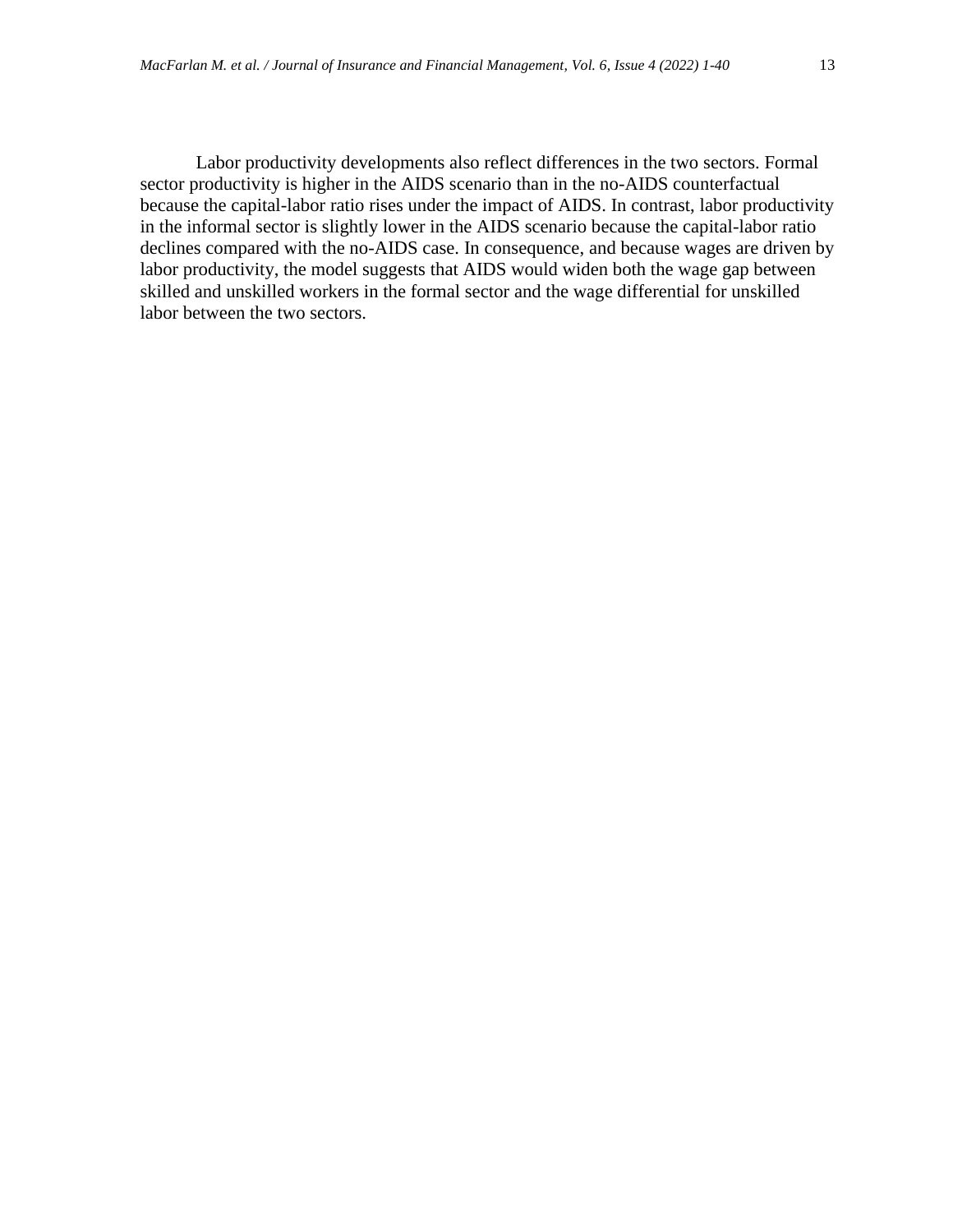Labor productivity developments also reflect differences in the two sectors. Formal sector productivity is higher in the AIDS scenario than in the no-AIDS counterfactual because the capital-labor ratio rises under the impact of AIDS. In contrast, labor productivity in the informal sector is slightly lower in the AIDS scenario because the capital-labor ratio declines compared with the no-AIDS case. In consequence, and because wages are driven by labor productivity, the model suggests that AIDS would widen both the wage gap between skilled and unskilled workers in the formal sector and the wage differential for unskilled labor between the two sectors.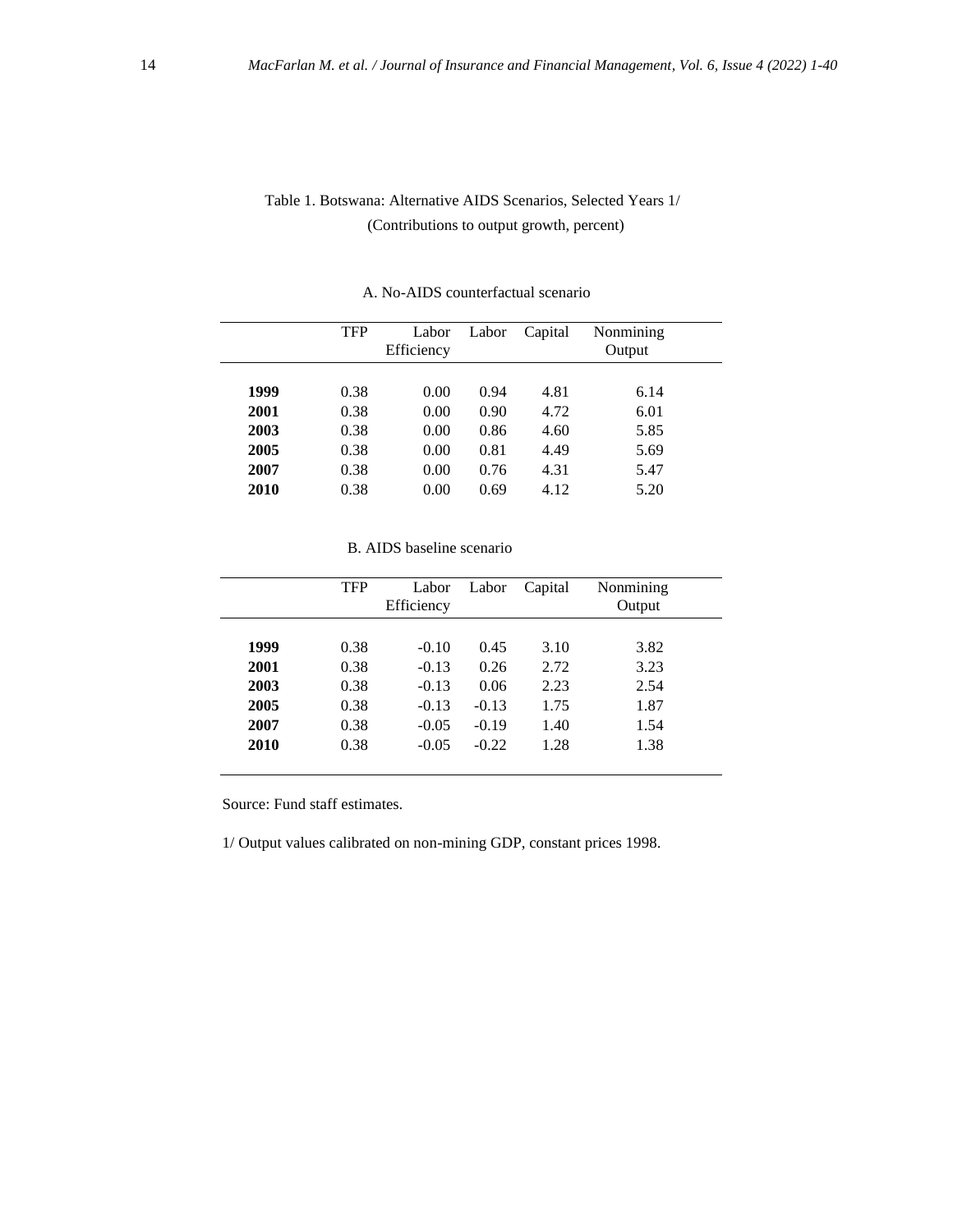# Table 1. Botswana: Alternative AIDS Scenarios, Selected Years 1/ (Contributions to output growth, percent)

|      | <b>TFP</b> | Labor<br>Efficiency | Labor | Capital | Nonmining<br>Output |  |
|------|------------|---------------------|-------|---------|---------------------|--|
| 1999 | 0.38       | 0.00                | 0.94  | 4.81    | 6.14                |  |
| 2001 | 0.38       | 0.00                | 0.90  | 4.72    | 6.01                |  |
| 2003 | 0.38       | 0.00                | 0.86  | 4.60    | 5.85                |  |
| 2005 | 0.38       | 0.00                | 0.81  | 4.49    | 5.69                |  |
| 2007 | 0.38       | 0.00                | 0.76  | 4.31    | 5.47                |  |
| 2010 | 0.38       | 0.00                | 0.69  | 4.12    | 5.20                |  |

#### A. No-AIDS counterfactual scenario

#### B. AIDS baseline scenario

|      | <b>TFP</b> | Labor<br>Efficiency | Labor   | Capital | Nonmining<br>Output |
|------|------------|---------------------|---------|---------|---------------------|
|      |            |                     |         |         |                     |
| 1999 | 0.38       | $-0.10$             | 0.45    | 3.10    | 3.82                |
| 2001 | 0.38       | $-0.13$             | 0.26    | 2.72    | 3.23                |
| 2003 | 0.38       | $-0.13$             | 0.06    | 2.23    | 2.54                |
| 2005 | 0.38       | $-0.13$             | $-0.13$ | 1.75    | 1.87                |
| 2007 | 0.38       | $-0.05$             | $-0.19$ | 1.40    | 1.54                |
| 2010 | 0.38       | $-0.05$             | $-0.22$ | 1.28    | 1.38                |

Source: Fund staff estimates.

1/ Output values calibrated on non-mining GDP, constant prices 1998.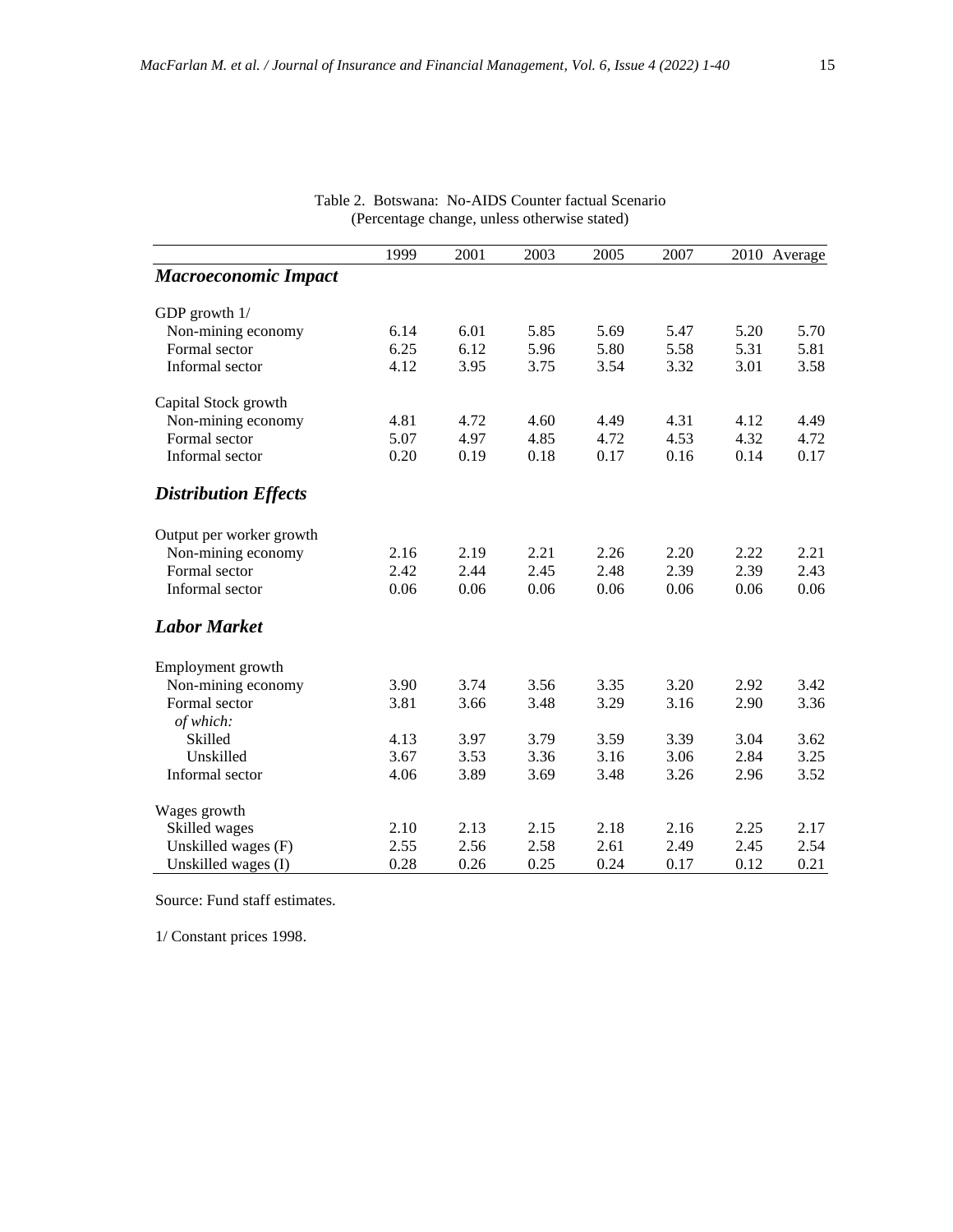|                             | 1999 | 2001 | 2003 | 2005 | 2007 |      | 2010 Average |
|-----------------------------|------|------|------|------|------|------|--------------|
| <b>Macroeconomic Impact</b> |      |      |      |      |      |      |              |
| GDP growth 1/               |      |      |      |      |      |      |              |
| Non-mining economy          | 6.14 | 6.01 | 5.85 | 5.69 | 5.47 | 5.20 | 5.70         |
| Formal sector               | 6.25 | 6.12 | 5.96 | 5.80 | 5.58 | 5.31 | 5.81         |
| Informal sector             | 4.12 | 3.95 | 3.75 | 3.54 | 3.32 | 3.01 | 3.58         |
| Capital Stock growth        |      |      |      |      |      |      |              |
| Non-mining economy          | 4.81 | 4.72 | 4.60 | 4.49 | 4.31 | 4.12 | 4.49         |
| Formal sector               | 5.07 | 4.97 | 4.85 | 4.72 | 4.53 | 4.32 | 4.72         |
| Informal sector             | 0.20 | 0.19 | 0.18 | 0.17 | 0.16 | 0.14 | 0.17         |
| <b>Distribution Effects</b> |      |      |      |      |      |      |              |
| Output per worker growth    |      |      |      |      |      |      |              |
| Non-mining economy          | 2.16 | 2.19 | 2.21 | 2.26 | 2.20 | 2.22 | 2.21         |
| Formal sector               | 2.42 | 2.44 | 2.45 | 2.48 | 2.39 | 2.39 | 2.43         |
| Informal sector             | 0.06 | 0.06 | 0.06 | 0.06 | 0.06 | 0.06 | 0.06         |
| <b>Labor Market</b>         |      |      |      |      |      |      |              |
| Employment growth           |      |      |      |      |      |      |              |
| Non-mining economy          | 3.90 | 3.74 | 3.56 | 3.35 | 3.20 | 2.92 | 3.42         |
| Formal sector               | 3.81 | 3.66 | 3.48 | 3.29 | 3.16 | 2.90 | 3.36         |
| of which:                   |      |      |      |      |      |      |              |
| Skilled                     | 4.13 | 3.97 | 3.79 | 3.59 | 3.39 | 3.04 | 3.62         |
| Unskilled                   | 3.67 | 3.53 | 3.36 | 3.16 | 3.06 | 2.84 | 3.25         |
| Informal sector             | 4.06 | 3.89 | 3.69 | 3.48 | 3.26 | 2.96 | 3.52         |
| Wages growth                |      |      |      |      |      |      |              |
| Skilled wages               | 2.10 | 2.13 | 2.15 | 2.18 | 2.16 | 2.25 | 2.17         |
| Unskilled wages (F)         | 2.55 | 2.56 | 2.58 | 2.61 | 2.49 | 2.45 | 2.54         |
| Unskilled wages (I)         | 0.28 | 0.26 | 0.25 | 0.24 | 0.17 | 0.12 | 0.21         |

|  | Table 2. Botswana: No-AIDS Counter factual Scenario |
|--|-----------------------------------------------------|
|  | (Percentage change, unless otherwise stated)        |

Source: Fund staff estimates.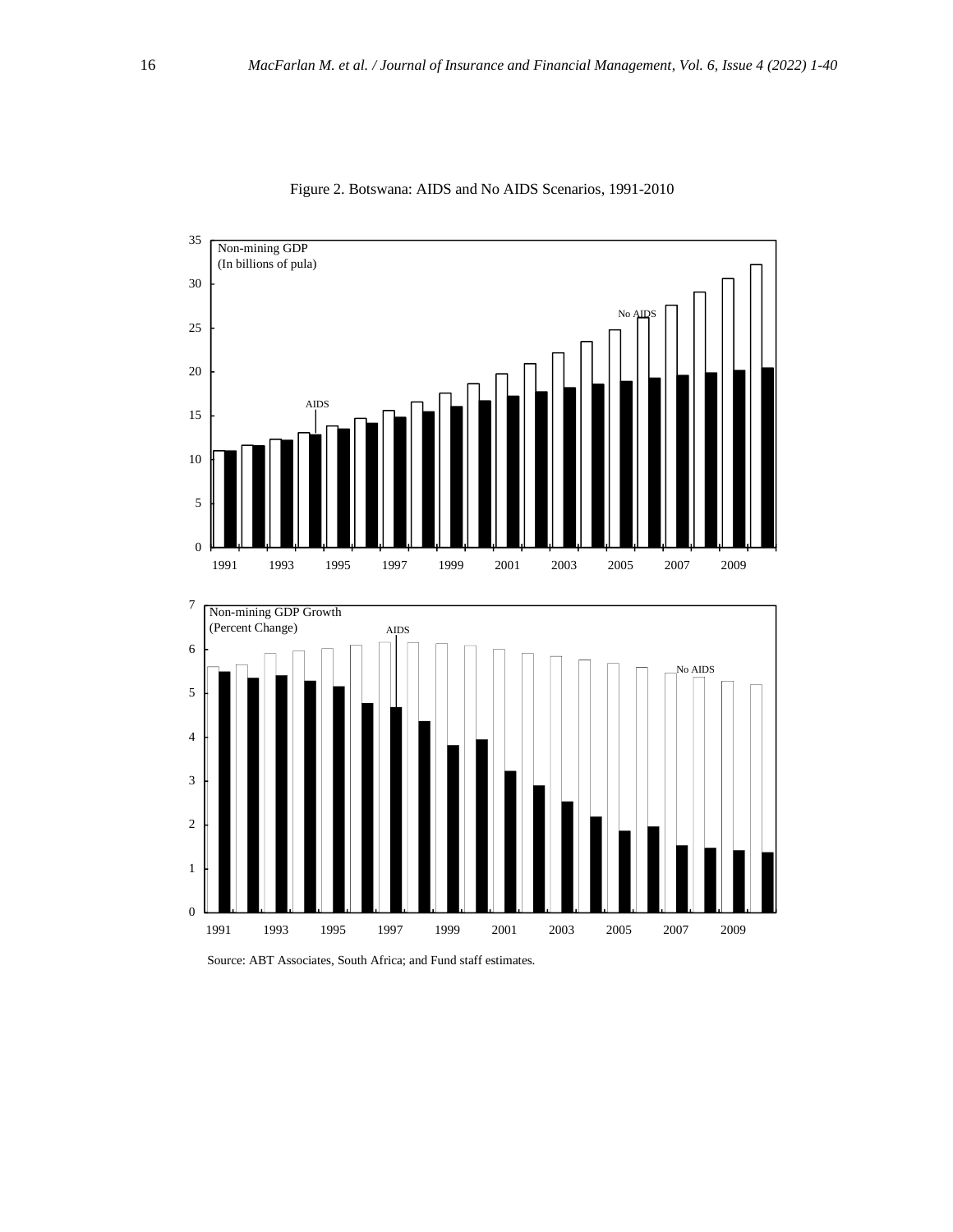

Figure 2. Botswana: AIDS and No AIDS Scenarios, 1991-2010

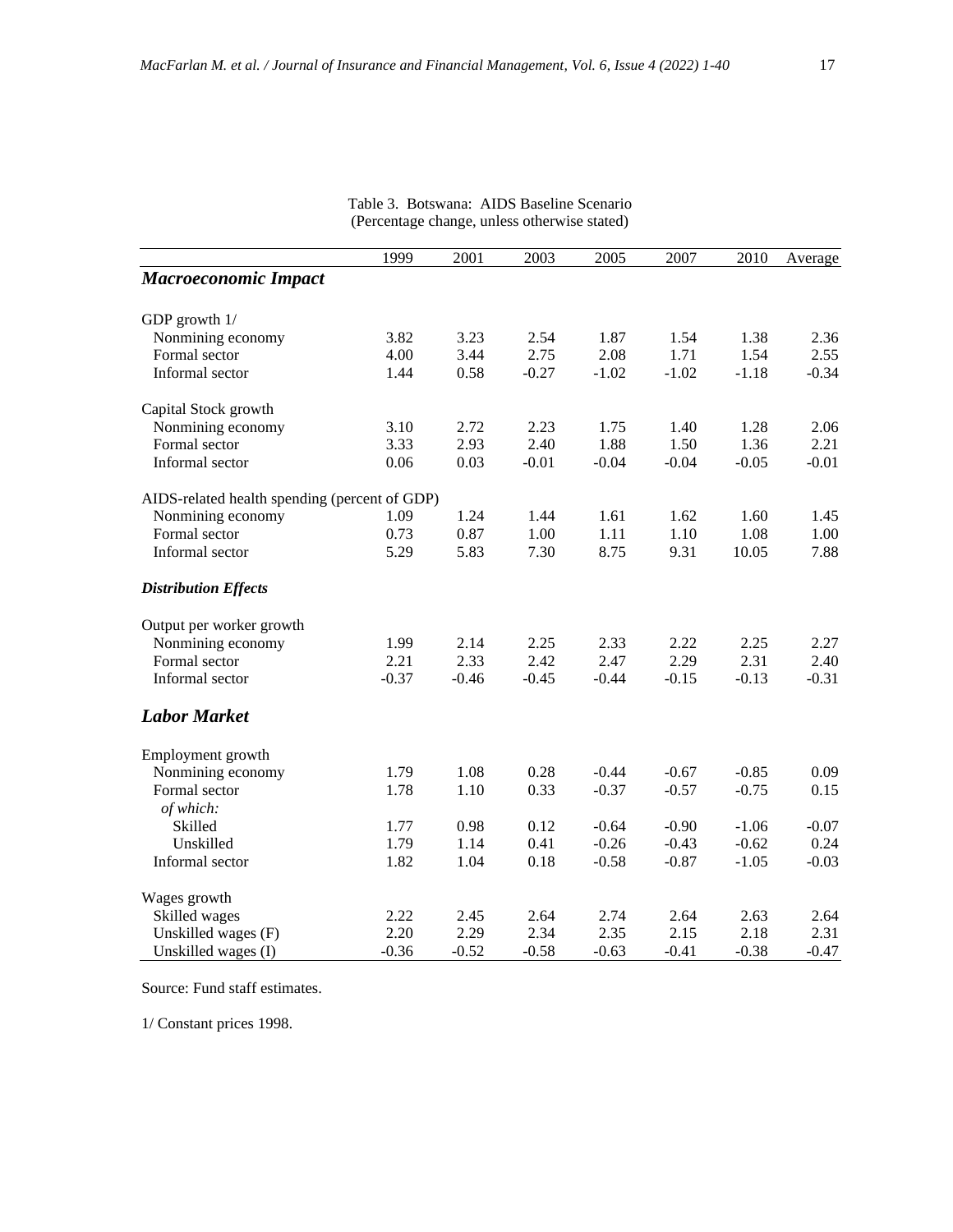|                                               | 1999    | 2001    | 2003    | 2005    | 2007    | 2010    | Average |
|-----------------------------------------------|---------|---------|---------|---------|---------|---------|---------|
| <b>Macroeconomic Impact</b>                   |         |         |         |         |         |         |         |
| GDP growth 1/                                 |         |         |         |         |         |         |         |
| Nonmining economy                             | 3.82    | 3.23    | 2.54    | 1.87    | 1.54    | 1.38    | 2.36    |
| Formal sector                                 | 4.00    | 3.44    | 2.75    | 2.08    | 1.71    | 1.54    | 2.55    |
| Informal sector                               | 1.44    | 0.58    | $-0.27$ | $-1.02$ | $-1.02$ | $-1.18$ | $-0.34$ |
| Capital Stock growth                          |         |         |         |         |         |         |         |
| Nonmining economy                             | 3.10    | 2.72    | 2.23    | 1.75    | 1.40    | 1.28    | 2.06    |
| Formal sector                                 | 3.33    | 2.93    | 2.40    | 1.88    | 1.50    | 1.36    | 2.21    |
| Informal sector                               | 0.06    | 0.03    | $-0.01$ | $-0.04$ | $-0.04$ | $-0.05$ | $-0.01$ |
| AIDS-related health spending (percent of GDP) |         |         |         |         |         |         |         |
| Nonmining economy                             | 1.09    | 1.24    | 1.44    | 1.61    | 1.62    | 1.60    | 1.45    |
| Formal sector                                 | 0.73    | 0.87    | 1.00    | 1.11    | 1.10    | 1.08    | 1.00    |
| Informal sector                               | 5.29    | 5.83    | 7.30    | 8.75    | 9.31    | 10.05   | 7.88    |
| <b>Distribution Effects</b>                   |         |         |         |         |         |         |         |
| Output per worker growth                      |         |         |         |         |         |         |         |
| Nonmining economy                             | 1.99    | 2.14    | 2.25    | 2.33    | 2.22    | 2.25    | 2.27    |
| Formal sector                                 | 2.21    | 2.33    | 2.42    | 2.47    | 2.29    | 2.31    | 2.40    |
| Informal sector                               | $-0.37$ | $-0.46$ | $-0.45$ | $-0.44$ | $-0.15$ | $-0.13$ | $-0.31$ |
| <b>Labor Market</b>                           |         |         |         |         |         |         |         |
| Employment growth                             |         |         |         |         |         |         |         |
| Nonmining economy                             | 1.79    | 1.08    | 0.28    | $-0.44$ | $-0.67$ | $-0.85$ | 0.09    |
| Formal sector                                 | 1.78    | 1.10    | 0.33    | $-0.37$ | $-0.57$ | $-0.75$ | 0.15    |
| of which:                                     |         |         |         |         |         |         |         |
| Skilled                                       | 1.77    | 0.98    | 0.12    | $-0.64$ | $-0.90$ | $-1.06$ | $-0.07$ |
| Unskilled                                     | 1.79    | 1.14    | 0.41    | $-0.26$ | $-0.43$ | $-0.62$ | 0.24    |
| Informal sector                               | 1.82    | 1.04    | 0.18    | $-0.58$ | $-0.87$ | $-1.05$ | $-0.03$ |
| Wages growth                                  |         |         |         |         |         |         |         |
| Skilled wages                                 | 2.22    | 2.45    | 2.64    | 2.74    | 2.64    | 2.63    | 2.64    |
| Unskilled wages (F)                           | 2.20    | 2.29    | 2.34    | 2.35    | 2.15    | 2.18    | 2.31    |
| Unskilled wages (I)                           | $-0.36$ | $-0.52$ | $-0.58$ | $-0.63$ | $-0.41$ | $-0.38$ | $-0.47$ |

Table 3. Botswana: AIDS Baseline Scenario (Percentage change, unless otherwise stated)

Source: Fund staff estimates.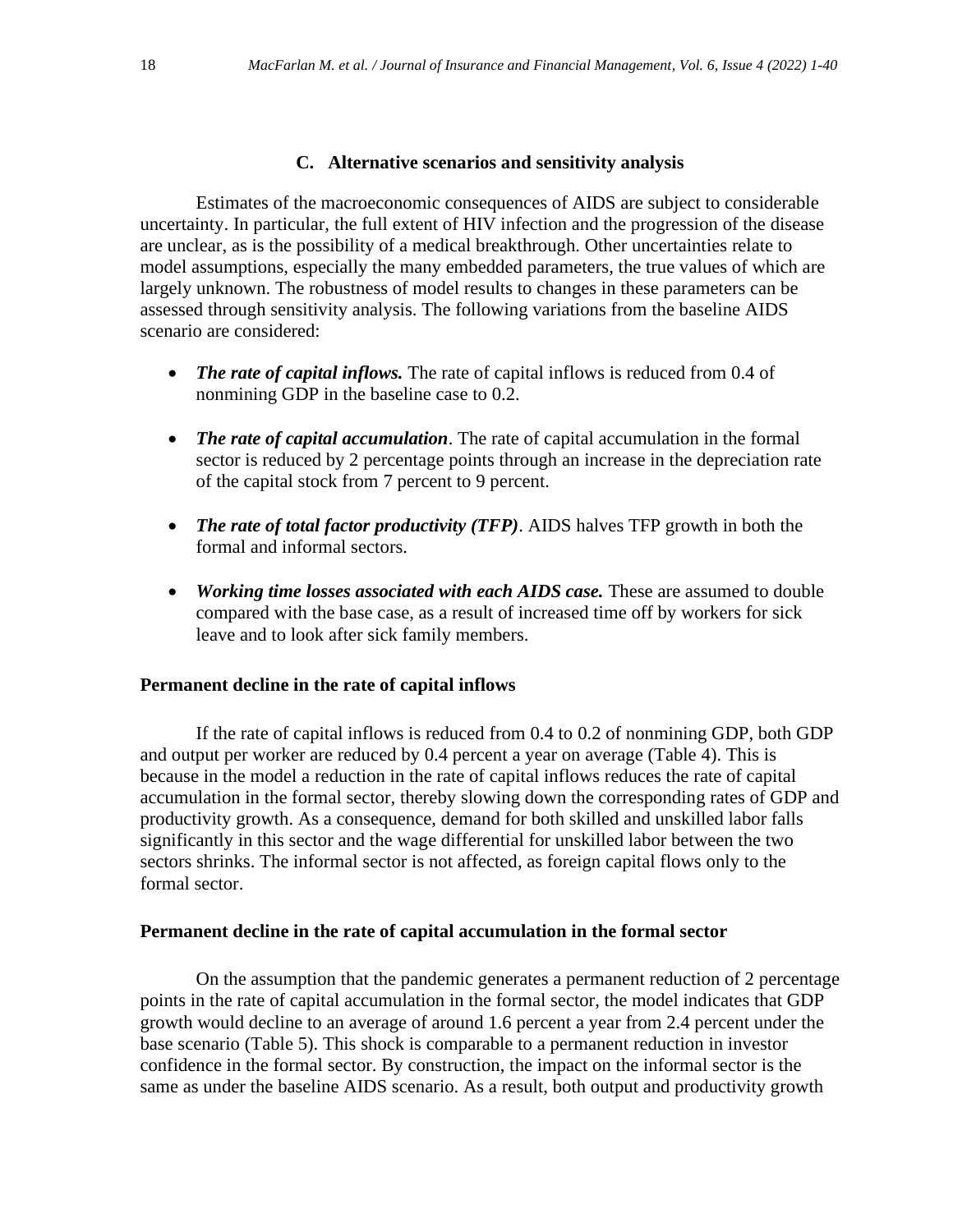# **C. Alternative scenarios and sensitivity analysis**

Estimates of the macroeconomic consequences of AIDS are subject to considerable uncertainty. In particular, the full extent of HIV infection and the progression of the disease are unclear, as is the possibility of a medical breakthrough. Other uncertainties relate to model assumptions, especially the many embedded parameters, the true values of which are largely unknown. The robustness of model results to changes in these parameters can be assessed through sensitivity analysis. The following variations from the baseline AIDS scenario are considered:

- *The rate of capital inflows.* The rate of capital inflows is reduced from 0.4 of nonmining GDP in the baseline case to 0.2.
- *The rate of capital accumulation*. The rate of capital accumulation in the formal sector is reduced by 2 percentage points through an increase in the depreciation rate of the capital stock from 7 percent to 9 percent.
- *The rate of total factor productivity (TFP)*. AIDS halves TFP growth in both the formal and informal sectors.
- *Working time losses associated with each AIDS case.* These are assumed to double compared with the base case, as a result of increased time off by workers for sick leave and to look after sick family members.

# **Permanent decline in the rate of capital inflows**

If the rate of capital inflows is reduced from 0.4 to 0.2 of nonmining GDP, both GDP and output per worker are reduced by 0.4 percent a year on average (Table 4). This is because in the model a reduction in the rate of capital inflows reduces the rate of capital accumulation in the formal sector, thereby slowing down the corresponding rates of GDP and productivity growth. As a consequence, demand for both skilled and unskilled labor falls significantly in this sector and the wage differential for unskilled labor between the two sectors shrinks. The informal sector is not affected, as foreign capital flows only to the formal sector.

# **Permanent decline in the rate of capital accumulation in the formal sector**

On the assumption that the pandemic generates a permanent reduction of 2 percentage points in the rate of capital accumulation in the formal sector, the model indicates that GDP growth would decline to an average of around 1.6 percent a year from 2.4 percent under the base scenario (Table 5). This shock is comparable to a permanent reduction in investor confidence in the formal sector. By construction, the impact on the informal sector is the same as under the baseline AIDS scenario. As a result, both output and productivity growth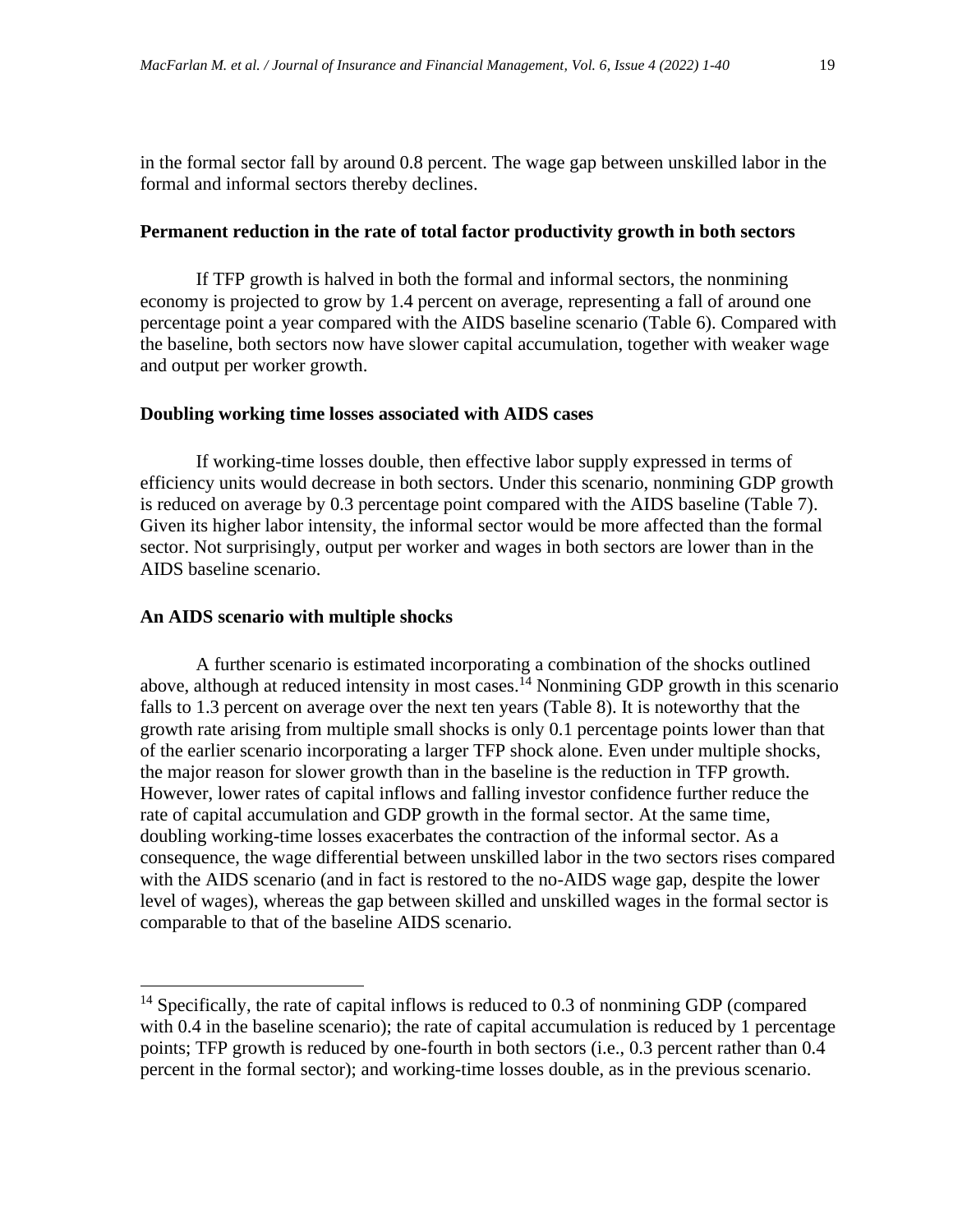in the formal sector fall by around 0.8 percent. The wage gap between unskilled labor in the formal and informal sectors thereby declines.

# **Permanent reduction in the rate of total factor productivity growth in both sectors**

If TFP growth is halved in both the formal and informal sectors, the nonmining economy is projected to grow by 1.4 percent on average, representing a fall of around one percentage point a year compared with the AIDS baseline scenario (Table 6). Compared with the baseline, both sectors now have slower capital accumulation, together with weaker wage and output per worker growth.

# **Doubling working time losses associated with AIDS cases**

If working-time losses double, then effective labor supply expressed in terms of efficiency units would decrease in both sectors. Under this scenario, nonmining GDP growth is reduced on average by 0.3 percentage point compared with the AIDS baseline (Table 7). Given its higher labor intensity, the informal sector would be more affected than the formal sector. Not surprisingly, output per worker and wages in both sectors are lower than in the AIDS baseline scenario.

#### **An AIDS scenario with multiple shocks**

A further scenario is estimated incorporating a combination of the shocks outlined above, although at reduced intensity in most cases.<sup> $14$ </sup> Nonmining GDP growth in this scenario falls to 1.3 percent on average over the next ten years (Table 8). It is noteworthy that the growth rate arising from multiple small shocks is only 0.1 percentage points lower than that of the earlier scenario incorporating a larger TFP shock alone. Even under multiple shocks, the major reason for slower growth than in the baseline is the reduction in TFP growth. However, lower rates of capital inflows and falling investor confidence further reduce the rate of capital accumulation and GDP growth in the formal sector. At the same time, doubling working-time losses exacerbates the contraction of the informal sector. As a consequence, the wage differential between unskilled labor in the two sectors rises compared with the AIDS scenario (and in fact is restored to the no-AIDS wage gap, despite the lower level of wages), whereas the gap between skilled and unskilled wages in the formal sector is comparable to that of the baseline AIDS scenario.

 $14$  Specifically, the rate of capital inflows is reduced to 0.3 of nonmining GDP (compared with 0.4 in the baseline scenario); the rate of capital accumulation is reduced by 1 percentage points; TFP growth is reduced by one-fourth in both sectors (i.e., 0.3 percent rather than 0.4 percent in the formal sector); and working-time losses double, as in the previous scenario.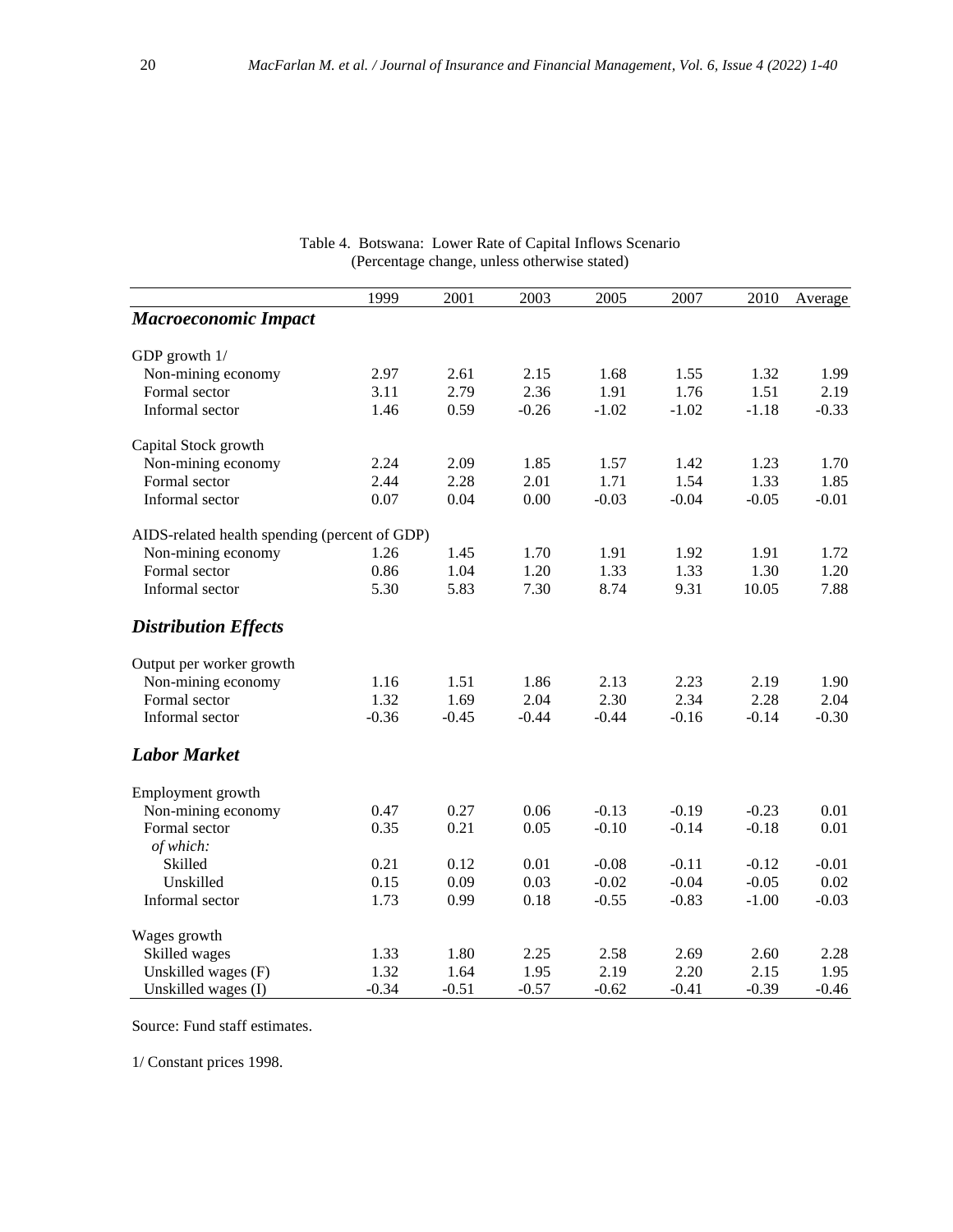|                                               | 1999    | 2001    | 2003    | 2005    | 2007    | 2010    | Average |
|-----------------------------------------------|---------|---------|---------|---------|---------|---------|---------|
| <b>Macroeconomic Impact</b>                   |         |         |         |         |         |         |         |
| GDP growth $1/$                               |         |         |         |         |         |         |         |
| Non-mining economy                            | 2.97    | 2.61    | 2.15    | 1.68    | 1.55    | 1.32    | 1.99    |
| Formal sector                                 | 3.11    | 2.79    | 2.36    | 1.91    | 1.76    | 1.51    | 2.19    |
| Informal sector                               | 1.46    | 0.59    | $-0.26$ | $-1.02$ | $-1.02$ | $-1.18$ | $-0.33$ |
| Capital Stock growth                          |         |         |         |         |         |         |         |
| Non-mining economy                            | 2.24    | 2.09    | 1.85    | 1.57    | 1.42    | 1.23    | 1.70    |
| Formal sector                                 | 2.44    | 2.28    | 2.01    | 1.71    | 1.54    | 1.33    | 1.85    |
| Informal sector                               | 0.07    | 0.04    | 0.00    | $-0.03$ | $-0.04$ | $-0.05$ | $-0.01$ |
| AIDS-related health spending (percent of GDP) |         |         |         |         |         |         |         |
| Non-mining economy                            | 1.26    | 1.45    | 1.70    | 1.91    | 1.92    | 1.91    | 1.72    |
| Formal sector                                 | 0.86    | 1.04    | 1.20    | 1.33    | 1.33    | 1.30    | 1.20    |
| Informal sector                               | 5.30    | 5.83    | 7.30    | 8.74    | 9.31    | 10.05   | 7.88    |
| <b>Distribution Effects</b>                   |         |         |         |         |         |         |         |
| Output per worker growth                      |         |         |         |         |         |         |         |
| Non-mining economy                            | 1.16    | 1.51    | 1.86    | 2.13    | 2.23    | 2.19    | 1.90    |
| Formal sector                                 | 1.32    | 1.69    | 2.04    | 2.30    | 2.34    | 2.28    | 2.04    |
| Informal sector                               | $-0.36$ | $-0.45$ | $-0.44$ | $-0.44$ | $-0.16$ | $-0.14$ | $-0.30$ |
| <b>Labor Market</b>                           |         |         |         |         |         |         |         |
| Employment growth                             |         |         |         |         |         |         |         |
| Non-mining economy                            | 0.47    | 0.27    | 0.06    | $-0.13$ | $-0.19$ | $-0.23$ | 0.01    |
| Formal sector                                 | 0.35    | 0.21    | 0.05    | $-0.10$ | $-0.14$ | $-0.18$ | 0.01    |
| of which:                                     |         |         |         |         |         |         |         |
| Skilled                                       | 0.21    | 0.12    | 0.01    | $-0.08$ | $-0.11$ | $-0.12$ | $-0.01$ |
| Unskilled                                     | 0.15    | 0.09    | 0.03    | $-0.02$ | $-0.04$ | $-0.05$ | 0.02    |
| Informal sector                               | 1.73    | 0.99    | 0.18    | $-0.55$ | $-0.83$ | $-1.00$ | $-0.03$ |
| Wages growth                                  |         |         |         |         |         |         |         |
| Skilled wages                                 | 1.33    | 1.80    | 2.25    | 2.58    | 2.69    | 2.60    | 2.28    |
| Unskilled wages (F)                           | 1.32    | 1.64    | 1.95    | 2.19    | 2.20    | 2.15    | 1.95    |
| Unskilled wages (I)                           | $-0.34$ | $-0.51$ | $-0.57$ | $-0.62$ | $-0.41$ | $-0.39$ | $-0.46$ |

# Table 4. Botswana: Lower Rate of Capital Inflows Scenario (Percentage change, unless otherwise stated)

Source: Fund staff estimates.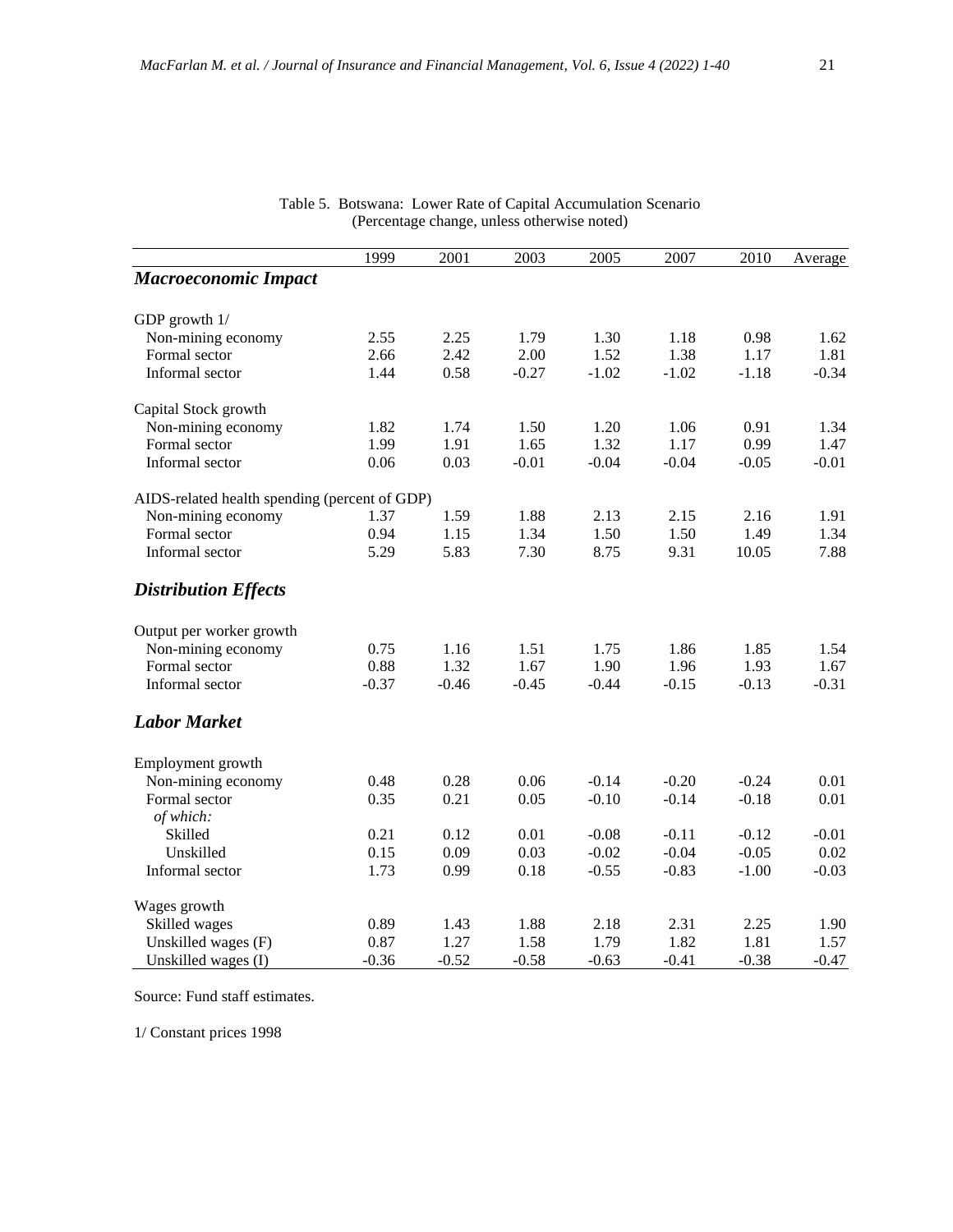|                                               | 1999    | 2001    | 2003    | 2005    | 2007    | 2010    | Average |
|-----------------------------------------------|---------|---------|---------|---------|---------|---------|---------|
| <b>Macroeconomic Impact</b>                   |         |         |         |         |         |         |         |
| GDP growth $1/$                               |         |         |         |         |         |         |         |
| Non-mining economy                            | 2.55    | 2.25    | 1.79    | 1.30    | 1.18    | 0.98    | 1.62    |
| Formal sector                                 | 2.66    | 2.42    | 2.00    | 1.52    | 1.38    | 1.17    | 1.81    |
| Informal sector                               | 1.44    | 0.58    | $-0.27$ | $-1.02$ | $-1.02$ | $-1.18$ | $-0.34$ |
| Capital Stock growth                          |         |         |         |         |         |         |         |
| Non-mining economy                            | 1.82    | 1.74    | 1.50    | 1.20    | 1.06    | 0.91    | 1.34    |
| Formal sector                                 | 1.99    | 1.91    | 1.65    | 1.32    | 1.17    | 0.99    | 1.47    |
| Informal sector                               | 0.06    | 0.03    | $-0.01$ | $-0.04$ | $-0.04$ | $-0.05$ | $-0.01$ |
| AIDS-related health spending (percent of GDP) |         |         |         |         |         |         |         |
| Non-mining economy                            | 1.37    | 1.59    | 1.88    | 2.13    | 2.15    | 2.16    | 1.91    |
| Formal sector                                 | 0.94    | 1.15    | 1.34    | 1.50    | 1.50    | 1.49    | 1.34    |
| Informal sector                               | 5.29    | 5.83    | 7.30    | 8.75    | 9.31    | 10.05   | 7.88    |
| <b>Distribution Effects</b>                   |         |         |         |         |         |         |         |
| Output per worker growth                      |         |         |         |         |         |         |         |
| Non-mining economy                            | 0.75    | 1.16    | 1.51    | 1.75    | 1.86    | 1.85    | 1.54    |
| Formal sector                                 | 0.88    | 1.32    | 1.67    | 1.90    | 1.96    | 1.93    | 1.67    |
| Informal sector                               | $-0.37$ | $-0.46$ | $-0.45$ | $-0.44$ | $-0.15$ | $-0.13$ | $-0.31$ |
| <b>Labor Market</b>                           |         |         |         |         |         |         |         |
| Employment growth                             |         |         |         |         |         |         |         |
| Non-mining economy                            | 0.48    | 0.28    | 0.06    | $-0.14$ | $-0.20$ | $-0.24$ | 0.01    |
| Formal sector                                 | 0.35    | 0.21    | 0.05    | $-0.10$ | $-0.14$ | $-0.18$ | 0.01    |
| of which:                                     |         |         |         |         |         |         |         |
| Skilled                                       | 0.21    | 0.12    | 0.01    | $-0.08$ | $-0.11$ | $-0.12$ | $-0.01$ |
| Unskilled                                     | 0.15    | 0.09    | 0.03    | $-0.02$ | $-0.04$ | $-0.05$ | 0.02    |
| Informal sector                               | 1.73    | 0.99    | 0.18    | $-0.55$ | $-0.83$ | $-1.00$ | $-0.03$ |
| Wages growth                                  |         |         |         |         |         |         |         |
| Skilled wages                                 | 0.89    | 1.43    | 1.88    | 2.18    | 2.31    | 2.25    | 1.90    |
| Unskilled wages (F)                           | 0.87    | 1.27    | 1.58    | 1.79    | 1.82    | 1.81    | 1.57    |
| Unskilled wages (I)                           | $-0.36$ | $-0.52$ | $-0.58$ | $-0.63$ | $-0.41$ | $-0.38$ | $-0.47$ |

#### Table 5. Botswana: Lower Rate of Capital Accumulation Scenario (Percentage change, unless otherwise noted)

Source: Fund staff estimates.

1/ Constant prices 1998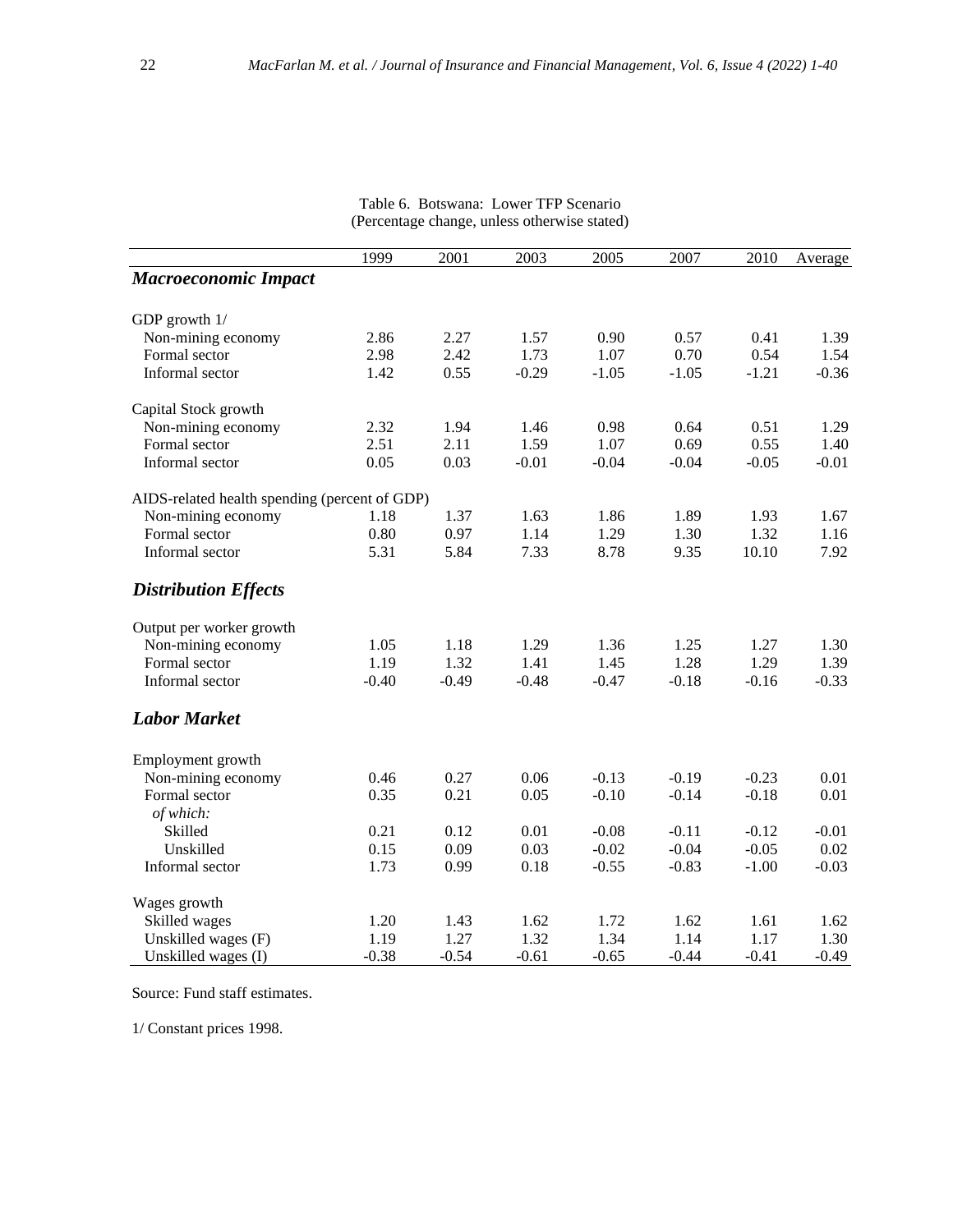|                                               | 1999    | 2001    | 2003    | 2005    | 2007    | 2010    | Average |
|-----------------------------------------------|---------|---------|---------|---------|---------|---------|---------|
| <b>Macroeconomic Impact</b>                   |         |         |         |         |         |         |         |
| GDP growth 1/                                 |         |         |         |         |         |         |         |
| Non-mining economy                            | 2.86    | 2.27    | 1.57    | 0.90    | 0.57    | 0.41    | 1.39    |
| Formal sector                                 | 2.98    | 2.42    | 1.73    | 1.07    | 0.70    | 0.54    | 1.54    |
| Informal sector                               | 1.42    | 0.55    | $-0.29$ | $-1.05$ | $-1.05$ | $-1.21$ | $-0.36$ |
| Capital Stock growth                          |         |         |         |         |         |         |         |
| Non-mining economy                            | 2.32    | 1.94    | 1.46    | 0.98    | 0.64    | 0.51    | 1.29    |
| Formal sector                                 | 2.51    | 2.11    | 1.59    | 1.07    | 0.69    | 0.55    | 1.40    |
| Informal sector                               | 0.05    | 0.03    | $-0.01$ | $-0.04$ | $-0.04$ | $-0.05$ | $-0.01$ |
| AIDS-related health spending (percent of GDP) |         |         |         |         |         |         |         |
| Non-mining economy                            | 1.18    | 1.37    | 1.63    | 1.86    | 1.89    | 1.93    | 1.67    |
| Formal sector                                 | 0.80    | 0.97    | 1.14    | 1.29    | 1.30    | 1.32    | 1.16    |
| Informal sector                               | 5.31    | 5.84    | 7.33    | 8.78    | 9.35    | 10.10   | 7.92    |
| <b>Distribution Effects</b>                   |         |         |         |         |         |         |         |
| Output per worker growth                      |         |         |         |         |         |         |         |
| Non-mining economy                            | 1.05    | 1.18    | 1.29    | 1.36    | 1.25    | 1.27    | 1.30    |
| Formal sector                                 | 1.19    | 1.32    | 1.41    | 1.45    | 1.28    | 1.29    | 1.39    |
| Informal sector                               | $-0.40$ | $-0.49$ | $-0.48$ | $-0.47$ | $-0.18$ | $-0.16$ | $-0.33$ |
| <b>Labor Market</b>                           |         |         |         |         |         |         |         |
| Employment growth                             |         |         |         |         |         |         |         |
| Non-mining economy                            | 0.46    | 0.27    | 0.06    | $-0.13$ | $-0.19$ | $-0.23$ | 0.01    |
| Formal sector                                 | 0.35    | 0.21    | 0.05    | $-0.10$ | $-0.14$ | $-0.18$ | 0.01    |
| of which:                                     |         |         |         |         |         |         |         |
| Skilled                                       | 0.21    | 0.12    | 0.01    | $-0.08$ | $-0.11$ | $-0.12$ | $-0.01$ |
| Unskilled                                     | 0.15    | 0.09    | 0.03    | $-0.02$ | $-0.04$ | $-0.05$ | 0.02    |
| Informal sector                               | 1.73    | 0.99    | 0.18    | $-0.55$ | $-0.83$ | $-1.00$ | $-0.03$ |
| Wages growth                                  |         |         |         |         |         |         |         |
| Skilled wages                                 | 1.20    | 1.43    | 1.62    | 1.72    | 1.62    | 1.61    | 1.62    |
| Unskilled wages (F)                           | 1.19    | 1.27    | 1.32    | 1.34    | 1.14    | 1.17    | 1.30    |
| Unskilled wages (I)                           | $-0.38$ | $-0.54$ | $-0.61$ | $-0.65$ | $-0.44$ | $-0.41$ | $-0.49$ |

Table 6. Botswana: Lower TFP Scenario (Percentage change, unless otherwise stated)

Source: Fund staff estimates.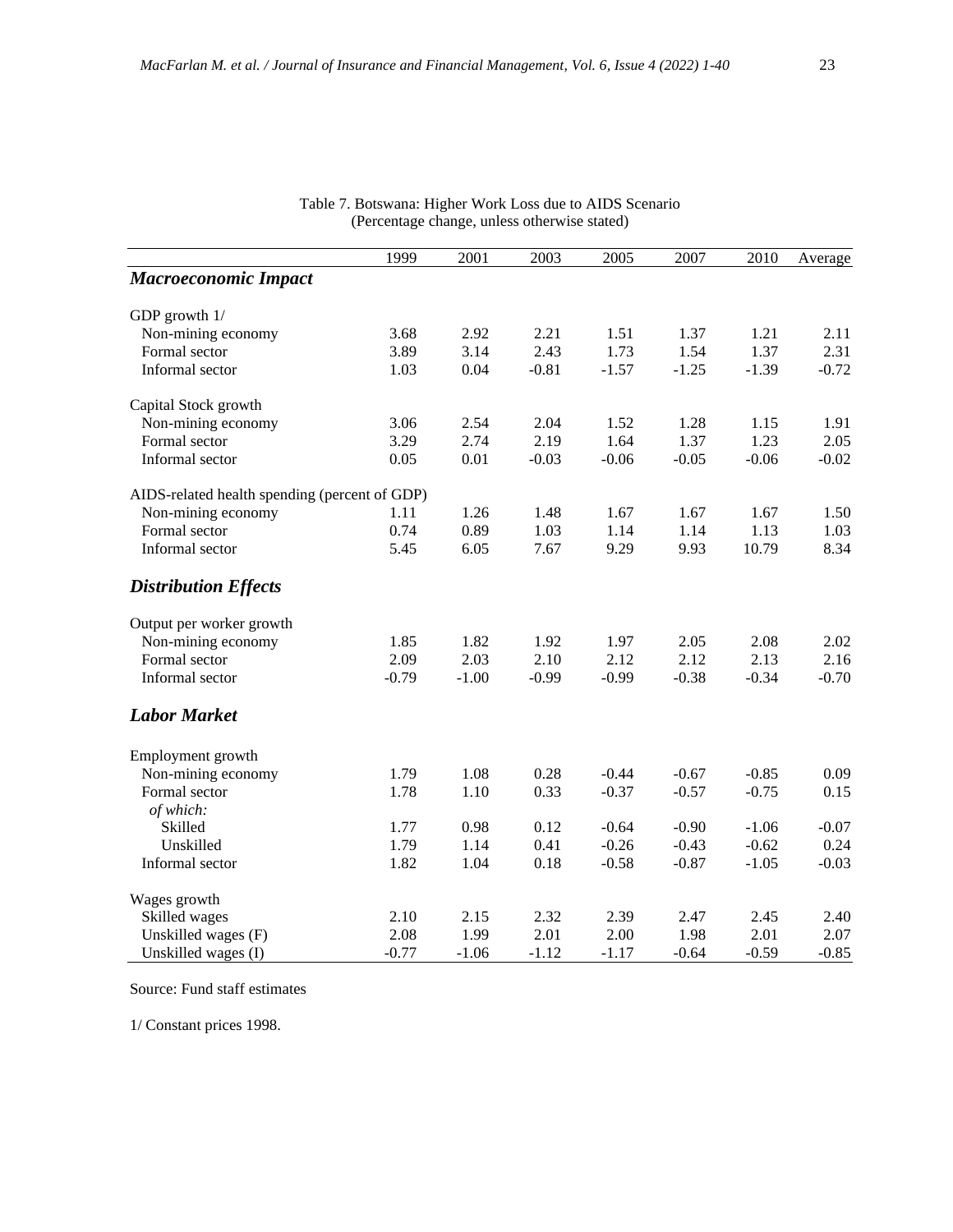|                                               | 1999    | 2001    | 2003    | 2005    | 2007    | 2010    | Average |
|-----------------------------------------------|---------|---------|---------|---------|---------|---------|---------|
| <b>Macroeconomic Impact</b>                   |         |         |         |         |         |         |         |
| GDP growth 1/                                 |         |         |         |         |         |         |         |
| Non-mining economy                            | 3.68    | 2.92    | 2.21    | 1.51    | 1.37    | 1.21    | 2.11    |
| Formal sector                                 | 3.89    | 3.14    | 2.43    | 1.73    | 1.54    | 1.37    | 2.31    |
| Informal sector                               | 1.03    | 0.04    | $-0.81$ | $-1.57$ | $-1.25$ | $-1.39$ | $-0.72$ |
| Capital Stock growth                          |         |         |         |         |         |         |         |
| Non-mining economy                            | 3.06    | 2.54    | 2.04    | 1.52    | 1.28    | 1.15    | 1.91    |
| Formal sector                                 | 3.29    | 2.74    | 2.19    | 1.64    | 1.37    | 1.23    | 2.05    |
| Informal sector                               | 0.05    | 0.01    | $-0.03$ | $-0.06$ | $-0.05$ | $-0.06$ | $-0.02$ |
| AIDS-related health spending (percent of GDP) |         |         |         |         |         |         |         |
| Non-mining economy                            | 1.11    | 1.26    | 1.48    | 1.67    | 1.67    | 1.67    | 1.50    |
| Formal sector                                 | 0.74    | 0.89    | 1.03    | 1.14    | 1.14    | 1.13    | 1.03    |
| Informal sector                               | 5.45    | 6.05    | 7.67    | 9.29    | 9.93    | 10.79   | 8.34    |
| <b>Distribution Effects</b>                   |         |         |         |         |         |         |         |
| Output per worker growth                      |         |         |         |         |         |         |         |
| Non-mining economy                            | 1.85    | 1.82    | 1.92    | 1.97    | 2.05    | 2.08    | 2.02    |
| Formal sector                                 | 2.09    | 2.03    | 2.10    | 2.12    | 2.12    | 2.13    | 2.16    |
| Informal sector                               | $-0.79$ | $-1.00$ | $-0.99$ | $-0.99$ | $-0.38$ | $-0.34$ | $-0.70$ |
| <b>Labor Market</b>                           |         |         |         |         |         |         |         |
| Employment growth                             |         |         |         |         |         |         |         |
| Non-mining economy                            | 1.79    | 1.08    | 0.28    | $-0.44$ | $-0.67$ | $-0.85$ | 0.09    |
| Formal sector                                 | 1.78    | 1.10    | 0.33    | $-0.37$ | $-0.57$ | $-0.75$ | 0.15    |
| of which:                                     |         |         |         |         |         |         |         |
| Skilled                                       | 1.77    | 0.98    | 0.12    | $-0.64$ | $-0.90$ | $-1.06$ | $-0.07$ |
| Unskilled                                     | 1.79    | 1.14    | 0.41    | $-0.26$ | $-0.43$ | $-0.62$ | 0.24    |
| Informal sector                               | 1.82    | 1.04    | 0.18    | $-0.58$ | $-0.87$ | $-1.05$ | $-0.03$ |
| Wages growth                                  |         |         |         |         |         |         |         |
| Skilled wages                                 | 2.10    | 2.15    | 2.32    | 2.39    | 2.47    | 2.45    | 2.40    |
| Unskilled wages (F)                           | 2.08    | 1.99    | 2.01    | 2.00    | 1.98    | 2.01    | 2.07    |
| Unskilled wages (I)                           | $-0.77$ | $-1.06$ | $-1.12$ | $-1.17$ | $-0.64$ | $-0.59$ | $-0.85$ |

Table 7. Botswana: Higher Work Loss due to AIDS Scenario (Percentage change, unless otherwise stated)

Source: Fund staff estimates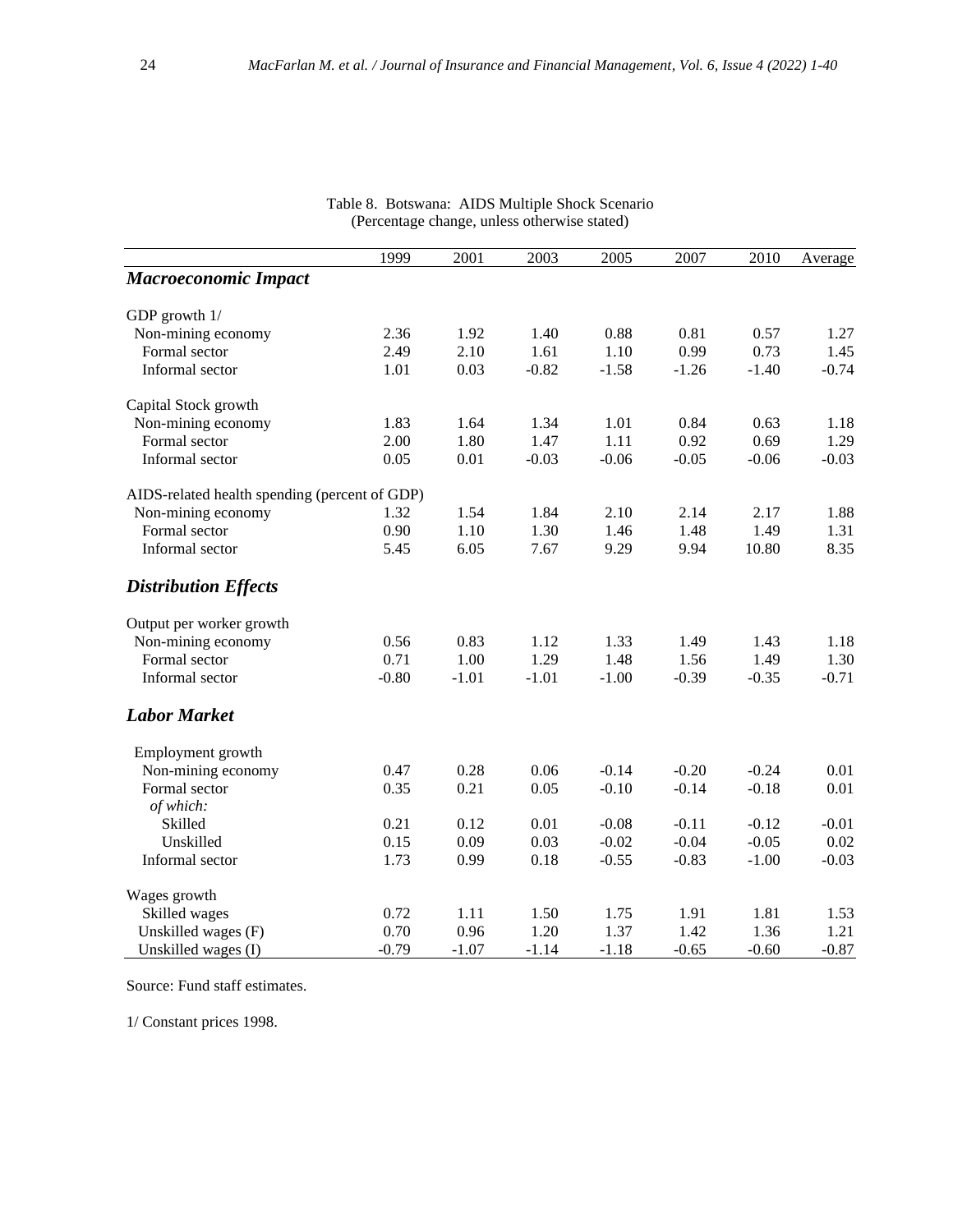|                                               | 1999    | 2001    | 2003    | 2005    | 2007    | 2010    | Average |
|-----------------------------------------------|---------|---------|---------|---------|---------|---------|---------|
| <b>Macroeconomic Impact</b>                   |         |         |         |         |         |         |         |
| GDP growth $1/$                               |         |         |         |         |         |         |         |
| Non-mining economy                            | 2.36    | 1.92    | 1.40    | 0.88    | 0.81    | 0.57    | 1.27    |
| Formal sector                                 | 2.49    | 2.10    | 1.61    | 1.10    | 0.99    | 0.73    | 1.45    |
| Informal sector                               | 1.01    | 0.03    | $-0.82$ | $-1.58$ | $-1.26$ | $-1.40$ | $-0.74$ |
| Capital Stock growth                          |         |         |         |         |         |         |         |
| Non-mining economy                            | 1.83    | 1.64    | 1.34    | 1.01    | 0.84    | 0.63    | 1.18    |
| Formal sector                                 | 2.00    | 1.80    | 1.47    | 1.11    | 0.92    | 0.69    | 1.29    |
| Informal sector                               | 0.05    | 0.01    | $-0.03$ | $-0.06$ | $-0.05$ | $-0.06$ | $-0.03$ |
| AIDS-related health spending (percent of GDP) |         |         |         |         |         |         |         |
| Non-mining economy                            | 1.32    | 1.54    | 1.84    | 2.10    | 2.14    | 2.17    | 1.88    |
| Formal sector                                 | 0.90    | 1.10    | 1.30    | 1.46    | 1.48    | 1.49    | 1.31    |
| Informal sector                               | 5.45    | 6.05    | 7.67    | 9.29    | 9.94    | 10.80   | 8.35    |
| <b>Distribution Effects</b>                   |         |         |         |         |         |         |         |
| Output per worker growth                      |         |         |         |         |         |         |         |
| Non-mining economy                            | 0.56    | 0.83    | 1.12    | 1.33    | 1.49    | 1.43    | 1.18    |
| Formal sector                                 | 0.71    | 1.00    | 1.29    | 1.48    | 1.56    | 1.49    | 1.30    |
| Informal sector                               | $-0.80$ | $-1.01$ | $-1.01$ | $-1.00$ | $-0.39$ | $-0.35$ | $-0.71$ |
| <b>Labor Market</b>                           |         |         |         |         |         |         |         |
| Employment growth                             |         |         |         |         |         |         |         |
| Non-mining economy                            | 0.47    | 0.28    | 0.06    | $-0.14$ | $-0.20$ | $-0.24$ | 0.01    |
| Formal sector                                 | 0.35    | 0.21    | 0.05    | $-0.10$ | $-0.14$ | $-0.18$ | 0.01    |
| of which:                                     |         |         |         |         |         |         |         |
| Skilled                                       | 0.21    | 0.12    | 0.01    | $-0.08$ | $-0.11$ | $-0.12$ | $-0.01$ |
| Unskilled                                     | 0.15    | 0.09    | 0.03    | $-0.02$ | $-0.04$ | $-0.05$ | 0.02    |
| Informal sector                               | 1.73    | 0.99    | 0.18    | $-0.55$ | $-0.83$ | $-1.00$ | $-0.03$ |
| Wages growth                                  |         |         |         |         |         |         |         |
| Skilled wages                                 | 0.72    | 1.11    | 1.50    | 1.75    | 1.91    | 1.81    | 1.53    |
| Unskilled wages (F)                           | 0.70    | 0.96    | 1.20    | 1.37    | 1.42    | 1.36    | 1.21    |
| Unskilled wages (I)                           | $-0.79$ | $-1.07$ | $-1.14$ | $-1.18$ | $-0.65$ | $-0.60$ | $-0.87$ |

#### Table 8. Botswana: AIDS Multiple Shock Scenario (Percentage change, unless otherwise stated)

Source: Fund staff estimates.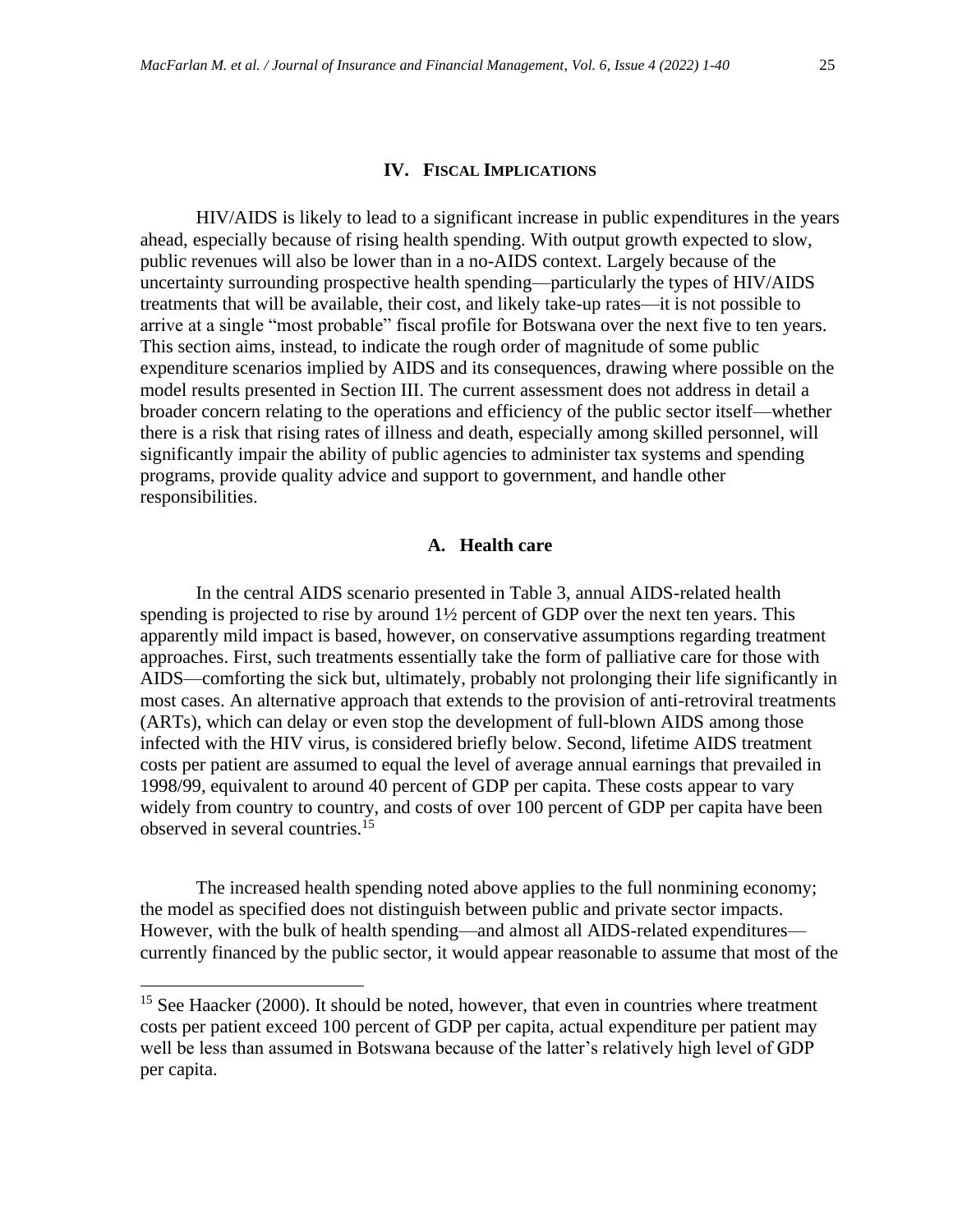#### **IV. FISCAL IMPLICATIONS**

HIV/AIDS is likely to lead to a significant increase in public expenditures in the years ahead, especially because of rising health spending. With output growth expected to slow, public revenues will also be lower than in a no-AIDS context. Largely because of the uncertainty surrounding prospective health spending—particularly the types of HIV/AIDS treatments that will be available, their cost, and likely take-up rates—it is not possible to arrive at a single "most probable" fiscal profile for Botswana over the next five to ten years. This section aims, instead, to indicate the rough order of magnitude of some public expenditure scenarios implied by AIDS and its consequences, drawing where possible on the model results presented in Section III. The current assessment does not address in detail a broader concern relating to the operations and efficiency of the public sector itself—whether there is a risk that rising rates of illness and death, especially among skilled personnel, will significantly impair the ability of public agencies to administer tax systems and spending programs, provide quality advice and support to government, and handle other responsibilities.

#### **A. Health care**

In the central AIDS scenario presented in Table 3, annual AIDS-related health spending is projected to rise by around 1½ percent of GDP over the next ten years. This apparently mild impact is based, however, on conservative assumptions regarding treatment approaches. First, such treatments essentially take the form of palliative care for those with AIDS—comforting the sick but, ultimately, probably not prolonging their life significantly in most cases. An alternative approach that extends to the provision of anti-retroviral treatments (ARTs), which can delay or even stop the development of full-blown AIDS among those infected with the HIV virus, is considered briefly below. Second, lifetime AIDS treatment costs per patient are assumed to equal the level of average annual earnings that prevailed in 1998/99, equivalent to around 40 percent of GDP per capita. These costs appear to vary widely from country to country, and costs of over 100 percent of GDP per capita have been observed in several countries.<sup>15</sup>

The increased health spending noted above applies to the full nonmining economy; the model as specified does not distinguish between public and private sector impacts. However, with the bulk of health spending—and almost all AIDS-related expenditures currently financed by the public sector, it would appear reasonable to assume that most of the

<sup>&</sup>lt;sup>15</sup> See Haacker (2000). It should be noted, however, that even in countries where treatment costs per patient exceed 100 percent of GDP per capita, actual expenditure per patient may well be less than assumed in Botswana because of the latter's relatively high level of GDP per capita.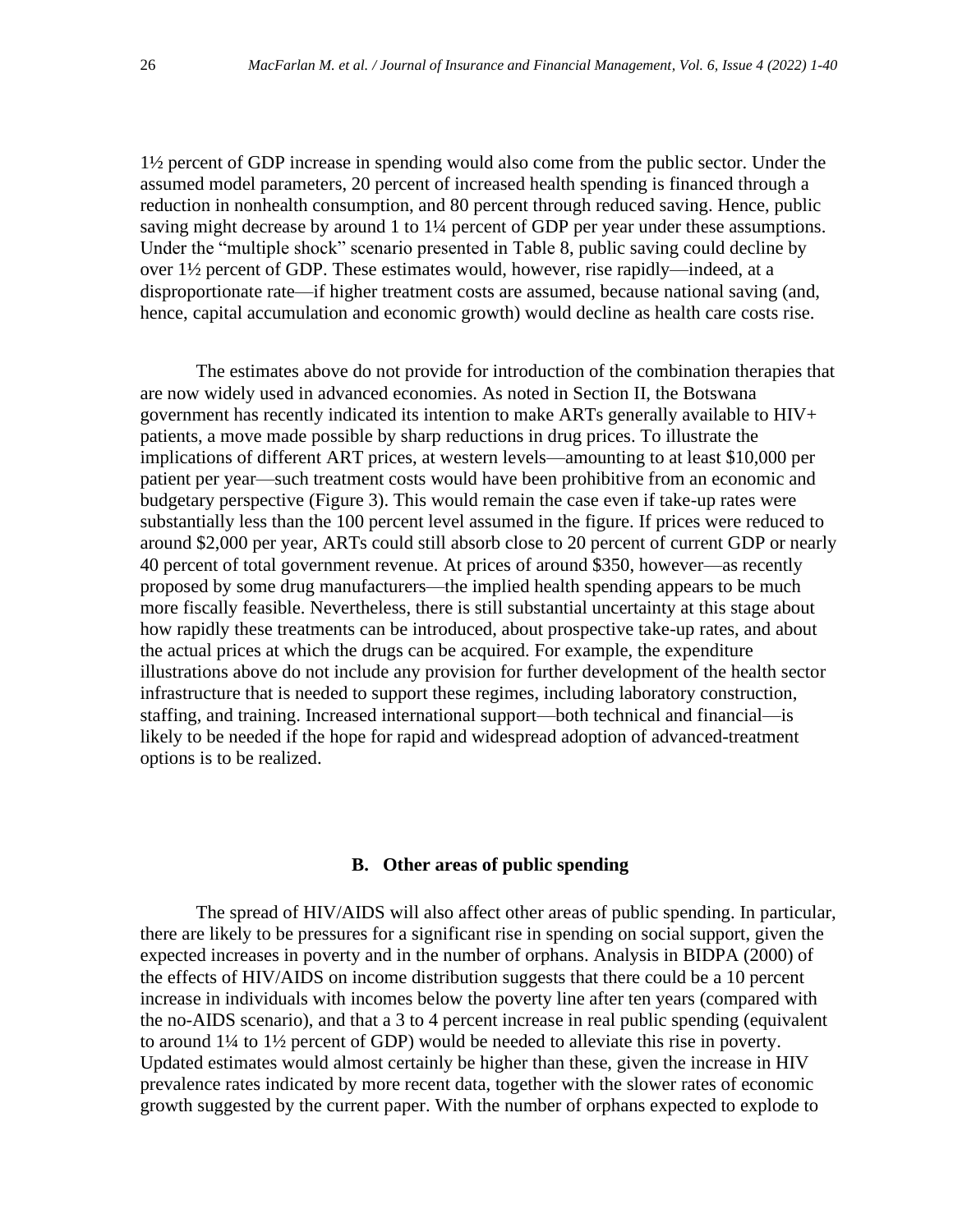1½ percent of GDP increase in spending would also come from the public sector. Under the assumed model parameters, 20 percent of increased health spending is financed through a reduction in nonhealth consumption, and 80 percent through reduced saving. Hence, public saving might decrease by around 1 to 1¼ percent of GDP per year under these assumptions. Under the "multiple shock" scenario presented in Table 8, public saving could decline by over 1½ percent of GDP. These estimates would, however, rise rapidly—indeed, at a disproportionate rate—if higher treatment costs are assumed, because national saving (and, hence, capital accumulation and economic growth) would decline as health care costs rise.

The estimates above do not provide for introduction of the combination therapies that are now widely used in advanced economies. As noted in Section II, the Botswana government has recently indicated its intention to make ARTs generally available to HIV+ patients, a move made possible by sharp reductions in drug prices. To illustrate the implications of different ART prices, at western levels—amounting to at least \$10,000 per patient per year—such treatment costs would have been prohibitive from an economic and budgetary perspective (Figure 3). This would remain the case even if take-up rates were substantially less than the 100 percent level assumed in the figure. If prices were reduced to around \$2,000 per year, ARTs could still absorb close to 20 percent of current GDP or nearly 40 percent of total government revenue. At prices of around \$350, however—as recently proposed by some drug manufacturers—the implied health spending appears to be much more fiscally feasible. Nevertheless, there is still substantial uncertainty at this stage about how rapidly these treatments can be introduced, about prospective take-up rates, and about the actual prices at which the drugs can be acquired. For example, the expenditure illustrations above do not include any provision for further development of the health sector infrastructure that is needed to support these regimes, including laboratory construction, staffing, and training. Increased international support—both technical and financial—is likely to be needed if the hope for rapid and widespread adoption of advanced-treatment options is to be realized.

# **B. Other areas of public spending**

The spread of HIV/AIDS will also affect other areas of public spending. In particular, there are likely to be pressures for a significant rise in spending on social support, given the expected increases in poverty and in the number of orphans. Analysis in BIDPA (2000) of the effects of HIV/AIDS on income distribution suggests that there could be a 10 percent increase in individuals with incomes below the poverty line after ten years (compared with the no-AIDS scenario), and that a 3 to 4 percent increase in real public spending (equivalent to around 1¼ to 1½ percent of GDP) would be needed to alleviate this rise in poverty. Updated estimates would almost certainly be higher than these, given the increase in HIV prevalence rates indicated by more recent data, together with the slower rates of economic growth suggested by the current paper. With the number of orphans expected to explode to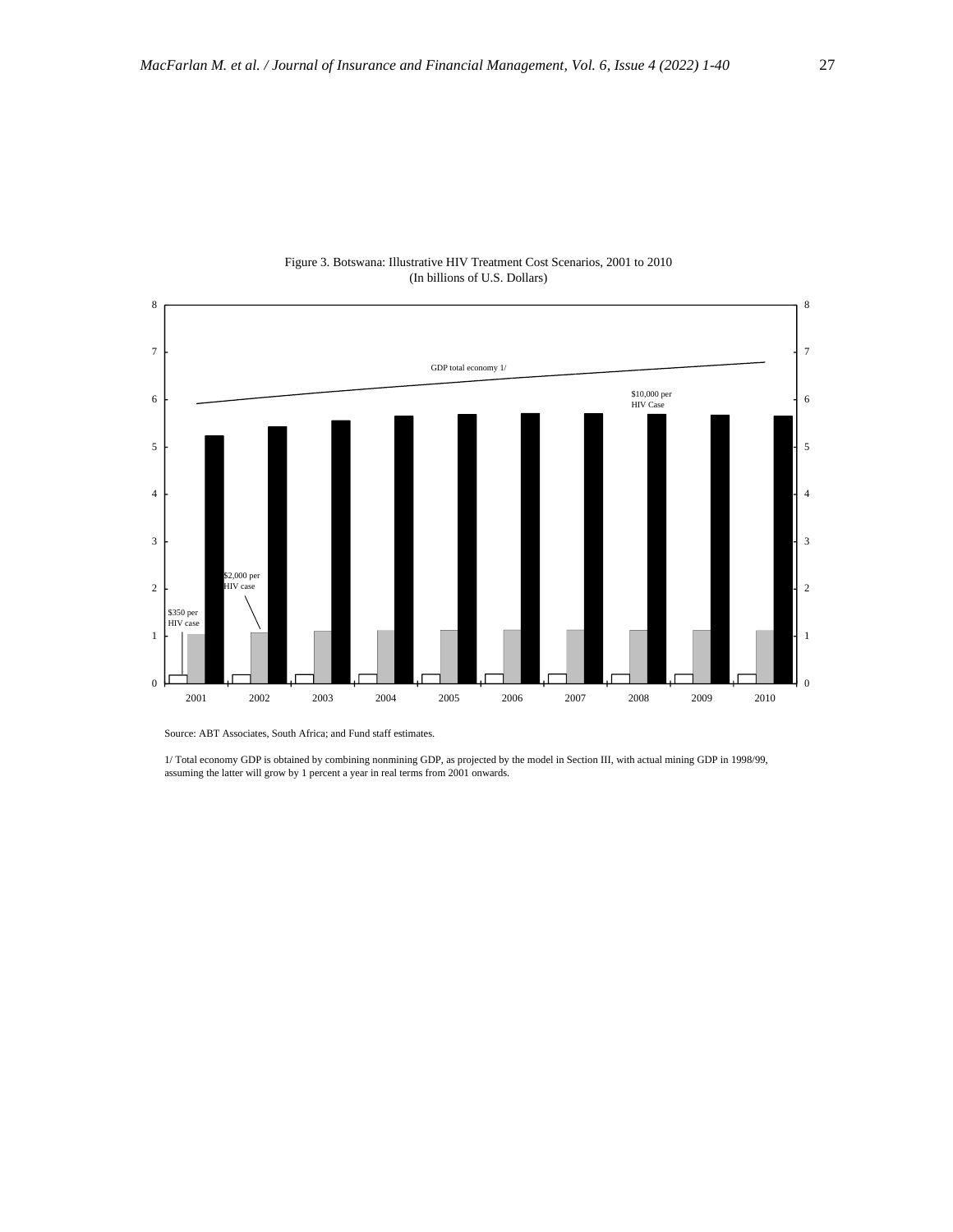

#### Figure 3. Botswana: Illustrative HIV Treatment Cost Scenarios, 2001 to 2010 (In billions of U.S. Dollars)

Source: ABT Associates, South Africa; and Fund staff estimates.

1/ Total economy GDP is obtained by combining nonmining GDP, as projected by the model in Section III, with actual mining GDP in 1998/99, assuming the latter will grow by 1 percent a year in real terms from 2001 onwards.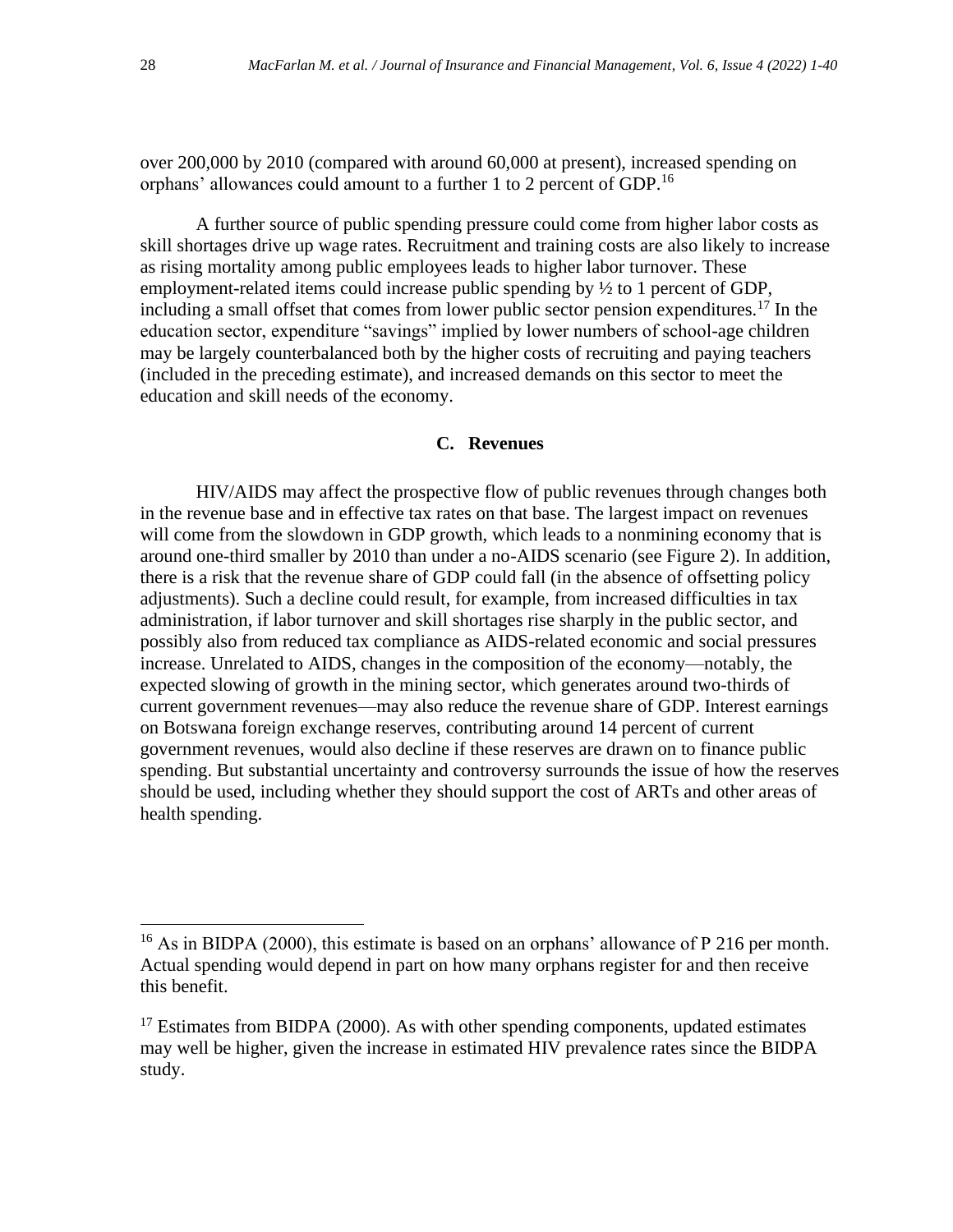over 200,000 by 2010 (compared with around 60,000 at present), increased spending on orphans' allowances could amount to a further 1 to 2 percent of GDP.<sup>16</sup>

A further source of public spending pressure could come from higher labor costs as skill shortages drive up wage rates. Recruitment and training costs are also likely to increase as rising mortality among public employees leads to higher labor turnover. These employment-related items could increase public spending by ½ to 1 percent of GDP, including a small offset that comes from lower public sector pension expenditures.<sup>17</sup> In the education sector, expenditure "savings" implied by lower numbers of school-age children may be largely counterbalanced both by the higher costs of recruiting and paying teachers (included in the preceding estimate), and increased demands on this sector to meet the education and skill needs of the economy.

# **C. Revenues**

HIV/AIDS may affect the prospective flow of public revenues through changes both in the revenue base and in effective tax rates on that base. The largest impact on revenues will come from the slowdown in GDP growth, which leads to a nonmining economy that is around one-third smaller by 2010 than under a no-AIDS scenario (see Figure 2). In addition, there is a risk that the revenue share of GDP could fall (in the absence of offsetting policy adjustments). Such a decline could result, for example, from increased difficulties in tax administration, if labor turnover and skill shortages rise sharply in the public sector, and possibly also from reduced tax compliance as AIDS-related economic and social pressures increase. Unrelated to AIDS, changes in the composition of the economy—notably, the expected slowing of growth in the mining sector, which generates around two-thirds of current government revenues—may also reduce the revenue share of GDP. Interest earnings on Botswana foreign exchange reserves, contributing around 14 percent of current government revenues, would also decline if these reserves are drawn on to finance public spending. But substantial uncertainty and controversy surrounds the issue of how the reserves should be used, including whether they should support the cost of ARTs and other areas of health spending.

<sup>&</sup>lt;sup>16</sup> As in BIDPA (2000), this estimate is based on an orphans' allowance of P 216 per month. Actual spending would depend in part on how many orphans register for and then receive this benefit.

 $17$  Estimates from BIDPA (2000). As with other spending components, updated estimates may well be higher, given the increase in estimated HIV prevalence rates since the BIDPA study.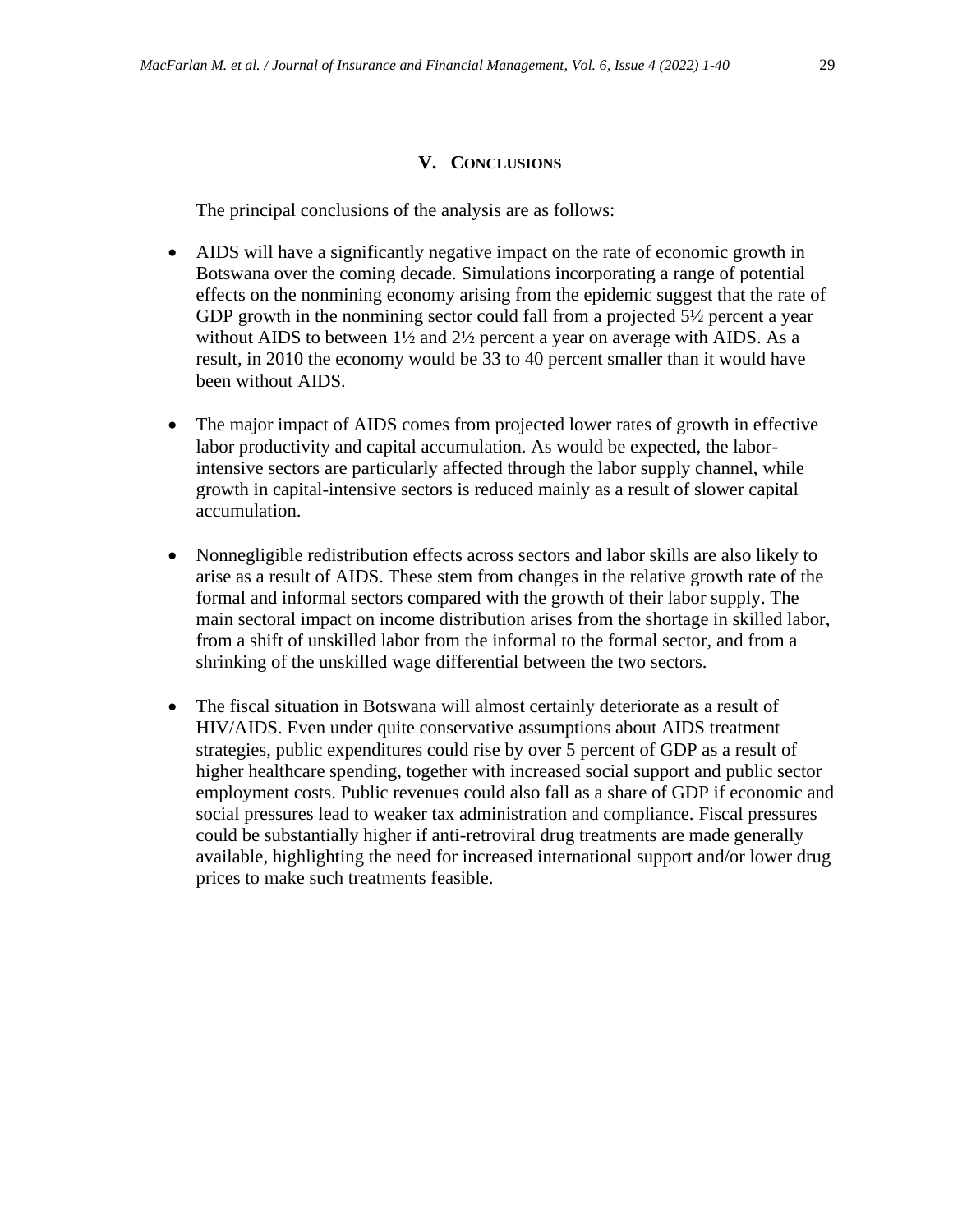# **V. CONCLUSIONS**

The principal conclusions of the analysis are as follows:

- AIDS will have a significantly negative impact on the rate of economic growth in Botswana over the coming decade. Simulations incorporating a range of potential effects on the nonmining economy arising from the epidemic suggest that the rate of GDP growth in the nonmining sector could fall from a projected 5½ percent a year without AIDS to between  $1\frac{1}{2}$  and  $2\frac{1}{2}$  percent a year on average with AIDS. As a result, in 2010 the economy would be 33 to 40 percent smaller than it would have been without AIDS.
- The major impact of AIDS comes from projected lower rates of growth in effective labor productivity and capital accumulation. As would be expected, the laborintensive sectors are particularly affected through the labor supply channel, while growth in capital-intensive sectors is reduced mainly as a result of slower capital accumulation.
- Nonnegligible redistribution effects across sectors and labor skills are also likely to arise as a result of AIDS. These stem from changes in the relative growth rate of the formal and informal sectors compared with the growth of their labor supply. The main sectoral impact on income distribution arises from the shortage in skilled labor, from a shift of unskilled labor from the informal to the formal sector, and from a shrinking of the unskilled wage differential between the two sectors.
- The fiscal situation in Botswana will almost certainly deteriorate as a result of HIV/AIDS. Even under quite conservative assumptions about AIDS treatment strategies, public expenditures could rise by over 5 percent of GDP as a result of higher healthcare spending, together with increased social support and public sector employment costs. Public revenues could also fall as a share of GDP if economic and social pressures lead to weaker tax administration and compliance. Fiscal pressures could be substantially higher if anti-retroviral drug treatments are made generally available, highlighting the need for increased international support and/or lower drug prices to make such treatments feasible.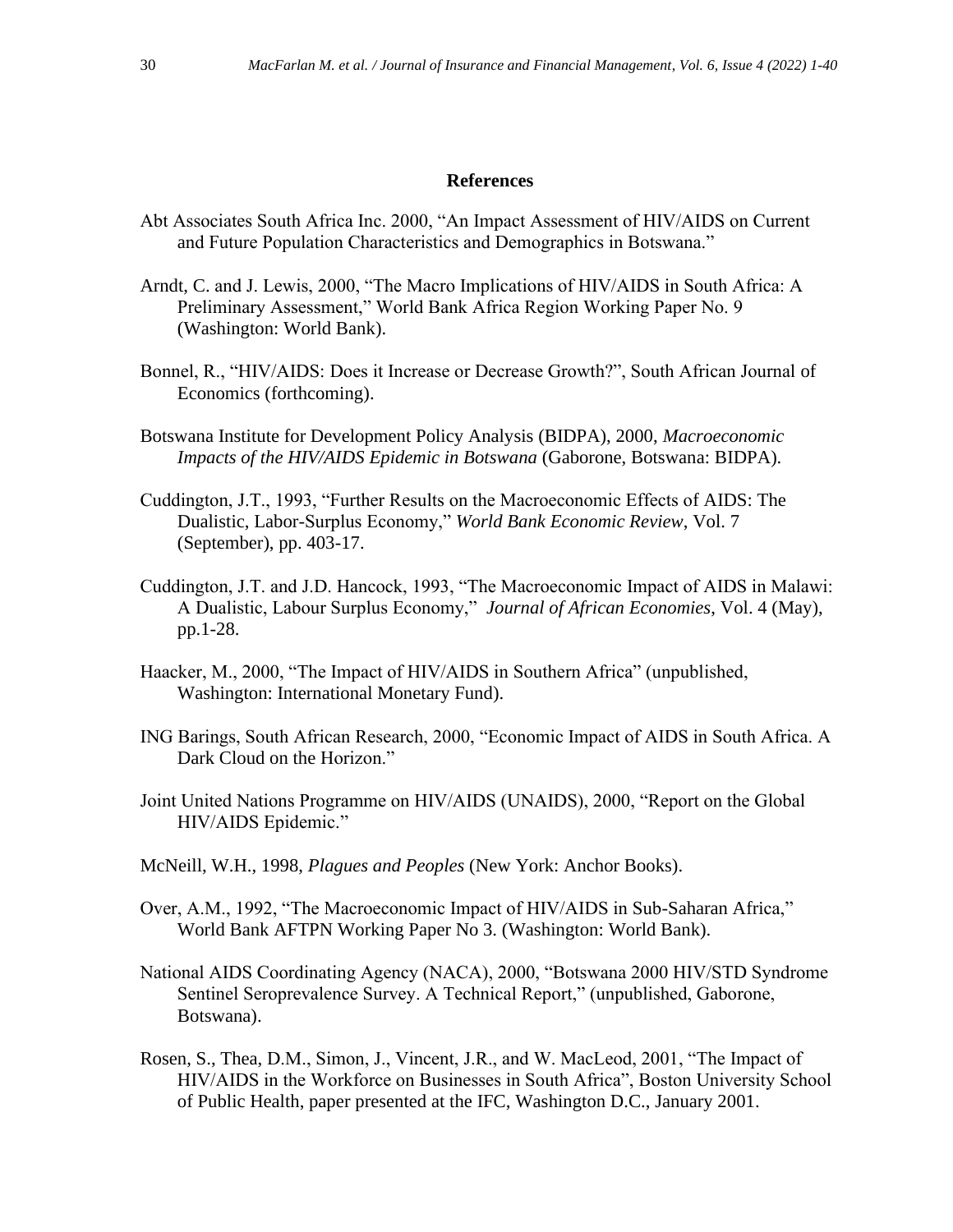#### **References**

- Abt Associates South Africa Inc. 2000, "An Impact Assessment of HIV/AIDS on Current and Future Population Characteristics and Demographics in Botswana."
- Arndt, C. and J. Lewis, 2000, "The Macro Implications of HIV/AIDS in South Africa: A Preliminary Assessment," World Bank Africa Region Working Paper No. 9 (Washington: World Bank).
- Bonnel, R., "HIV/AIDS: Does it Increase or Decrease Growth?", South African Journal of Economics (forthcoming).
- Botswana Institute for Development Policy Analysis (BIDPA), 2000, *Macroeconomic Impacts of the HIV/AIDS Epidemic in Botswana* (Gaborone, Botswana: BIDPA).
- Cuddington, J.T., 1993, "Further Results on the Macroeconomic Effects of AIDS: The Dualistic, Labor-Surplus Economy," *World Bank Economic Review*, Vol. 7 (September), pp. 403-17.
- Cuddington, J.T. and J.D. Hancock, 1993, "The Macroeconomic Impact of AIDS in Malawi: A Dualistic, Labour Surplus Economy," *Journal of African Economies*, Vol. 4 (May), pp.1-28.
- Haacker, M., 2000, "The Impact of HIV/AIDS in Southern Africa" (unpublished, Washington: International Monetary Fund).
- ING Barings, South African Research, 2000, "Economic Impact of AIDS in South Africa. A Dark Cloud on the Horizon."
- Joint United Nations Programme on HIV/AIDS (UNAIDS), 2000, "Report on the Global HIV/AIDS Epidemic."
- McNeill, W.H., 1998, *Plagues and Peoples* (New York: Anchor Books).
- Over, A.M., 1992, "The Macroeconomic Impact of HIV/AIDS in Sub-Saharan Africa," World Bank AFTPN Working Paper No 3. (Washington: World Bank).
- National AIDS Coordinating Agency (NACA), 2000, "Botswana 2000 HIV/STD Syndrome Sentinel Seroprevalence Survey. A Technical Report," (unpublished, Gaborone, Botswana).
- Rosen, S., Thea, D.M., Simon, J., Vincent, J.R., and W. MacLeod, 2001, "The Impact of HIV/AIDS in the Workforce on Businesses in South Africa", Boston University School of Public Health, paper presented at the IFC, Washington D.C., January 2001.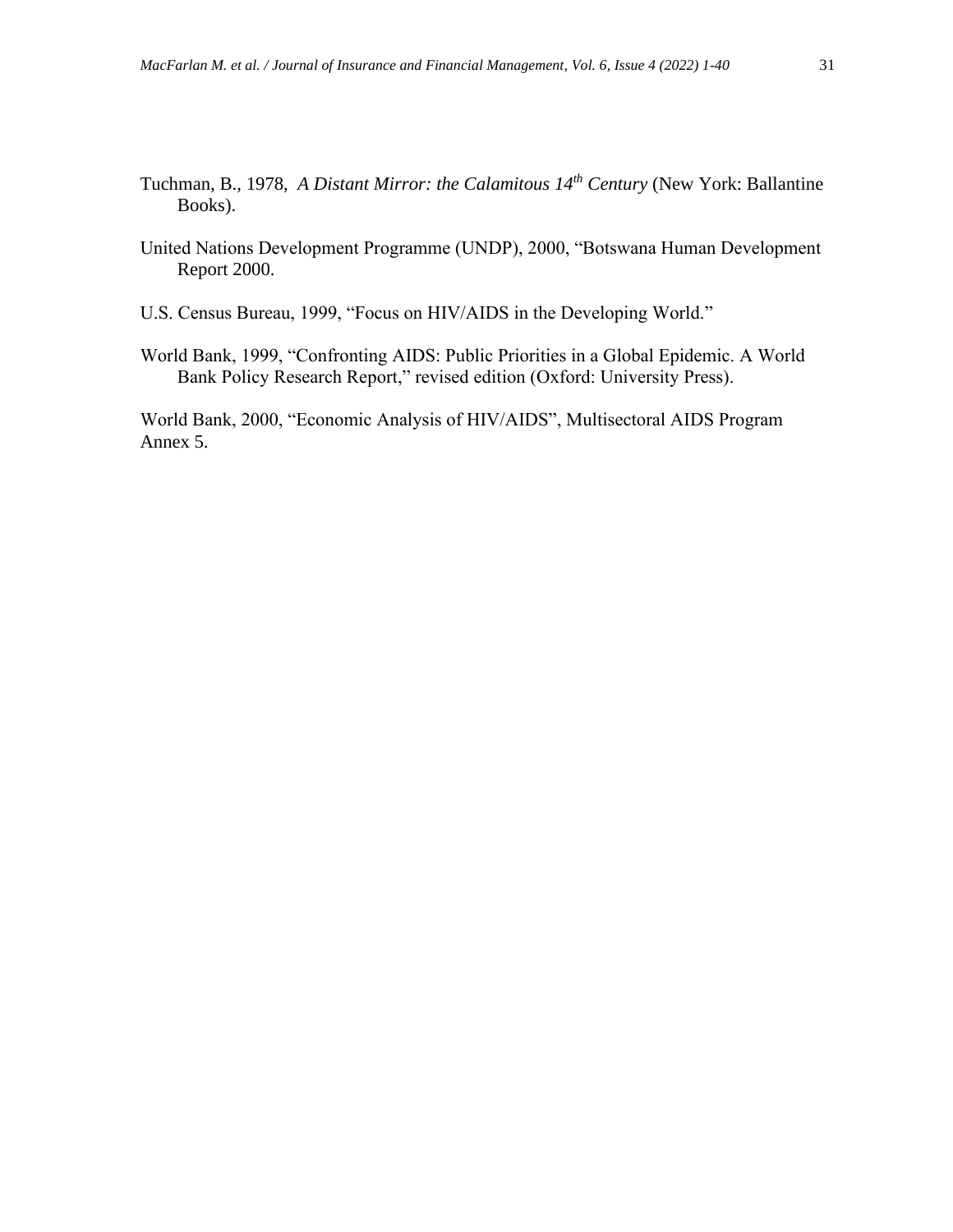- Tuchman, B., 1978, *A Distant Mirror: the Calamitous 14th Century* (New York: Ballantine Books).
- United Nations Development Programme (UNDP), 2000, "Botswana Human Development Report 2000.
- U.S. Census Bureau, 1999, "Focus on HIV/AIDS in the Developing World."
- World Bank, 1999, "Confronting AIDS: Public Priorities in a Global Epidemic. A World Bank Policy Research Report," revised edition (Oxford: University Press).

World Bank, 2000, "Economic Analysis of HIV/AIDS", Multisectoral AIDS Program Annex 5.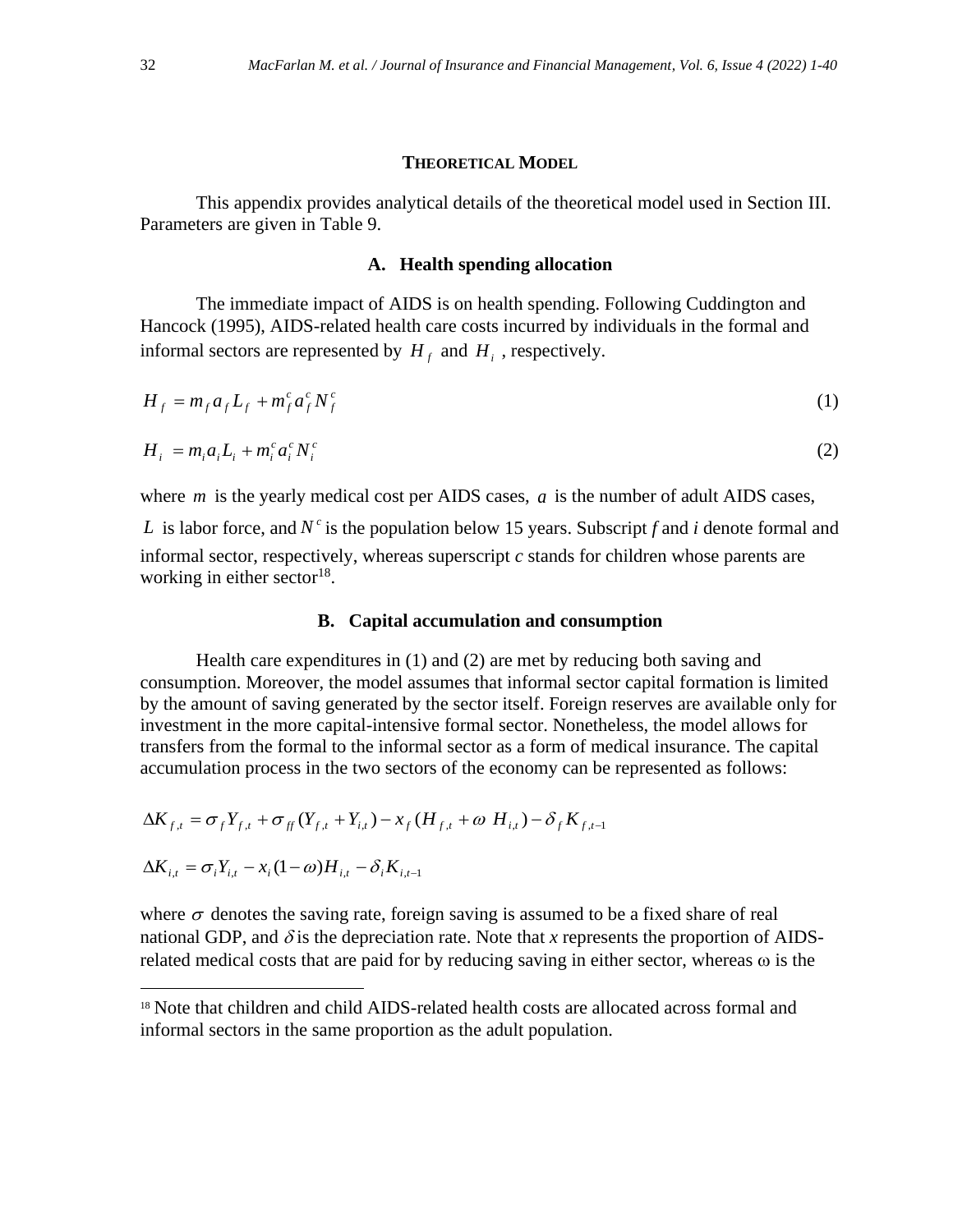#### **THEORETICAL MODEL**

This appendix provides analytical details of the theoretical model used in Section III. Parameters are given in Table 9.

# **A. Health spending allocation**

The immediate impact of AIDS is on health spending. Following Cuddington and Hancock (1995), AIDS-related health care costs incurred by individuals in the formal and informal sectors are represented by  $H_f$  and  $H_i$ , respectively.

$$
H_f = m_f a_f L_f + m_f^c a_f^c N_f^c \tag{1}
$$

$$
H_i = m_i a_i L_i + m_i^c a_i^c N_i^c \tag{2}
$$

where  $m$  is the yearly medical cost per AIDS cases,  $a$  is the number of adult AIDS cases,

*L* is labor force, and  $N^c$  is the population below 15 years. Subscript *f* and *i* denote formal and informal sector, respectively, whereas superscript *c* stands for children whose parents are working in either sector<sup>18</sup>.

#### **B. Capital accumulation and consumption**

Health care expenditures in (1) and (2) are met by reducing both saving and consumption. Moreover, the model assumes that informal sector capital formation is limited by the amount of saving generated by the sector itself. Foreign reserves are available only for investment in the more capital-intensive formal sector. Nonetheless, the model allows for transfers from the formal to the informal sector as a form of medical insurance. The capital accumulation process in the two sectors of the economy can be represented as follows:

$$
\Delta K_{f,t} = \sigma_f Y_{f,t} + \sigma_{ff} (Y_{f,t} + Y_{i,t}) - x_f (H_{f,t} + \omega H_{i,t}) - \delta_f K_{f,t-1}
$$
  

$$
\Delta K_{i,t} = \sigma_i Y_{i,t} - x_i (1 - \omega) H_{i,t} - \delta_i K_{i,t-1}
$$

where  $\sigma$  denotes the saving rate, foreign saving is assumed to be a fixed share of real national GDP, and  $\delta$  is the depreciation rate. Note that x represents the proportion of AIDSrelated medical costs that are paid for by reducing saving in either sector, whereas  $\omega$  is the

<sup>&</sup>lt;sup>18</sup> Note that children and child AIDS-related health costs are allocated across formal and informal sectors in the same proportion as the adult population.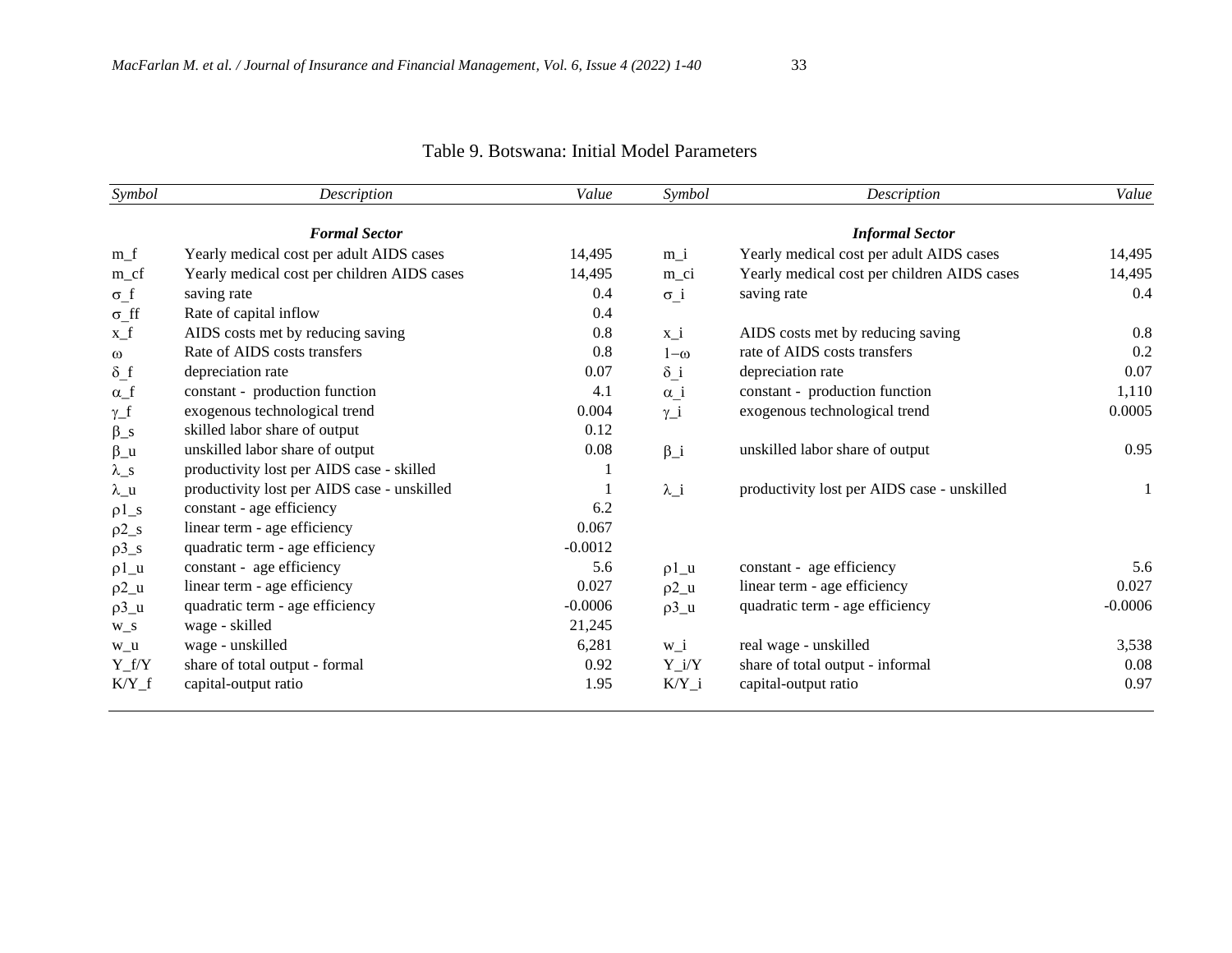| Symbol                 | Description                                 | Value     | Symbol                | Description                                 | Value     |
|------------------------|---------------------------------------------|-----------|-----------------------|---------------------------------------------|-----------|
|                        | <b>Formal Sector</b>                        |           |                       | <b>Informal Sector</b>                      |           |
| $m_f$                  | Yearly medical cost per adult AIDS cases    | 14,495    | $m_i$                 | Yearly medical cost per adult AIDS cases    | 14,495    |
| $m_c$ cf               | Yearly medical cost per children AIDS cases | 14,495    | m_ci                  | Yearly medical cost per children AIDS cases | 14,495    |
| $\sigma_f$             | saving rate                                 | 0.4       | $\sigma_i$            | saving rate                                 | 0.4       |
| $\sigma_{\text{f}}$ ff | Rate of capital inflow                      | 0.4       |                       |                                             |           |
| $x_f$                  | AIDS costs met by reducing saving           | 0.8       | $x_i$                 | AIDS costs met by reducing saving           | 0.8       |
| $\omega$               | Rate of AIDS costs transfers                | 0.8       | $1-\omega$            | rate of AIDS costs transfers                | 0.2       |
| $\delta$ f             | depreciation rate                           | 0.07      | $\delta$ i            | depreciation rate                           | 0.07      |
| $\alpha$ _f            | constant - production function              | 4.1       | $\alpha_i$            | constant - production function              | 1,110     |
| $\gamma_f$             | exogenous technological trend               | 0.004     | $\gamma_i$            | exogenous technological trend               | 0.0005    |
| $\beta_s$              | skilled labor share of output               | 0.12      |                       |                                             |           |
| $\beta_u$              | unskilled labor share of output             | 0.08      | $\beta_i$             | unskilled labor share of output             | 0.95      |
| $\lambda_{\rm S}$      | productivity lost per AIDS case - skilled   |           |                       |                                             |           |
| $\lambda$ _u           | productivity lost per AIDS case - unskilled |           | $\lambda_i$           | productivity lost per AIDS case - unskilled | 1         |
| $\rho1$ <sub>-S</sub>  | constant - age efficiency                   | 6.2       |                       |                                             |           |
| $\rho2$ <sub>_S</sub>  | linear term - age efficiency                | 0.067     |                       |                                             |           |
| $\rho$ 3_s             | quadratic term - age efficiency             | $-0.0012$ |                       |                                             |           |
| $\rho1_u$              | constant - age efficiency                   | 5.6       | $\rho1_u$             | constant - age efficiency                   | 5.6       |
| $\rho$ 2_u             | linear term - age efficiency                | 0.027     | $\rho$ <sup>2_u</sup> | linear term - age efficiency                | 0.027     |
| $p3_u$                 | quadratic term - age efficiency             | $-0.0006$ | $\rho$ 3_u            | quadratic term - age efficiency             | $-0.0006$ |
| $W_S$                  | wage - skilled                              | 21,245    |                       |                                             |           |
| $W_l$                  | wage - unskilled                            | 6,281     | $W_i$                 | real wage - unskilled                       | 3,538     |
| $Y_f/Y$                | share of total output - formal              | 0.92      | $Y_i/Y$               | share of total output - informal            | 0.08      |
| $K/Y_f$                | capital-output ratio                        | 1.95      | $K/Y_i$               | capital-output ratio                        | 0.97      |

# Table 9. Botswana: Initial Model Parameters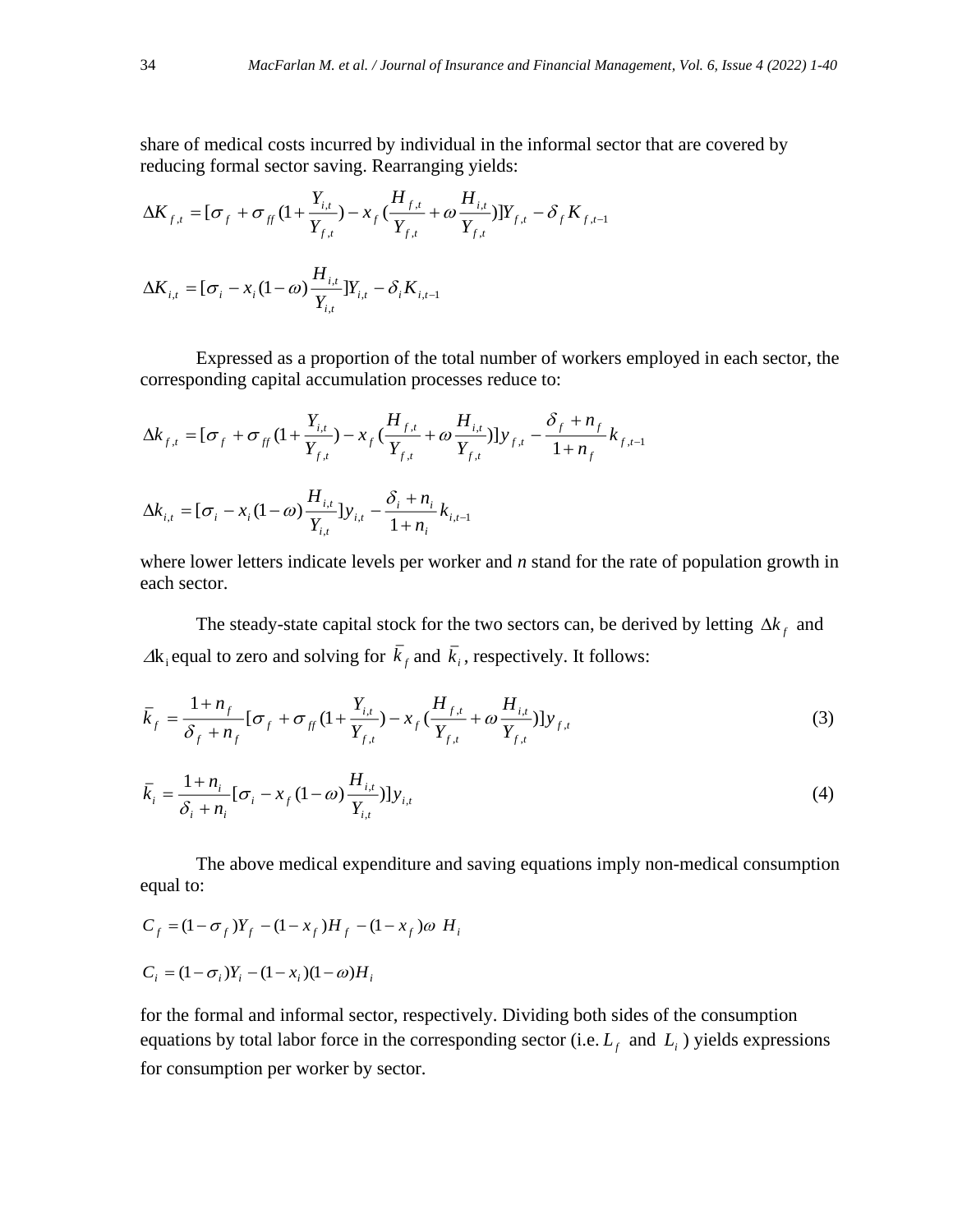share of medical costs incurred by individual in the informal sector that are covered by reducing formal sector saving. Rearranging yields:

$$
\Delta K_{f,t} = [\sigma_f + \sigma_{ff} (1 + \frac{Y_{i,t}}{Y_{f,t}}) - x_f (\frac{H_{f,t}}{Y_{f,t}} + \omega \frac{H_{i,t}}{Y_{f,t}})]Y_{f,t} - \delta_f K_{f,t-1}
$$
  

$$
\Delta K_{i,t} = [\sigma_i - x_i (1 - \omega) \frac{H_{i,t}}{Y_{i,t}}]Y_{i,t} - \delta_i K_{i,t-1}
$$

Expressed as a proportion of the total number of workers employed in each sector, the corresponding capital accumulation processes reduce to:

$$
\Delta k_{f,t} = [\sigma_f + \sigma_{ff} (1 + \frac{Y_{i,t}}{Y_{f,t}}) - x_f (\frac{H_{f,t}}{Y_{f,t}} + \omega \frac{H_{i,t}}{Y_{f,t}})] y_{f,t} - \frac{\delta_f + n_f}{1 + n_f} k_{f,t-1}
$$
  

$$
\Delta k_{i,t} = [\sigma_i - x_i (1 - \omega) \frac{H_{i,t}}{Y_{i,t}}] y_{i,t} - \frac{\delta_i + n_i}{1 + n_i} k_{i,t-1}
$$

where lower letters indicate levels per worker and *n* stand for the rate of population growth in each sector.

The steady-state capital stock for the two sectors can, be derived by letting  $\Delta k_f$  and  $\Delta k_i$  equal to zero and solving for  $k_f$  and  $k_i$ , respectively. It follows:

$$
\bar{k}_f = \frac{1 + n_f}{\delta_f + n_f} [\sigma_f + \sigma_{ff} (1 + \frac{Y_{i,t}}{Y_{f,t}}) - x_f (\frac{H_{f,t}}{Y_{f,t}} + \omega \frac{H_{i,t}}{Y_{f,t}})] y_{f,t}
$$
\n(3)

$$
\bar{k}_{i} = \frac{1 + n_{i}}{\delta_{i} + n_{i}} [\sigma_{i} - x_{f} (1 - \omega) \frac{H_{i,t}}{Y_{i,t}}] y_{i,t}
$$
\n(4)

The above medical expenditure and saving equations imply non-medical consumption equal to:

$$
C_f = (1 - \sigma_f)Y_f - (1 - x_f)H_f - (1 - x_f)\omega H_i
$$
  

$$
C_i = (1 - \sigma_i)Y_i - (1 - x_i)(1 - \omega)H_i
$$

for the formal and informal sector, respectively. Dividing both sides of the consumption equations by total labor force in the corresponding sector (i.e.  $L_f$  and  $L_i$ ) yields expressions for consumption per worker by sector.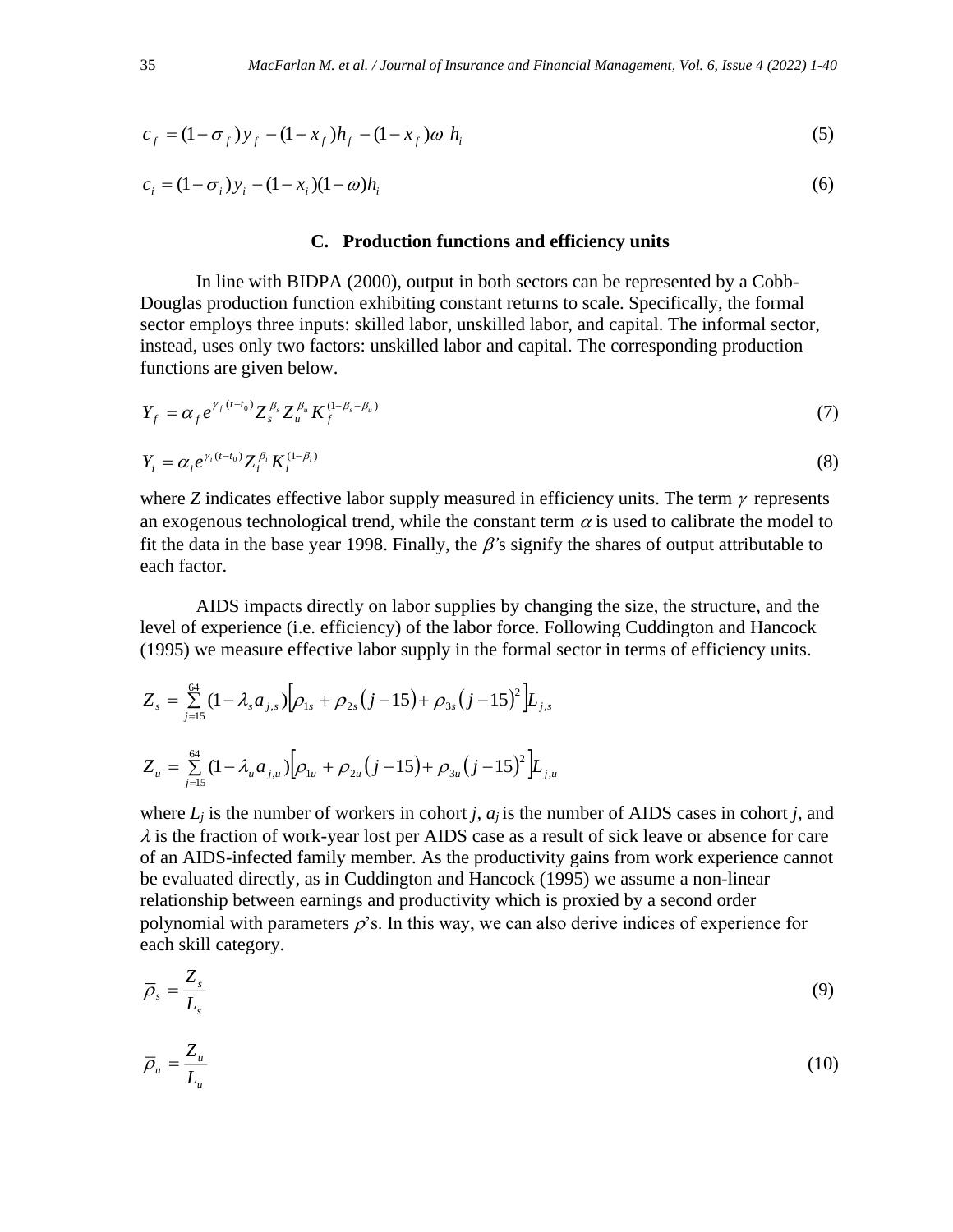$$
c_f = (1 - \sigma_f) y_f - (1 - x_f) h_f - (1 - x_f) \omega h_i
$$
 (5)

$$
c_i = (1 - \sigma_i) y_i - (1 - x_i)(1 - \omega) h_i
$$
\n(6)

#### **C. Production functions and efficiency units**

In line with BIDPA (2000), output in both sectors can be represented by a Cobb-Douglas production function exhibiting constant returns to scale. Specifically, the formal sector employs three inputs: skilled labor, unskilled labor, and capital. The informal sector, instead, uses only two factors: unskilled labor and capital. The corresponding production functions are given below.

$$
Y_f = \alpha_f e^{\gamma_f (t - t_0)} Z_s^{\beta_s} Z_u^{\beta_u} K_f^{(1 - \beta_s - \beta_u)}
$$
(7)

$$
Y_i = \alpha_i e^{\gamma_i (t - t_0)} Z_i^{\beta_i} K_i^{(1 - \beta_i)}
$$
\n
$$
\tag{8}
$$

where *Z* indicates effective labor supply measured in efficiency units. The term  $\gamma$  represents an exogenous technological trend, while the constant term  $\alpha$  is used to calibrate the model to fit the data in the base year 1998. Finally, the  $\beta$ 's signify the shares of output attributable to each factor.

AIDS impacts directly on labor supplies by changing the size, the structure, and the level of experience (i.e. efficiency) of the labor force. Following Cuddington and Hancock (1995) we measure effective labor supply in the formal sector in terms of efficiency units.

$$
Z_s = \sum_{j=15}^{64} (1 - \lambda_s a_{j,s}) \Big[ \rho_{1s} + \rho_{2s} (j - 15) + \rho_{3s} (j - 15)^2 \Big] L_{j,s}
$$
  

$$
Z_u = \sum_{j=15}^{64} (1 - \lambda_u a_{j,u}) \Big[ \rho_{1u} + \rho_{2u} (j - 15) + \rho_{3u} (j - 15)^2 \Big] L_{j,u}
$$

where  $L_i$  is the number of workers in cohort *j,*  $a_i$  is the number of AIDS cases in cohort *j,* and  $\lambda$  is the fraction of work-year lost per AIDS case as a result of sick leave or absence for care of an AIDS-infected family member. As the productivity gains from work experience cannot be evaluated directly, as in Cuddington and Hancock (1995) we assume a non-linear relationship between earnings and productivity which is proxied by a second order polynomial with parameters  $\rho$ 's. In this way, we can also derive indices of experience for each skill category.

$$
\overline{\rho}_s = \frac{Z_s}{L_s} \tag{9}
$$

$$
\overline{\rho}_u = \frac{Z_u}{L_u} \tag{10}
$$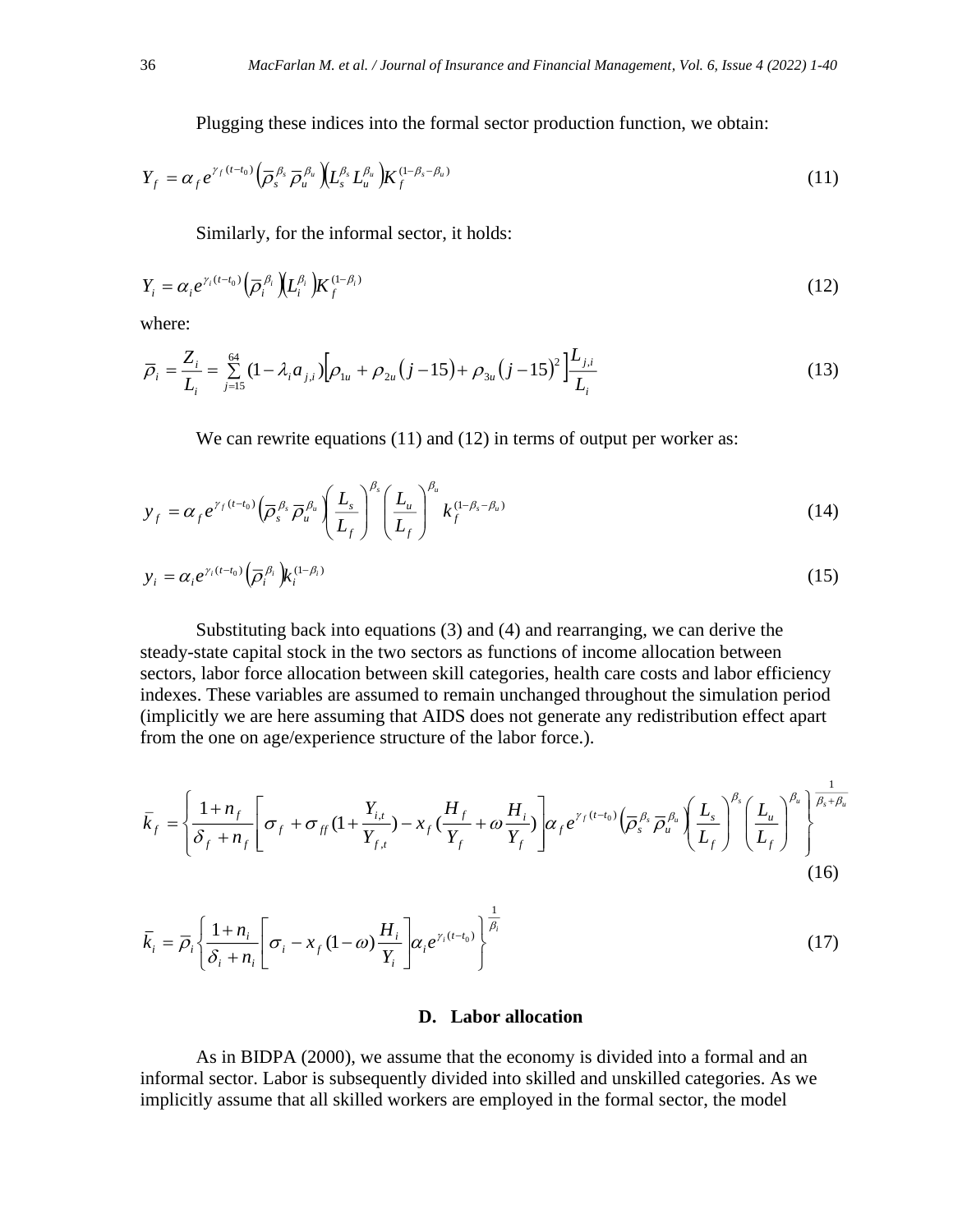Plugging these indices into the formal sector production function, we obtain:

$$
Y_f = \alpha_f e^{\gamma_f (t - t_0)} \left( \overline{\rho}_s^{\beta_s} \overline{\rho}_u^{\beta_u} \right) \left( L_s^{\beta_s} L_u^{\beta_u} \right) K_f^{(1 - \beta_s - \beta_u)}
$$
(11)

Similarly, for the informal sector, it holds:

$$
Y_i = \alpha_i e^{\gamma_i (t - t_0)} \left( \overline{\rho}_i^{\beta_i} \right) \left( L_i^{\beta_i} \right) K_f^{(1 - \beta_i)}
$$
\n<sup>(12)</sup>

where:

$$
\overline{\rho}_i = \frac{Z_i}{L_i} = \sum_{j=15}^{64} (1 - \lambda_i a_{j,i}) \Big[ \rho_{1u} + \rho_{2u} (j - 15) + \rho_{3u} (j - 15)^2 \Big] \frac{L_{j,i}}{L_i}
$$
(13)

We can rewrite equations (11) and (12) in terms of output per worker as:

$$
y_f = \alpha_f e^{\gamma_f (t - t_0)} \left( \overline{\rho}_s^{\beta_s} \overline{\rho}_u^{\beta_u} \right) \left( \frac{L_s}{L_f} \right)^{\beta_s} \left( \frac{L_u}{L_f} \right)^{\beta_u} k_f^{(1 - \beta_s - \beta_u)}
$$
(14)

$$
y_i = \alpha_i e^{\gamma_i (t - t_0)} \left( \overline{\rho}_i^{\beta_i} \right) k_i^{(1 - \beta_i)}
$$
 (15)

Substituting back into equations (3) and (4) and rearranging, we can derive the steady-state capital stock in the two sectors as functions of income allocation between sectors, labor force allocation between skill categories, health care costs and labor efficiency indexes. These variables are assumed to remain unchanged throughout the simulation period (implicitly we are here assuming that AIDS does not generate any redistribution effect apart from the one on age/experience structure of the labor force.).

$$
\bar{k}_f = \left\{ \frac{1 + n_f}{\delta_f + n_f} \left[ \sigma_f + \sigma_{ff} \left( 1 + \frac{Y_{i,t}}{Y_{f,t}} \right) - x_f \left( \frac{H_f}{Y_f} + \omega \frac{H_i}{Y_f} \right) \right] \alpha_f e^{\gamma_f (t - t_0)} \left( \overline{\rho}_s^{\beta_s} \overline{\rho}_u^{\beta_u} \right) \left( \frac{L_s}{L_f} \right)^{\beta_s} \left( \frac{L_u}{L_f} \right)^{\beta_u} \right\}^{\frac{1}{\beta_s + \beta_u}}
$$
\n(16)

$$
\bar{k}_i = \bar{\rho}_i \left\{ \frac{1 + n_i}{\delta_i + n_i} \left[ \sigma_i - x_f (1 - \omega) \frac{H_i}{Y_i} \right] \alpha_i e^{\gamma_i (t - t_0)} \right\}^{\frac{1}{\beta_i}}
$$
(17)

#### **D. Labor allocation**

As in BIDPA (2000), we assume that the economy is divided into a formal and an informal sector. Labor is subsequently divided into skilled and unskilled categories. As we implicitly assume that all skilled workers are employed in the formal sector, the model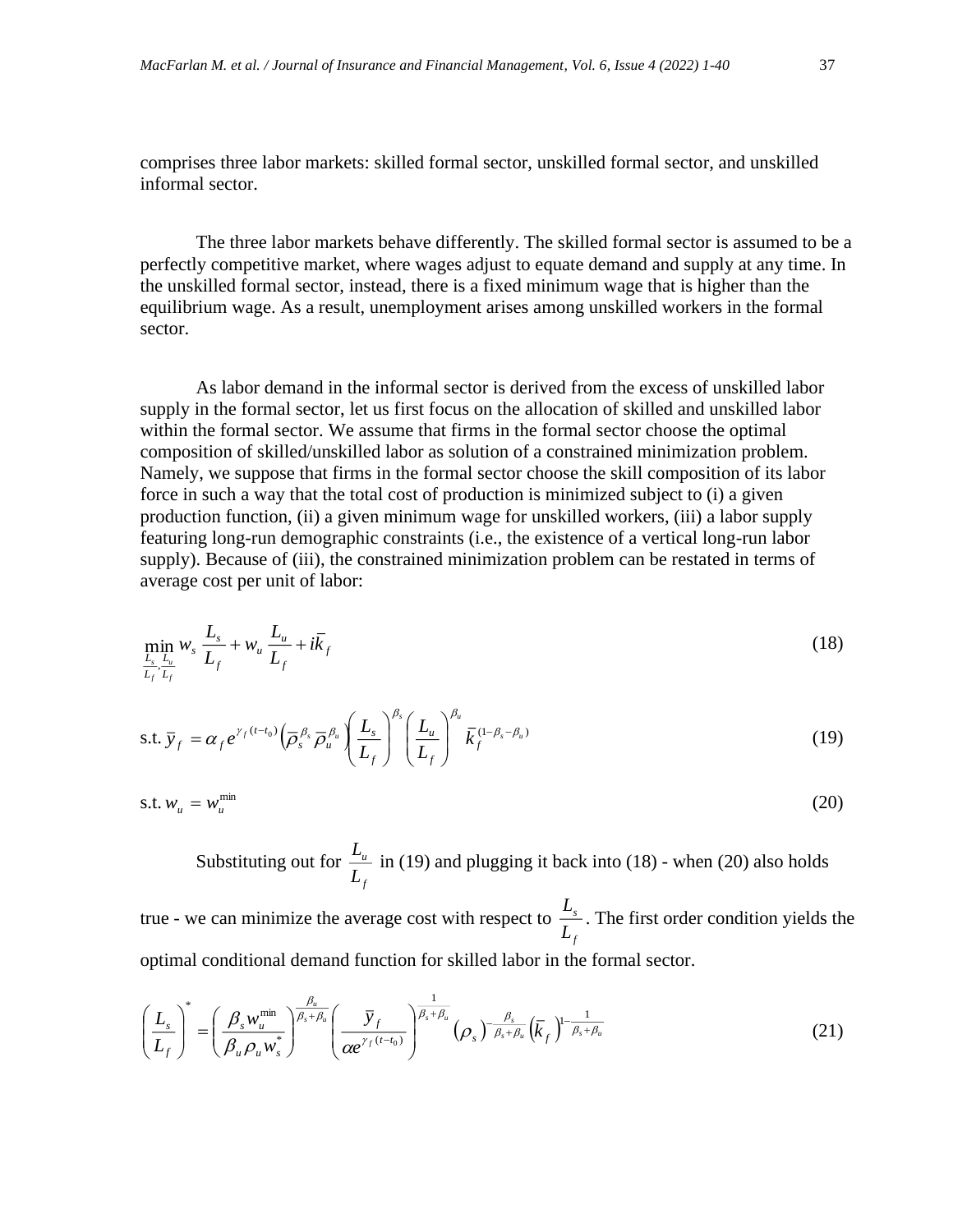comprises three labor markets: skilled formal sector, unskilled formal sector, and unskilled informal sector.

The three labor markets behave differently. The skilled formal sector is assumed to be a perfectly competitive market, where wages adjust to equate demand and supply at any time. In the unskilled formal sector, instead, there is a fixed minimum wage that is higher than the equilibrium wage. As a result, unemployment arises among unskilled workers in the formal sector.

As labor demand in the informal sector is derived from the excess of unskilled labor supply in the formal sector, let us first focus on the allocation of skilled and unskilled labor within the formal sector. We assume that firms in the formal sector choose the optimal composition of skilled/unskilled labor as solution of a constrained minimization problem. Namely, we suppose that firms in the formal sector choose the skill composition of its labor force in such a way that the total cost of production is minimized subject to (i) a given production function, (ii) a given minimum wage for unskilled workers, (iii) a labor supply featuring long-run demographic constraints (i.e., the existence of a vertical long-run labor supply). Because of (iii), the constrained minimization problem can be restated in terms of average cost per unit of labor:

$$
\min_{\frac{L_s}{L_f}, \frac{L_u}{L_f}} w_s \frac{L_s}{L_f} + w_u \frac{L_u}{L_f} + i\bar{k}_f
$$
\n(18)

$$
\text{s.t. } \overline{y}_f = \alpha_f e^{\gamma_f (t - t_0)} \left( \overline{\rho}_s^{\beta_s} \overline{\rho}_u^{\beta_u} \right) \left( \frac{L_s}{L_f} \right)^{\beta_s} \left( \frac{L_u}{L_f} \right)^{\beta_u} \overline{k}_f^{(1 - \beta_s - \beta_u)} \tag{19}
$$

$$
\text{s.t. } w_u = w_u^{\text{min}} \tag{20}
$$

Substituting out for *f u L*  $\frac{L_{u}}{L_{u}}$  in (19) and plugging it back into (18) - when (20) also holds

true - we can minimize the average cost with respect to *f s L*  $\frac{L_s}{L}$ . The first order condition yields the optimal conditional demand function for skilled labor in the formal sector.

$$
\left(\frac{L_s}{L_f}\right)^* = \left(\frac{\beta_s w_u^{\min}}{\beta_u \rho_u w_s^*}\right)^{\frac{\beta_u}{\beta_s + \beta_u}} \left(\frac{\bar{y}_f}{\alpha e^{\gamma_f (t - t_0)}}\right)^{\frac{1}{\beta_s + \beta_u}} (\rho_s)^{-\frac{\beta_s}{\beta_s + \beta_u}} (\bar{k}_f)^{1 - \frac{1}{\beta_s + \beta_u}}
$$
(21)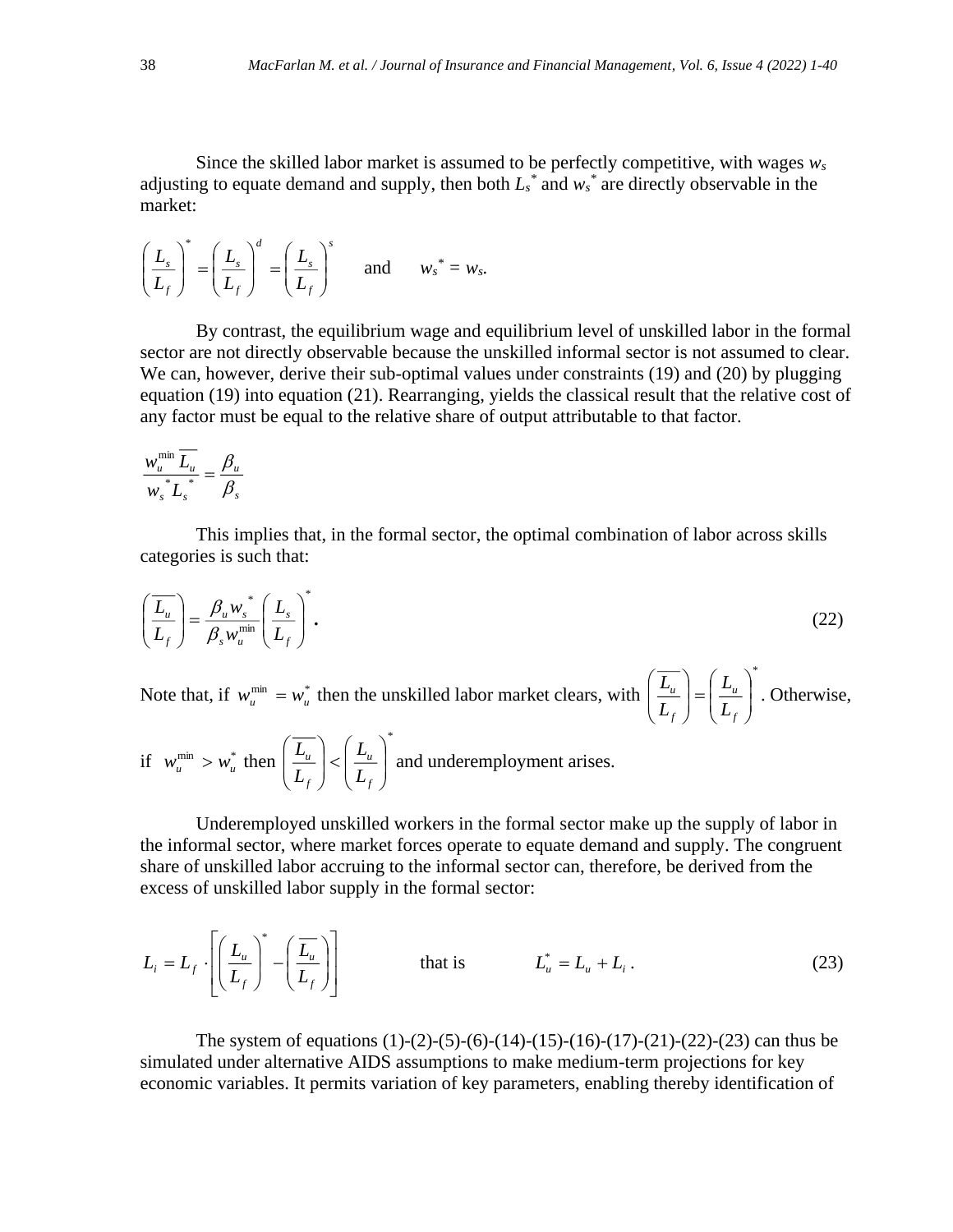Since the skilled labor market is assumed to be perfectly competitive, with wages *w<sup>s</sup>* adjusting to equate demand and supply, then both  $L_s^*$  and  $w_s^*$  are directly observable in the market:

$$
\left(\frac{L_s}{L_f}\right)^* = \left(\frac{L_s}{L_f}\right)^d = \left(\frac{L_s}{L_f}\right)^s \quad \text{and} \quad w_s^* = w_s.
$$

By contrast, the equilibrium wage and equilibrium level of unskilled labor in the formal sector are not directly observable because the unskilled informal sector is not assumed to clear. We can, however, derive their sub-optimal values under constraints (19) and (20) by plugging equation (19) into equation (21). Rearranging, yields the classical result that the relative cost of any factor must be equal to the relative share of output attributable to that factor.

$$
\frac{w_u^{\min} \overline{L_u}}{w_s^* \overline{L_s^*}} = \frac{\beta_u}{\beta_s}
$$

This implies that, in the formal sector, the optimal combination of labor across skills categories is such that:

$$
\left(\frac{\overline{L_u}}{L_f}\right) = \frac{\beta_u w_s^*}{\beta_s w_u^{\min}} \left(\frac{L_s}{L_f}\right)^*.
$$
\n(22)

Note that, if  $w_u^{\min} = w_u^*$  then the unskilled labor market clears, with \*  $\overline{\phantom{a}}$  $\overline{\phantom{a}}$ J  $\setminus$  $\mathsf{I}$  $\mathsf{I}$  $\setminus$ ſ  $\Big| =$  $\overline{\phantom{a}}$ J  $\backslash$  $\mathsf{I}$  $\mathsf{I}$  $\setminus$ ſ *f u f u L L L*  $\left(\frac{L_u}{L}\right) = \left(\frac{L_u}{L}\right)$ . Otherwise,

if 
$$
w_u^{\min} > w_u^*
$$
 then  $\left(\frac{\overline{L_u}}{L_f}\right) < \left(\frac{L_u}{L_f}\right)^*$  and underemployment arises.

Underemployed unskilled workers in the formal sector make up the supply of labor in the informal sector, where market forces operate to equate demand and supply. The congruent share of unskilled labor accruing to the informal sector can, therefore, be derived from the excess of unskilled labor supply in the formal sector:

$$
L_i = L_f \cdot \left[ \left( \frac{L_u}{L_f} \right)^* - \left( \frac{\overline{L_u}}{L_f} \right) \right]
$$
 that is 
$$
L_u^* = L_u + L_i.
$$
 (23)

The system of equations  $(1)-(2)-(5)-(6)-(14)-(15)-(16)-(17)-(21)-(22)-(23)$  can thus be simulated under alternative AIDS assumptions to make medium-term projections for key economic variables. It permits variation of key parameters, enabling thereby identification of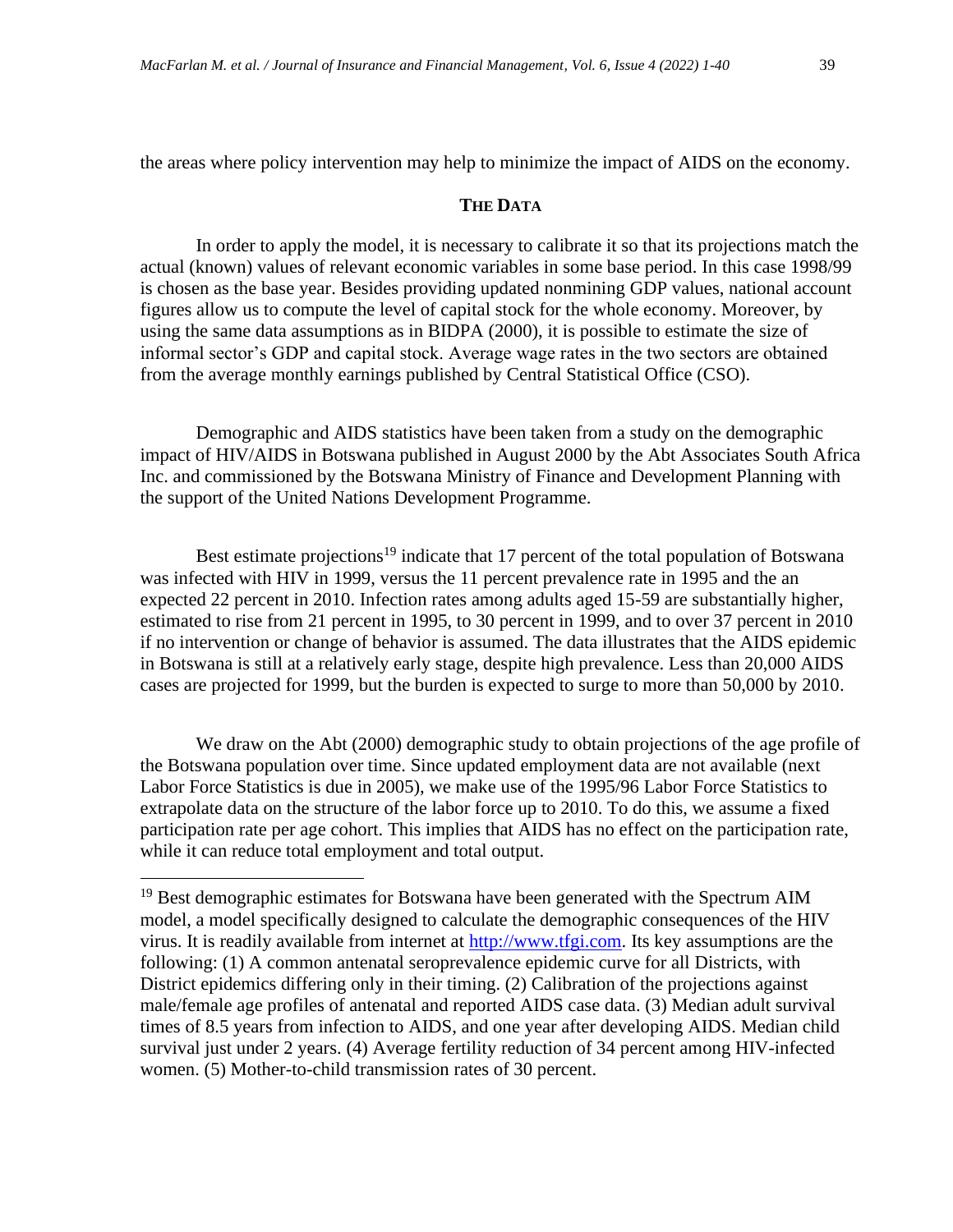the areas where policy intervention may help to minimize the impact of AIDS on the economy.

# **THE DATA**

In order to apply the model, it is necessary to calibrate it so that its projections match the actual (known) values of relevant economic variables in some base period. In this case 1998/99 is chosen as the base year. Besides providing updated nonmining GDP values, national account figures allow us to compute the level of capital stock for the whole economy. Moreover, by using the same data assumptions as in BIDPA (2000), it is possible to estimate the size of informal sector's GDP and capital stock. Average wage rates in the two sectors are obtained from the average monthly earnings published by Central Statistical Office (CSO).

Demographic and AIDS statistics have been taken from a study on the demographic impact of HIV/AIDS in Botswana published in August 2000 by the Abt Associates South Africa Inc. and commissioned by the Botswana Ministry of Finance and Development Planning with the support of the United Nations Development Programme.

Best estimate projections<sup>19</sup> indicate that 17 percent of the total population of Botswana was infected with HIV in 1999, versus the 11 percent prevalence rate in 1995 and the an expected 22 percent in 2010. Infection rates among adults aged 15-59 are substantially higher, estimated to rise from 21 percent in 1995, to 30 percent in 1999, and to over 37 percent in 2010 if no intervention or change of behavior is assumed. The data illustrates that the AIDS epidemic in Botswana is still at a relatively early stage, despite high prevalence. Less than 20,000 AIDS cases are projected for 1999, but the burden is expected to surge to more than 50,000 by 2010.

We draw on the Abt (2000) demographic study to obtain projections of the age profile of the Botswana population over time. Since updated employment data are not available (next Labor Force Statistics is due in 2005), we make use of the 1995/96 Labor Force Statistics to extrapolate data on the structure of the labor force up to 2010. To do this, we assume a fixed participation rate per age cohort. This implies that AIDS has no effect on the participation rate, while it can reduce total employment and total output.

<sup>&</sup>lt;sup>19</sup> Best demographic estimates for Botswana have been generated with the Spectrum AIM model, a model specifically designed to calculate the demographic consequences of the HIV virus. It is readily available from internet at [http://www.tfgi.com.](http://www.tfgi.com/) Its key assumptions are the following: (1) A common antenatal seroprevalence epidemic curve for all Districts, with District epidemics differing only in their timing. (2) Calibration of the projections against male/female age profiles of antenatal and reported AIDS case data. (3) Median adult survival times of 8.5 years from infection to AIDS, and one year after developing AIDS. Median child survival just under 2 years. (4) Average fertility reduction of 34 percent among HIV-infected women. (5) Mother-to-child transmission rates of 30 percent.